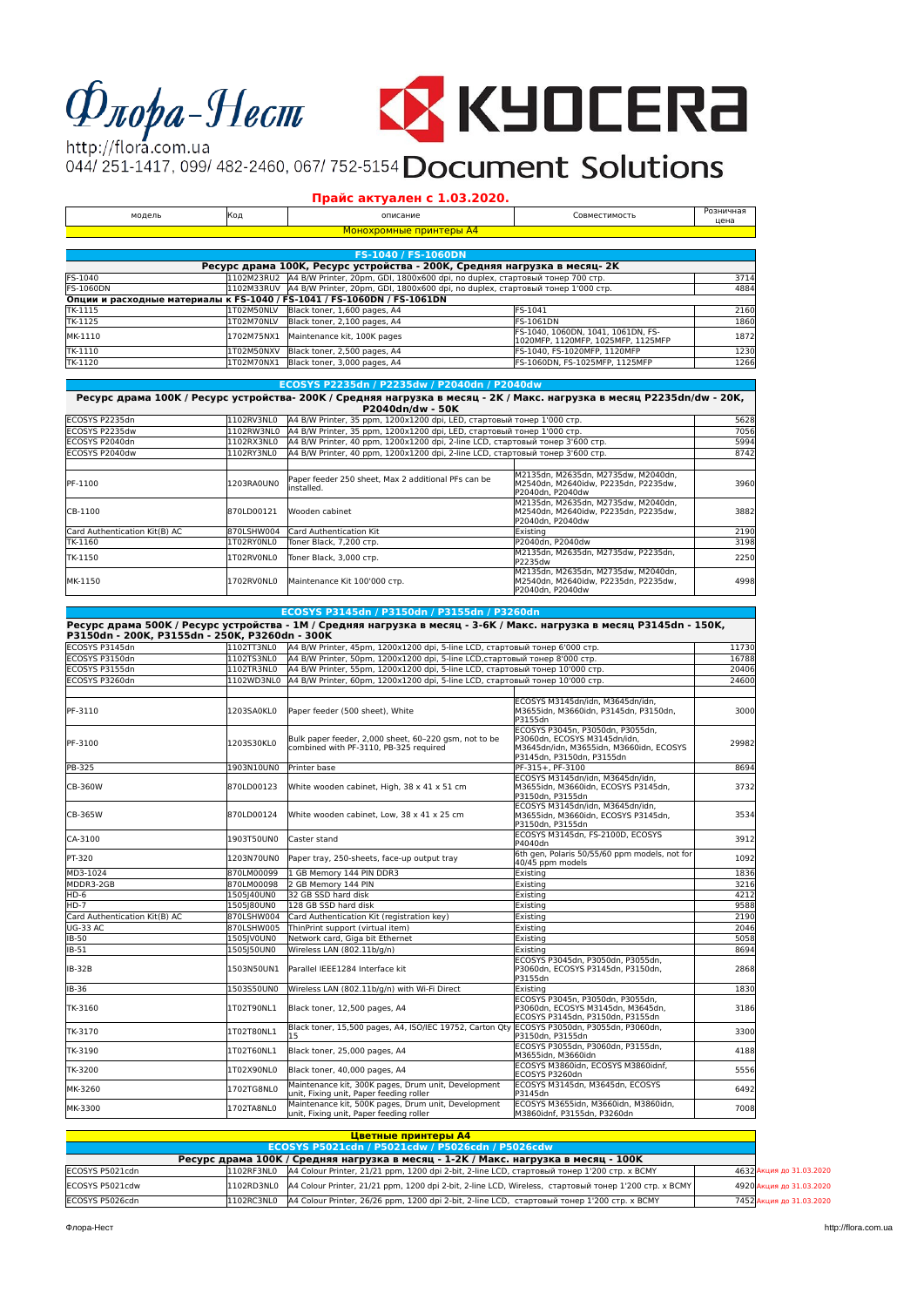# $\Phi$ *nopa*-Hecm



http://flora.com.ua http://flora.com.ua<br>044/251-1417, 099/482-2460, 067/752-5154 Document Solutions

## **Прайс актуален с 1.03.2020.**

| модель           | Код        | описание                                                                                                                                   | Совместимость                                                                                   | Розничная<br>цена |
|------------------|------------|--------------------------------------------------------------------------------------------------------------------------------------------|-------------------------------------------------------------------------------------------------|-------------------|
|                  |            | Монохромные принтеры А4                                                                                                                    |                                                                                                 |                   |
|                  |            |                                                                                                                                            |                                                                                                 |                   |
|                  |            | FS-1040 / FS-1060DN                                                                                                                        |                                                                                                 |                   |
|                  |            | Ресурс драма 100К, Ресурс устройства - 200К, Средняя нагрузка в месяц-2К                                                                   |                                                                                                 |                   |
| FS-1040          | 1102M23RU2 | A4 B/W Printer, 20pm, GDI, 1800х600 dpi, no duplex, стартовый тонер 700 стр.                                                               |                                                                                                 | 3714              |
| <b>FS-1060DN</b> |            | 1102M33RUV   A4 B/W Printer, 20pm, GDI, 1800x600 dpi, no duplex, стартовый тонер 1'000 стр.                                                |                                                                                                 | 4884              |
|                  |            | Опции и расходные материалы к FS-1040 / FS-1041 / FS-1060DN / FS-1061DN                                                                    |                                                                                                 |                   |
| TK-1115          | 1T02M50NLV | Black toner, 1,600 pages, A4                                                                                                               | FS-1041                                                                                         | 2160              |
| TK-1125          | 1T02M70NLV | Black toner, 2.100 pages, A4                                                                                                               | <b>FS-1061DN</b>                                                                                | 1860              |
| MK-1110          | 1702M75NX1 | Maintenance kit, 100K pages                                                                                                                | FS-1040, 1060DN, 1041, 1061DN, FS-<br>1020MFP, 1120MFP, 1025MFP, 1125MFP                        | 1872              |
| TK-1110          | 1T02M50NXV | Black toner, 2,500 pages, A4                                                                                                               | FS-1040. FS-1020MFP. 1120MFP                                                                    | 1230              |
| TK-1120          | 1T02M70NX1 | Black toner, 3,000 pages, A4                                                                                                               | FS-1060DN, FS-1025MFP, 1125MFP                                                                  | 1266              |
|                  |            |                                                                                                                                            |                                                                                                 |                   |
|                  |            | ECOSYS P2235dn / P2235dw / P2040dn / P2040dw                                                                                               |                                                                                                 |                   |
|                  |            | Ресурс драма 100К / Ресурс устройства- 200К / Средняя нагрузка в месяц - 2К / Макс. нагрузка в месяц P2235dn/dw - 20К,<br>P2040dn/dw - 50K |                                                                                                 |                   |
| ECOSYS P2235dn   | 1102RV3NL0 | A4 B/W Printer, 35 ppm, 1200x1200 dpi, LED, стартовый тонер 1'000 стр.                                                                     |                                                                                                 | 5628              |
| ECOSYS P2235dw   | 1102RW3NL0 | A4 B/W Printer, 35 ppm, 1200x1200 dpi, LED, стартовый тонер 1'000 стр.                                                                     |                                                                                                 | 7056              |
| ECOSYS P2040dn   | 1102RX3NL0 | A4 B/W Printer, 40 ppm, 1200x1200 dpi, 2-line LCD, стартовый тонер 3'600 стр.                                                              |                                                                                                 | 5994              |
| ECOSYS P2040dw   | 1102RY3NL0 | A4 B/W Printer, 40 ppm, 1200x1200 dpi, 2-line LCD, стартовый тонер 3'600 стр.                                                              |                                                                                                 | 8742              |
|                  |            |                                                                                                                                            |                                                                                                 |                   |
| PF-1100          | 1203RA0UN0 | Paper feeder 250 sheet, Max 2 additional PFs can be<br>linstalled.                                                                         | M2135dn, M2635dn, M2735dw, M2040dn,<br>M2540dn. M2640idw. P2235dn. P2235dw.<br>P2040dn, P2040dw | 3960              |
|                  |            |                                                                                                                                            | M2135dn. M2635dn. M2735dw. M2040dn.                                                             |                   |

| IPF-1100                      | 11203RA0UN0 | שט ושט כוונטונטאנט באטוויט טעט בטער וטעט ו<br>installed. | IM2540dn. M2640idw. P2235dn. P2235dw.<br>lP2040dn. P2040dw                                        | 3960 |
|-------------------------------|-------------|----------------------------------------------------------|---------------------------------------------------------------------------------------------------|------|
| CB-1100                       | 870LD00121  | Wooden cabinet                                           | M2135dn. M2635dn. M2735dw. M2040dn.<br>lM2540dn. M2640idw. P2235dn. P2235dw.<br>lP2040dn. P2040dw | 3882 |
| Card Authentication Kit(B) AC | 870LSHW004  | Card Authentication Kit                                  | Existina                                                                                          | 2190 |
| TK-1160                       | 1T02RY0NL0  | lToner Black. 7.200 стр.                                 | P2040dn. P2040dw                                                                                  | 3198 |
| TK-1150                       | 1T02RV0NL0  | Toner Black, 3,000 стр.                                  | IM2135dn. M2635dn. M2735dw. P2235dn.<br><b>IP2235dw</b>                                           | 2250 |
| MK-1150                       | 1702RV0NL0  | Maintenance Kit 100'000 стр.                             | M2135dn. M2635dn. M2735dw. M2040dn.<br>lM2540dn. M2640idw. P2235dn. P2235dw.<br>P2040dn. P2040dw  | 4998 |

#### **ECOSYS P3145dn / P3150dn / P3155dn / P3260dn**

| ECOSYS P3145dn                | 1102TT3NL0 | A4 B/W Printer, 45pm, 1200x1200 dpi, 5-line LCD, стартовый тонер 6'000 стр.                      |                                                                                                                                          | 11730 |
|-------------------------------|------------|--------------------------------------------------------------------------------------------------|------------------------------------------------------------------------------------------------------------------------------------------|-------|
| ECOSYS P3150dn                | 1102TS3NL0 | А4 B/W Printer, 50pm, 1200х1200 dpi, 5-line LCD, стартовый тонер 8'000 стр.                      |                                                                                                                                          | 16788 |
| ECOSYS P3155dn                | 1102TR3NL0 | А4 B/W Printer, 55pm, 1200х1200 dpi, 5-line LCD, стартовый тонер 10'000 стр.                     |                                                                                                                                          | 20406 |
| ECOSYS P3260dn                |            | 1102WD3NL0 A4 B/W Printer, 60pm, 1200x1200 dpi, 5-line LCD, стартовый тонер 10'000 стр.          |                                                                                                                                          | 24600 |
|                               |            |                                                                                                  |                                                                                                                                          |       |
| PF-3110                       | 1203SA0KL0 | Paper feeder (500 sheet), White                                                                  | ECOSYS M3145dn/idn. M3645dn/idn.<br>M3655idn, M3660idn, P3145dn, P3150dn,<br>P3155dn                                                     | 3000  |
| PF-3100                       | 1203S30KL0 | Bulk paper feeder. 2.000 sheet. 60-220 gsm. not to be<br>combined with PF-3110, PB-325 required  | ECOSYS P3045n, P3050dn, P3055dn,<br>P3060dn. ECOSYS M3145dn/idn.<br>M3645dn/idn. M3655idn. M3660idn. ECOSYS<br>P3145dn, P3150dn, P3155dn | 29982 |
| <b>PB-325</b>                 | 1903N10UN0 | Printer base                                                                                     | PF-315+, PF-3100                                                                                                                         | 8694  |
| CB-360W                       | 870LD00123 | White wooden cabinet, High, 38 x 41 x 51 cm                                                      | ECOSYS M3145dn/idn. M3645dn/idn.<br>M3655idn, M3660idn, ECOSYS P3145dn,<br>P3150dn, P3155dn                                              | 3732  |
| CB-365W                       | 870LD00124 | White wooden cabinet, Low, 38 x 41 x 25 cm                                                       | ECOSYS M3145dn/idn, M3645dn/idn,<br>M3655idn, M3660idn, ECOSYS P3145dn,<br>P3150dn, P3155dn                                              | 3534  |
| CA-3100                       | 1903T50UN0 | Caster stand                                                                                     | ECOSYS M3145dn, FS-2100D, ECOSYS<br>P4040dn                                                                                              | 3912  |
| PT-320                        | 1203N70UN0 | Paper tray, 250-sheets, face-up output tray                                                      | 6th gen, Polaris 50/55/60 ppm models, not for<br>40/45 ppm models                                                                        | 1092  |
| MD3-1024                      | 870LM00099 | 1 GB Memory 144 PIN DDR3                                                                         | Existing                                                                                                                                 | 1836  |
| MDDR3-2GB                     | 870LM00098 | 2 GB Memory 144 PIN                                                                              | Existing                                                                                                                                 | 3216  |
| $HD-6$                        | 1505 40UN0 | 32 GB SSD hard disk                                                                              | Existing                                                                                                                                 | 4212  |
| $HD-7$                        | 1505 80UN0 | 128 GB SSD hard disk                                                                             | Existing                                                                                                                                 | 9588  |
| Card Authentication Kit(B) AC | 870LSHW004 | Card Authentication Kit (registration key)                                                       | Existina                                                                                                                                 | 2190  |
| <b>UG-33 AC</b>               | 870LSHW005 | ThinPrint support (virtual item)                                                                 | Existing                                                                                                                                 | 2046  |
| IB-50                         | 1505IV0UN0 | Network card, Giga bit Ethernet                                                                  | Existing                                                                                                                                 | 5058  |
| IB-51                         | 1505J50UN0 | Wireless LAN (802.11b/g/n)                                                                       | Existing                                                                                                                                 | 8694  |
| <b>IB-32B</b>                 | 1503N50UN1 | Parallel IEEE1284 Interface kit                                                                  | ECOSYS P3045dn, P3050dn, P3055dn,<br>P3060dn, ECOSYS P3145dn, P3150dn,<br>P3155dn                                                        | 2868  |
| <b>IB-36</b>                  | 1503S50UN0 | Wireless LAN (802.11b/g/n) with Wi-Fi Direct                                                     | Existina                                                                                                                                 | 1830  |
| TK-3160                       | 1T02T90NL1 | Black toner, 12,500 pages, A4                                                                    | ECOSYS P3045n, P3050dn, P3055dn,<br>P3060dn, ECOSYS M3145dn, M3645dn,<br>ECOSYS P3145dn, P3150dn, P3155dn                                | 3186  |
| TK-3170                       | 1T02T80NL1 | Black toner, 15,500 pages, A4, ISO/IEC 19752, Carton Qty ECOSYS P3050dn, P3055dn, P3060dn,<br>15 | P3150dn, P3155dn                                                                                                                         | 3300  |
| TK-3190                       | 1T02T60NL1 | Black toner, 25,000 pages, A4                                                                    | ECOSYS P3055dn, P3060dn, P3155dn,<br>M3655idn, M3660idn                                                                                  | 4188  |
| TK-3200                       | 1T02X90NL0 | Black toner, 40,000 pages, A4                                                                    | ECOSYS M3860idn, ECOSYS M3860idnf.<br>ECOSYS P3260dn                                                                                     | 5556  |
| MK-3260                       | 1702TG8NL0 | Maintenance kit, 300K pages, Drum unit, Development<br>unit, Fixing unit, Paper feeding roller   | ECOSYS M3145dn, M3645dn, ECOSYS<br>P3145dn                                                                                               | 6492  |
| MK-3300                       | 1702TA8NL0 | Maintenance kit, 500K pages, Drum unit, Development<br>unit, Fixing unit, Paper feeding roller   | ECOSYS M3655idn, M3660idn, M3860idn,<br>M3860idnf, P3155dn, P3260dn                                                                      | 7008  |

|                 |            | Цветные принтеры А4                                                                                                 |                          |
|-----------------|------------|---------------------------------------------------------------------------------------------------------------------|--------------------------|
|                 |            | ECOSYS P5021cdn / P5021cdw / P5026cdn / P5026cdw                                                                    |                          |
|                 |            | Ресурс драма 100К / Средняя нагрузка в месяц - 1-2К / Макс. нагрузка в месяц - 100К                                 |                          |
| ECOSYS P5021cdn |            | [1102RF3NL0   Д4 Colour Printer, 21/21 ppm, 1200 dpi 2-bit, 2-line LCD, стартовый тонер 1'200 стр. х ВСМҮ           | 4632 Акция до 31.03.2020 |
| ECOSYS P5021cdw |            | [1102RD3NL0   Д4 Colour Printer, 21/21 ppm, 1200 dpi 2-bit, 2-line LCD, Wireless, стартовый тонер 1'200 стр. х ВСМҮ | 4920 Акция до 31.03.2020 |
| ECOSYS P5026cdn | 1102RC3NL0 | A4 Colour Printer, 26/26 ppm, 1200 dpi 2-bit, 2-line LCD, стартовый тонер 1'200 стр. х ВСМҮ                         | 7452 Акция до 31.03.2020 |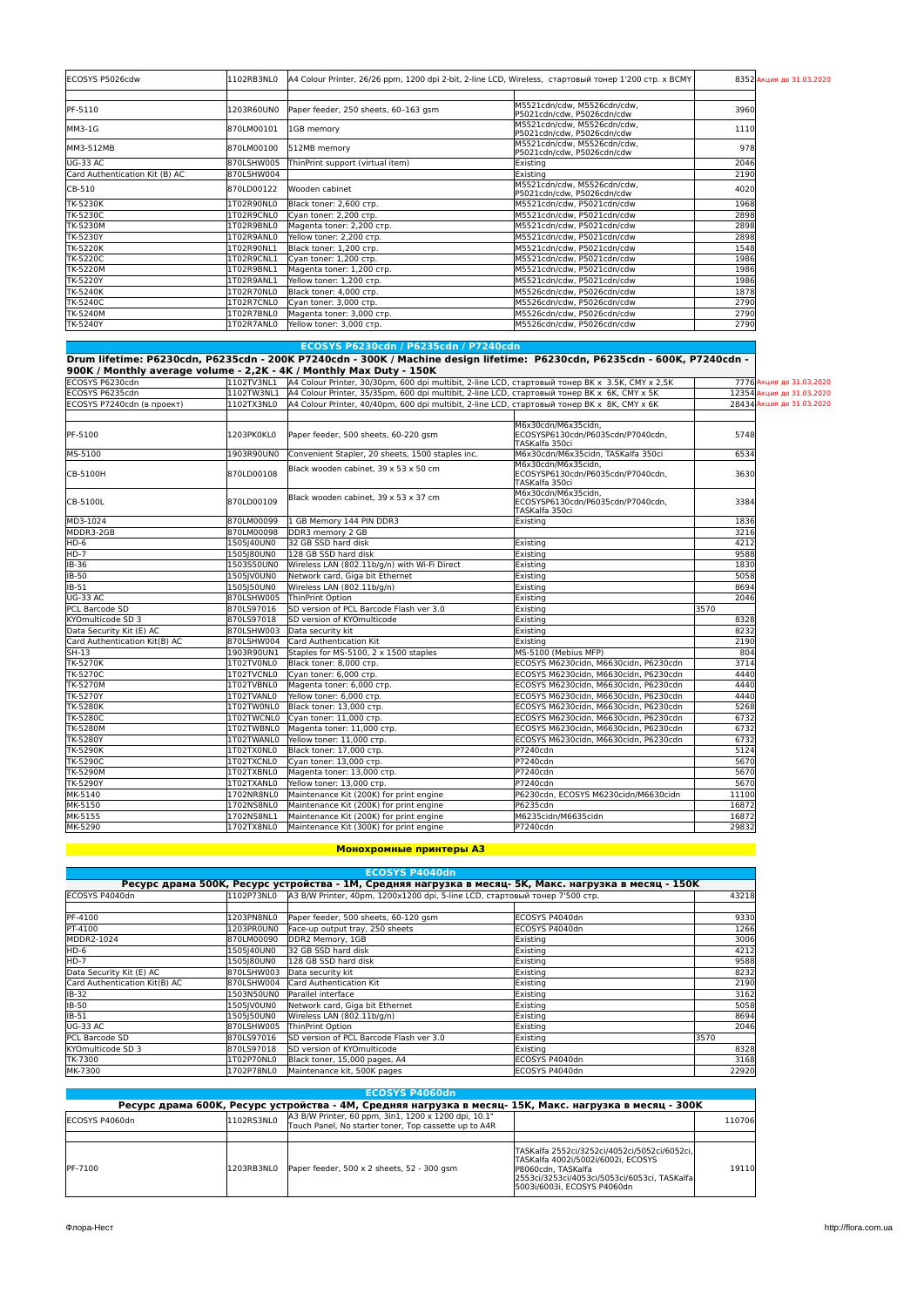| ECOSYS P5026cdw                | 1102RB3NL0 | A4 Colour Printer, 26/26 ppm, 1200 dpi 2-bit, 2-line LCD, Wireless, стартовый тонер 1'200 стр. х ВСМҮ |                                                           |      | 8352 Акция до 31.03.2020 |
|--------------------------------|------------|-------------------------------------------------------------------------------------------------------|-----------------------------------------------------------|------|--------------------------|
|                                |            |                                                                                                       |                                                           |      |                          |
| PF-5110                        | 1203R60UN0 | Paper feeder, 250 sheets, 60-163 gsm                                                                  | M5521cdn/cdw, M5526cdn/cdw,<br>P5021cdn/cdw, P5026cdn/cdw | 3960 |                          |
| MM3-1G                         | 870LM00101 | 1GB memory                                                                                            | M5521cdn/cdw, M5526cdn/cdw,<br>P5021cdn/cdw, P5026cdn/cdw | 1110 |                          |
| MM3-512MB                      | 870LM00100 | 512MB memory                                                                                          | M5521cdn/cdw, M5526cdn/cdw,<br>P5021cdn/cdw, P5026cdn/cdw | 978  |                          |
| <b>UG-33 AC</b>                | 870LSHW005 | ThinPrint support (virtual item)                                                                      | Existing                                                  | 2046 |                          |
| Card Authentication Kit (B) AC | 870LSHW004 |                                                                                                       | Existina                                                  | 2190 |                          |
| CB-510                         | 870LD00122 | Wooden cabinet                                                                                        | M5521cdn/cdw, M5526cdn/cdw,<br>P5021cdn/cdw, P5026cdn/cdw | 4020 |                          |
| TK-5230K                       | 1T02R90NL0 | Black toner: 2,600 стр.                                                                               | M5521cdn/cdw, P5021cdn/cdw                                | 1968 |                          |
| TK-5230C                       | 1T02R9CNL0 | Cyan toner: 2,200 стр.                                                                                | M5521cdn/cdw, P5021cdn/cdw                                | 2898 |                          |
| TK-5230M                       | 1T02R9BNL0 | Magenta toner: 2,200 стр.                                                                             | M5521cdn/cdw, P5021cdn/cdw                                | 2898 |                          |
| TK-5230Y                       | 1T02R9ANL0 | Yellow toner: 2,200 стр.                                                                              | M5521cdn/cdw, P5021cdn/cdw                                | 2898 |                          |
| <b>TK-5220K</b>                | 1T02R90NL1 | Black toner: 1,200 стр.                                                                               | M5521cdn/cdw, P5021cdn/cdw                                | 1548 |                          |
| TK-5220C                       | 1T02R9CNL1 | Cyan toner: 1,200 стр.                                                                                | M5521cdn/cdw. P5021cdn/cdw                                | 1986 |                          |
| TK-5220M                       | 1T02R9BNL1 | Magenta toner: 1,200 стр.                                                                             | M5521cdn/cdw, P5021cdn/cdw                                | 1986 |                          |
| TK-5220Y                       | 1T02R9ANL1 | Yellow toner: 1,200 стр.                                                                              | M5521cdn/cdw, P5021cdn/cdw                                | 1986 |                          |
| TK-5240K                       | 1T02R70NL0 | Black toner: 4,000 стр.                                                                               | M5526cdn/cdw, P5026cdn/cdw                                | 1878 |                          |
| TK-5240C                       | 1T02R7CNL0 | Cyan toner: 3,000 стр.                                                                                | M5526cdn/cdw, P5026cdn/cdw                                | 2790 |                          |
| TK-5240M                       | 1T02R7BNL0 | Magenta toner: 3,000 стр.                                                                             | M5526cdn/cdw, P5026cdn/cdw                                | 2790 |                          |
| TK-5240Y                       | 1T02R7ANL0 | Yellow toner: 3,000 стр.                                                                              | M5526cdn/cdw, P5026cdn/cdw                                | 2790 |                          |

|                               |            | ECOSYS P6230cdn / P6235cdn / P7240cdn                                                                                                                                                            |                                                                                                                          |                           |  |
|-------------------------------|------------|--------------------------------------------------------------------------------------------------------------------------------------------------------------------------------------------------|--------------------------------------------------------------------------------------------------------------------------|---------------------------|--|
|                               |            | Drum lifetime: P6230cdn, P6235cdn - 200K P7240cdn - 300K / Machine design lifetime: P6230cdn, P6235cdn - 600K, P7240cdn -<br>900K / Monthly average volume - 2,2K - 4K / Monthly Max Duty - 150K |                                                                                                                          |                           |  |
| ECOSYS P6230cdn               | 1102TV3NL1 | A4 Colour Printer, 30/30pm, 600 dpi multibit, 2-line LCD, стартовый тонер ВК х 3.5К, СМҮ х 2,5К                                                                                                  |                                                                                                                          | 7776 Акция до 31.03.2020  |  |
| ECOSYS P6235cdn               | 1102TW3NL1 |                                                                                                                                                                                                  | A4 Colour Printer, 35/35pm, 600 dpi multibit, 2-line LCD, стартовый тонер ВК х 6К, СМҮ х 5К<br>12354 Акция до 31.03.2020 |                           |  |
| ECOSYS P7240cdn (в проект)    | 1102TX3NL0 | A4 Colour Printer, 40/40pm, 600 dpi multibit, 2-line LCD, стартовый тонер ВК х 8К, СМҮ х 6К                                                                                                      |                                                                                                                          | 28434 Акция до 31.03.2020 |  |
|                               |            |                                                                                                                                                                                                  |                                                                                                                          |                           |  |
| PF-5100                       | 1203PK0KL0 | Paper feeder, 500 sheets, 60-220 gsm                                                                                                                                                             | M6x30cdn/M6x35cidn,<br>ECOSYSP6130cdn/P6035cdn/P7040cdn,<br>TASKalfa 350ci                                               | 5748                      |  |
| MS-5100                       | 1903R90UN0 | Convenient Stapler, 20 sheets, 1500 staples inc.                                                                                                                                                 | M6x30cdn/M6x35cidn, TASKalfa 350ci                                                                                       | 6534                      |  |
| CB-5100H                      | 870LD00108 | Black wooden cabinet, 39 x 53 x 50 cm                                                                                                                                                            | M6x30cdn/M6x35cidn,<br>ECOSYSP6130cdn/P6035cdn/P7040cdn.<br>TASKalfa 350ci                                               | 3630                      |  |
| CB-5100L                      | 870LD00109 | Black wooden cabinet, 39 x 53 x 37 cm                                                                                                                                                            | M6x30cdn/M6x35cidn.<br>ECOSYSP6130cdn/P6035cdn/P7040cdn.<br>TASKalfa 350ci                                               | 3384                      |  |
| MD3-1024                      | 870LM00099 | 1 GB Memory 144 PIN DDR3                                                                                                                                                                         | Existing                                                                                                                 | 1836                      |  |
| MDDR3-2GB                     | 870LM00098 | DDR3 memory 2 GB                                                                                                                                                                                 |                                                                                                                          | 3216                      |  |
| $HD-6$                        | 1505 40UN0 | 32 GB SSD hard disk                                                                                                                                                                              | Existing                                                                                                                 | 4212                      |  |
| $HD-7$                        | 1505 80UN0 | 128 GB SSD hard disk                                                                                                                                                                             | Existing                                                                                                                 | 9588                      |  |
| IB-36                         | 1503S50UN0 | Wireless LAN (802.11b/g/n) with Wi-Fi Direct                                                                                                                                                     | Existing                                                                                                                 | 1830                      |  |
| IB-50                         | 1505JV0UN0 | Network card, Giga bit Ethernet                                                                                                                                                                  | Existina                                                                                                                 | 5058                      |  |
| $IB-51$                       | 1505J50UN0 | Wireless LAN (802.11b/g/n)                                                                                                                                                                       | Existing                                                                                                                 | 8694                      |  |
| <b>UG-33 AC</b>               | 870LSHW005 | ThinPrint Option                                                                                                                                                                                 | Existing                                                                                                                 | 2046                      |  |
| PCL Barcode SD                | 870LS97016 | SD version of PCL Barcode Flash ver 3.0                                                                                                                                                          | Existina                                                                                                                 | 3570                      |  |
| KYOmulticode SD 3             | 870LS97018 | <b>SD version of KYOmulticode</b>                                                                                                                                                                | Existing                                                                                                                 | 8328                      |  |
| Data Security Kit (E) AC      | 870LSHW003 | Data security kit                                                                                                                                                                                | Existing                                                                                                                 | 8232                      |  |
| Card Authentication Kit(B) AC | 870LSHW004 | Card Authentication Kit                                                                                                                                                                          | Existing                                                                                                                 | 2190                      |  |
| $SH-13$                       | 1903R90UN1 | Staples for MS-5100, 2 x 1500 staples                                                                                                                                                            | MS-5100 (Mebius MFP)                                                                                                     | 804                       |  |
| <b>TK-5270K</b>               | 1T02TV0NL0 | Black toner: 8,000 стр.                                                                                                                                                                          | ECOSYS M6230cidn, M6630cidn, P6230cdn                                                                                    | 3714                      |  |
| TK-5270C                      | 1T02TVCNL0 | Cvan toner: 6.000 стр.                                                                                                                                                                           | ECOSYS M6230cidn, M6630cidn, P6230cdn                                                                                    | 4440                      |  |
| <b>TK-5270M</b>               | 1T02TVBNL0 | Magenta toner: 6,000 стр.                                                                                                                                                                        | ECOSYS M6230cidn, M6630cidn, P6230cdn                                                                                    | 4440                      |  |
| <b>TK-5270Y</b>               | 1T02TVANL0 | Yellow toner: 6,000 стр.                                                                                                                                                                         | ECOSYS M6230cidn, M6630cidn, P6230cdn                                                                                    | 4440                      |  |
| <b>TK-5280K</b>               | 1T02TW0NL0 | Black toner: 13,000 стр.                                                                                                                                                                         | ECOSYS M6230cidn, M6630cidn, P6230cdn                                                                                    | 5268                      |  |
| <b>TK-5280C</b>               | 1T02TWCNL0 | Cyan toner: 11,000 стр.                                                                                                                                                                          | ECOSYS M6230cidn, M6630cidn, P6230cdn                                                                                    | 6732                      |  |
| <b>TK-5280M</b>               | 1T02TWBNL0 | Magenta toner: 11,000 стр.                                                                                                                                                                       | ECOSYS M6230cidn, M6630cidn, P6230cdn                                                                                    | 6732                      |  |
| <b>TK-5280Y</b>               | 1T02TWANL0 | Yellow toner: 11,000 стр.                                                                                                                                                                        | ECOSYS M6230cidn, M6630cidn, P6230cdn                                                                                    | 6732                      |  |
| TK-5290K                      | 1T02TX0NL0 | Black toner: 17,000 стр.                                                                                                                                                                         | P7240cdn                                                                                                                 | 5124                      |  |
| <b>TK-5290C</b>               | 1T02TXCNL0 | Cyan toner: 13,000 стр.                                                                                                                                                                          | P7240cdn                                                                                                                 | 5670                      |  |
| <b>TK-5290M</b>               | 1T02TXBNL0 | Magenta toner: 13,000 стр.                                                                                                                                                                       | P7240cdn                                                                                                                 | 5670                      |  |
| <b>TK-5290Y</b>               | 1T02TXANL0 | Yellow toner: 13,000 стр.                                                                                                                                                                        | P7240cdn                                                                                                                 | 5670                      |  |
| MK-5140                       | 1702NR8NL0 | Maintenance Kit (200K) for print engine                                                                                                                                                          | P6230cdn. ECOSYS M6230cidn/M6630cidn                                                                                     | 11100                     |  |
| MK-5150                       | 1702NS8NL0 | Maintenance Kit (200K) for print engine                                                                                                                                                          | P6235cdn                                                                                                                 | 16872                     |  |
| MK-5155                       | 1702NS8NL1 | Maintenance Kit (200K) for print engine                                                                                                                                                          | M6235cidn/M6635cidn                                                                                                      | 16872                     |  |
| MK-5290                       | 1702TX8NL0 | Maintenance Kit (300K) for print engine                                                                                                                                                          | P7240cdn                                                                                                                 | 29832                     |  |
|                               |            |                                                                                                                                                                                                  |                                                                                                                          |                           |  |

#### **Монохромные принтеры A3**

| <b>ECOSYS P4040dn</b>                                                                                  |            |                                                                             |                  |       |  |
|--------------------------------------------------------------------------------------------------------|------------|-----------------------------------------------------------------------------|------------------|-------|--|
| Ресурс драма 500К, Ресурс устройства - 1М, Средняя нагрузка в месяц- 5К, Макс. нагрузка в месяц - 150К |            |                                                                             |                  |       |  |
| ECOSYS P4040dn                                                                                         | 1102P73NL0 | A3 B/W Printer, 40pm, 1200x1200 dpi, 5-line LCD, стартовый тонер 7'500 стр. |                  | 43218 |  |
|                                                                                                        |            |                                                                             |                  |       |  |
| PF-4100                                                                                                | 1203PN8NL0 | Paper feeder, 500 sheets, 60-120 gsm                                        | ECOSYS P4040dn   | 9330  |  |
| PT-4100                                                                                                | 1203PROUNO | Face-up output tray, 250 sheets                                             | ECOSYS P4040dn   | 1266  |  |
| MDDR2-1024                                                                                             | 870LM00090 | DDR2 Memory, 1GB                                                            | Existing         | 3006  |  |
| HD-6                                                                                                   | 1505140UN0 | 32 GB SSD hard disk                                                         | Existing         | 4212  |  |
| HD-7                                                                                                   | 1505 80UN0 | 128 GB SSD hard disk                                                        | Existing         | 9588  |  |
| Data Security Kit (E) AC                                                                               | 870LSHW003 | Data security kit                                                           | Existing         | 8232  |  |
| Card Authentication Kit(B) AC                                                                          | 870LSHW004 | Card Authentication Kit                                                     | Existing         | 2190  |  |
| <b>IB-32</b>                                                                                           | 1503N50UN0 | Parallel interface                                                          | Existing         | 3162  |  |
| <b>IB-50</b>                                                                                           | 1505IV0UN0 | Network card, Giga bit Ethernet                                             | Existing         | 5058  |  |
| IB-51                                                                                                  | 1505J50UN0 | Wireless LAN (802.11b/g/n)                                                  | <b>IExisting</b> | 8694  |  |
| lug-33 AC                                                                                              | 870LSHW005 | ThinPrint Option                                                            | Existing         | 2046  |  |
| PCL Barcode SD                                                                                         | 870LS97016 | SD version of PCL Barcode Flash ver 3.0                                     | Existing         | 3570  |  |
| KYOmulticode SD 3                                                                                      | 870LS97018 | <b>SD version of KYOmulticode</b>                                           | Existing         | 8328  |  |
| TK-7300                                                                                                | 1T02P70NL0 | Black toner, 15,000 pages, A4                                               | ECOSYS P4040dn   | 3168  |  |
| MK-7300                                                                                                | 1702P78NL0 | Maintenance kit. 500K pages                                                 | ECOSYS P4040dn   | 22920 |  |

| <b>ECOSYS P4060dn</b> |                                                                                                         |                                                                                                               |                                                                                                                                                                                            |        |  |  |
|-----------------------|---------------------------------------------------------------------------------------------------------|---------------------------------------------------------------------------------------------------------------|--------------------------------------------------------------------------------------------------------------------------------------------------------------------------------------------|--------|--|--|
|                       | Ресурс драма 600К, Ресурс устройства - 4М, Средняя нагрузка в месяц- 15К, Макс. нагрузка в месяц - 300К |                                                                                                               |                                                                                                                                                                                            |        |  |  |
| IECOSYS P4060dn       | 1102RS3NL0                                                                                              | A3 B/W Printer, 60 ppm, 3in1, 1200 x 1200 dpi, 10.1"<br>Touch Panel. No starter toner. Top cassette up to A4R |                                                                                                                                                                                            | 110706 |  |  |
|                       |                                                                                                         |                                                                                                               |                                                                                                                                                                                            |        |  |  |
| <b>IPF-7100</b>       | 1203RB3NL0                                                                                              | Paper feeder, 500 x 2 sheets, 52 - 300 gsm                                                                    | TASKalfa 2552ci/3252ci/4052ci/5052ci/6052ci, <br>TASKalfa 4002i/5002i/6002i, ECOSYS<br>IP8060cdn. TASKalfa<br>2553ci/3253ci/4053ci/5053ci/6053ci, TASKalfal<br>5003i/6003i, ECOSYS P4060dn | 19110  |  |  |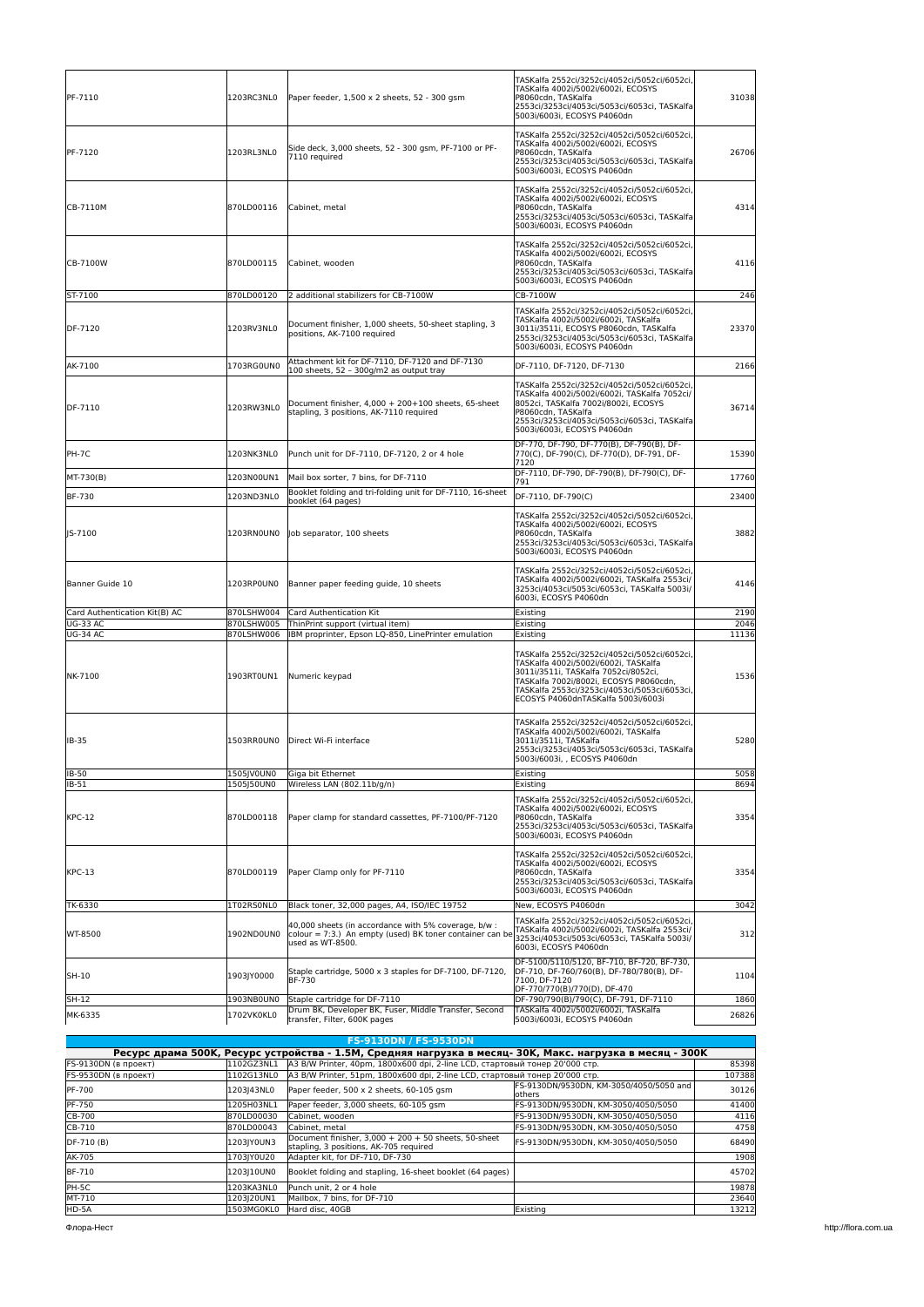| PF-7110                            | 1203RC3NL0               | Paper feeder, 1,500 x 2 sheets, 52 - 300 gsm                                                                                         | TASKalfa 2552ci/3252ci/4052ci/5052ci/6052ci,<br>TASKalfa 4002i/5002i/6002i, ECOSYS<br>P8060cdn, TASKalfa<br>2553ci/3253ci/4053ci/5053ci/6053ci, TASKalfa<br>5003i/6003i, ECOSYS P4060dn                                                                      | 31038         |
|------------------------------------|--------------------------|--------------------------------------------------------------------------------------------------------------------------------------|--------------------------------------------------------------------------------------------------------------------------------------------------------------------------------------------------------------------------------------------------------------|---------------|
| PF-7120                            | 1203RL3NL0               | Side deck, 3,000 sheets, 52 - 300 gsm, PF-7100 or PF-<br>7110 required                                                               | TASKalfa 2552ci/3252ci/4052ci/5052ci/6052ci,<br>TASKalfa 4002i/5002i/6002i, ECOSYS<br>P8060cdn, TASKalfa<br>2553ci/3253ci/4053ci/5053ci/6053ci, TASKalfa<br>5003i/6003i, ECOSYS P4060dn                                                                      | 26706         |
| CB-7110M                           | 870LD00116               | Cabinet, metal                                                                                                                       | TASKalfa 2552ci/3252ci/4052ci/5052ci/6052ci,<br>TASKalfa 4002i/5002i/6002i, ECOSYS<br>P8060cdn, TASKalfa<br>2553ci/3253ci/4053ci/5053ci/6053ci, TASKalfa<br>5003i/6003i, ECOSYS P4060dn                                                                      | 4314          |
| CB-7100W                           | 870LD00115               | Cabinet, wooden                                                                                                                      | TASKalfa 2552ci/3252ci/4052ci/5052ci/6052ci,<br>TASKalfa 4002i/5002i/6002i, ECOSYS<br>P8060cdn, TASKalfa<br>2553ci/3253ci/4053ci/5053ci/6053ci, TASKalfa<br>5003i/6003i, ECOSYS P4060dn                                                                      | 4116          |
| ST-7100                            | 870LD00120               | 2 additional stabilizers for CB-7100W                                                                                                | CB-7100W                                                                                                                                                                                                                                                     | 246           |
| DF-7120                            | 1203RV3NL0               | Document finisher, 1,000 sheets, 50-sheet stapling, 3<br>positions, AK-7100 required                                                 | TASKalfa 2552ci/3252ci/4052ci/5052ci/6052ci,<br>TASKalfa 4002i/5002i/6002i, TASKalfa<br>3011i/3511i, ECOSYS P8060cdn, TASKalfa<br>2553ci/3253ci/4053ci/5053ci/6053ci, TASKalfa<br>5003i/6003i, ECOSYS P4060dn                                                | 23370         |
| AK-7100                            | 1703RG0UN0               | Attachment kit for DF-7110, DF-7120 and DF-7130<br>100 sheets, 52 - 300g/m2 as output tray                                           | DF-7110, DF-7120, DF-7130                                                                                                                                                                                                                                    | 2166          |
| DF-7110                            | 1203RW3NL0               | Document finisher. 4.000 + 200+100 sheets. 65-sheet<br>stapling, 3 positions, AK-7110 required                                       | TASKalfa 2552ci/3252ci/4052ci/5052ci/6052ci,<br>TASKalfa 4002i/5002i/6002i, TASKalfa 7052ci/<br>8052ci. TASKalfa 7002i/8002i. ECOSYS<br>P8060cdn, TASKalfa<br>2553ci/3253ci/4053ci/5053ci/6053ci, TASKalfa<br>5003i/6003i, ECOSYS P4060dn                    | 36714         |
| PH-7C                              | 1203NK3NL0               | Punch unit for DF-7110, DF-7120, 2 or 4 hole                                                                                         | DF-770, DF-790, DF-770(B), DF-790(B), DF-<br>770(C), DF-790(C), DF-770(D), DF-791, DF-<br>7120                                                                                                                                                               | 15390         |
| MT-730(B)                          | 1203N00UN1               | Mail box sorter, 7 bins, for DF-7110                                                                                                 | DF-7110, DF-790, DF-790(B), DF-790(C), DF-<br>791                                                                                                                                                                                                            | 17760         |
| <b>BF-730</b>                      | 1203ND3NL0               | Booklet folding and tri-folding unit for DF-7110, 16-sheet<br>booklet (64 pages)                                                     | DF-7110, DF-790(C)                                                                                                                                                                                                                                           | 23400         |
| IS-7100                            | 1203RN0UN0               | Job separator, 100 sheets                                                                                                            | TASKalfa 2552ci/3252ci/4052ci/5052ci/6052ci,<br>TASKalfa 4002i/5002i/6002i, ECOSYS<br>P8060cdn, TASKalfa<br>2553ci/3253ci/4053ci/5053ci/6053ci, TASKalfa<br>5003i/6003i, ECOSYS P4060dn                                                                      | 3882          |
| Banner Guide 10                    | 1203RPOUNO               | Banner paper feeding guide, 10 sheets                                                                                                | TASKalfa 2552ci/3252ci/4052ci/5052ci/6052ci,<br>TASKalfa 4002i/5002i/6002i, TASKalfa 2553ci/<br>3253ci/4053ci/5053ci/6053ci, TASKalfa 5003i/<br>6003i, ECOSYS P4060dn                                                                                        | 4146          |
| Card Authentication Kit(B) AC      | 870LSHW004               | Card Authentication Kit                                                                                                              | Existing                                                                                                                                                                                                                                                     | 2190          |
| <b>UG-33 AC</b><br><b>UG-34 AC</b> | 870LSHW005<br>870LSHW006 | ThinPrint support (virtual item)<br>IBM proprinter, Epson LQ-850, LinePrinter emulation                                              | Existing<br>Existing                                                                                                                                                                                                                                         | 2046<br>11136 |
| NK-7100                            | 1903RT0UN1               | Numeric keypad                                                                                                                       | TASKalfa 2552ci/3252ci/4052ci/5052ci/6052ci,<br>TASKalfa 4002i/5002i/6002i, TASKalfa<br>3011i/3511i, TASKalfa 7052ci/8052ci,<br>TASKalfa 7002i/8002i, ECOSYS P8060cdn,<br>TASKalfa 2553ci/3253ci/4053ci/5053ci/6053ci,<br>ECOSYS P4060dnTASKalfa 5003i/6003i | 1536          |
| IB-35                              | 1503RROUNO               | Direct Wi-Fi interface                                                                                                               | TASKalfa 2552ci/3252ci/4052ci/5052ci/6052ci,<br>TASKalfa 4002i/5002i/6002i, TASKalfa<br> 3011i/3511i, TASKalfa<br>2553ci/3253ci/4053ci/5053ci/6053ci, TASKalfa<br>5003i/6003i, , ECOSYS P4060dn                                                              | 5280          |
| IB-50                              | 1505JV0UN0               | Giga bit Ethernet                                                                                                                    | Existing                                                                                                                                                                                                                                                     | 5058          |
| IB-51                              | 1505150UN0               | Wireless LAN (802.11b/g/n)                                                                                                           | Existing<br>TASKalfa 2552ci/3252ci/4052ci/5052ci/6052ci,                                                                                                                                                                                                     | 8694          |
| <b>KPC-12</b>                      | 870LD00118               | Paper clamp for standard cassettes, PF-7100/PF-7120                                                                                  | TASKalfa 4002i/5002i/6002i, ECOSYS<br>P8060cdn, TASKalfa<br>2553ci/3253ci/4053ci/5053ci/6053ci, TASKalfa<br>5003i/6003i, ECOSYS P4060dn                                                                                                                      | 3354          |
| <b>KPC-13</b>                      | 870LD00119               | Paper Clamp only for PF-7110                                                                                                         | TASKalfa 2552ci/3252ci/4052ci/5052ci/6052ci,<br>TASKalfa 4002i/5002i/6002i, ECOSYS<br>P8060cdn, TASKalfa<br>2553ci/3253ci/4053ci/5053ci/6053ci, TASKalfa<br>5003i/6003i, ECOSYS P4060dn                                                                      | 3354          |
| TK-6330                            | 1T02RS0NL0               | Black toner, 32,000 pages, A4, ISO/IEC 19752                                                                                         | New, ECOSYS P4060dn                                                                                                                                                                                                                                          | 3042          |
| WT-8500                            | 1902ND0UN0               | 40,000 sheets (in accordance with 5% coverage, b/w :<br>colour = 7:3.) An empty (used) BK toner container can be<br>used as WT-8500. | TASKalfa 2552ci/3252ci/4052ci/5052ci/6052ci,<br>TASKalfa 4002i/5002i/6002i. TASKalfa 2553ci/<br>3253ci/4053ci/5053ci/6053ci, TASKalfa 5003i/<br>6003i, ECOSYS P4060dn                                                                                        | 312           |
| SH-10                              | 1903JY0000               | Staple cartridge, 5000 x 3 staples for DF-7100, DF-7120,<br>BF-730                                                                   | DF-5100/5110/5120, BF-710, BF-720, BF-730,<br>DF-710, DF-760/760(B), DF-780/780(B), DF-<br>7100, DF-7120<br>DF-770/770(B)/770(D), DF-470                                                                                                                     | 1104          |
| SH-12                              | 1903NB0UN0               | Staple cartridge for DF-7110                                                                                                         | DF-790/790(B)/790(C), DF-791, DF-7110                                                                                                                                                                                                                        | 1860          |
| MK-6335                            | 1702VK0KL0               | Drum BK, Developer BK, Fuser, Middle Transfer, Second<br>transfer, Filter, 600K pages                                                | TASKalfa 4002i/5002i/6002i, TASKalfa<br>5003i/6003i, ECOSYS P4060dn                                                                                                                                                                                          | 26826         |

| <b>FS-9130DN / FS-9530DN</b> |                                                                                                           |                                                                                                  |                                                                              |       |  |  |
|------------------------------|-----------------------------------------------------------------------------------------------------------|--------------------------------------------------------------------------------------------------|------------------------------------------------------------------------------|-------|--|--|
|                              | Ресурс драма 500К, Ресурс устройства - 1.5М, Средняя нагрузка в месяц- 30К, Макс. нагрузка в месяц - 300К |                                                                                                  |                                                                              |       |  |  |
| <b>FS-9130DN (в проект)</b>  | 1102GZ3NL1                                                                                                | A3 B/W Printer, 40pm, 1800х600 dpi, 2-line LCD, стартовый тонер 20'000 стр.                      |                                                                              | 85398 |  |  |
| FS-9530DN (в проект)         | 1102G13NL0                                                                                                |                                                                                                  | lA3 B/W Printer, 51pm, 1800х600 dpi, 2-line LCD, стартовый тонер 20'000 стр. |       |  |  |
| <b>PF-700</b>                | 1203143NL0                                                                                                | Paper feeder, 500 x 2 sheets, 60-105 gsm                                                         | FS-9130DN/9530DN, KM-3050/4050/5050 and<br>lothers                           | 30126 |  |  |
| <b>PF-750</b>                | 1205H03NL1                                                                                                | Paper feeder, 3.000 sheets, 60-105 gsm                                                           | FS-9130DN/9530DN, KM-3050/4050/5050                                          | 41400 |  |  |
| CB-700                       | 870LD00030                                                                                                | Cabinet, wooden                                                                                  | FS-9130DN/9530DN. KM-3050/4050/5050                                          | 4116  |  |  |
| CB-710                       | 870LD00043                                                                                                | Cabinet, metal                                                                                   | FS-9130DN/9530DN. KM-3050/4050/5050                                          | 4758  |  |  |
| $DF-710(B)$                  | 1203IY0UN3                                                                                                | Document finisher. $3.000 + 200 + 50$ sheets. 50-sheet<br>stapling, 3 positions, AK-705 required | FS-9130DN/9530DN, KM-3050/4050/5050                                          | 68490 |  |  |
| AK-705                       | 1703IY0U20                                                                                                | Adapter kit. for DF-710. DF-730                                                                  |                                                                              | 1908  |  |  |
| <b>BF-710</b>                | 1203110UN0                                                                                                | Booklet folding and stapling, 16-sheet booklet (64 pages)                                        |                                                                              | 45702 |  |  |
| PH-5C                        | 1203KA3NL0                                                                                                | Punch unit. 2 or 4 hole                                                                          |                                                                              | 19878 |  |  |
| MT-710                       | 1203 20UN1                                                                                                | Mailbox, 7 bins, for DF-710                                                                      |                                                                              | 23640 |  |  |
| HD-5A                        | 1503MG0KL0                                                                                                | Hard disc. 40GB                                                                                  | Existing                                                                     | 13212 |  |  |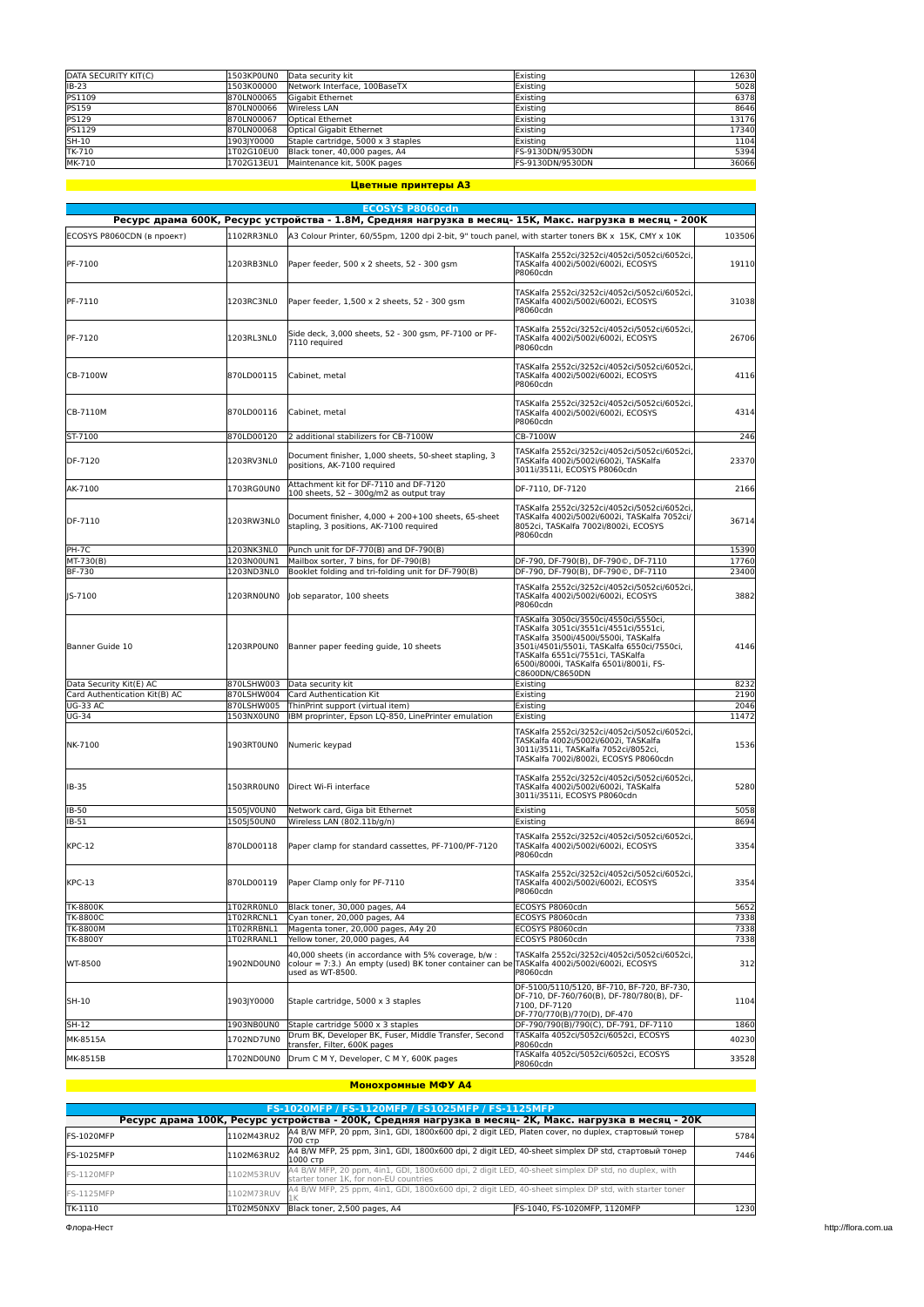| DATA SECURITY KIT(C) | 1503KP0UN0 | Data security kit                  | Existing         | 12630 |
|----------------------|------------|------------------------------------|------------------|-------|
| $IB-23$              | 1503K00000 | Network Interface, 100BaseTX       | Existing         | 5028  |
| <b>PS1109</b>        | 870LN00065 | Gigabit Ethernet                   | Existing         | 6378  |
| <b>PS159</b>         | 870LN00066 | Wireless LAN                       | Existing         | 8646  |
| <b>PS129</b>         | 870LN00067 | <b>Optical Ethernet</b>            | Existina         | 13176 |
| <b>PS1129</b>        | 870LN00068 | Optical Gigabit Ethernet           | Existina         | 17340 |
| SH-10                | 1903IY0000 | Staple cartridge, 5000 x 3 staples | Existina         | 1104  |
| TK-710               | 1T02G10EU0 | Black toner, 40,000 pages, A4      | FS-9130DN/9530DN | 5394  |
| MK-710               | 1702G13EU1 | Maintenance kit, 500K pages        | FS-9130DN/9530DN | 36066 |

### **Цветные принтеры A3**

|                               |                          | <b>ECOSYS P8060cdn</b>                                                                                                              |                                                                                                                                                                                                                                                                       |              |
|-------------------------------|--------------------------|-------------------------------------------------------------------------------------------------------------------------------------|-----------------------------------------------------------------------------------------------------------------------------------------------------------------------------------------------------------------------------------------------------------------------|--------------|
|                               |                          | Ресурс драма 600К, Ресурс устройства - 1.8М, Средняя нагрузка в месяц- 15К, Макс. нагрузка в месяц - 200К                           |                                                                                                                                                                                                                                                                       |              |
| ECOSYS P8060CDN (в проект)    | 1102RR3NL0               | A3 Colour Printer, 60/55pm, 1200 dpi 2-bit, 9" touch panel, with starter toners BK x 15K, CMY x 10K                                 |                                                                                                                                                                                                                                                                       | 103506       |
| PF-7100                       | 1203RB3NL0               | Paper feeder, 500 x 2 sheets, 52 - 300 gsm                                                                                          | TASKalfa 2552ci/3252ci/4052ci/5052ci/6052ci,<br>TASKalfa 4002i/5002i/6002i, ECOSYS<br>P8060cdn                                                                                                                                                                        | 19110        |
| PF-7110                       | 1203RC3NL0               | Paper feeder, 1,500 x 2 sheets, 52 - 300 qsm                                                                                        | TASKalfa 2552ci/3252ci/4052ci/5052ci/6052ci,<br>TASKalfa 4002i/5002i/6002i, ECOSYS<br>P8060cdn                                                                                                                                                                        | 31038        |
| PF-7120                       | 1203RL3NL0               | Side deck, 3,000 sheets, 52 - 300 gsm, PF-7100 or PF-<br>7110 required                                                              | TASKalfa 2552ci/3252ci/4052ci/5052ci/6052ci,<br>TASKalfa 4002i/5002i/6002i, ECOSYS<br>P8060cdn                                                                                                                                                                        | 26706        |
| CB-7100W                      | 870LD00115               | Cabinet, metal                                                                                                                      | TASKalfa 2552ci/3252ci/4052ci/5052ci/6052ci,<br>TASKalfa 4002i/5002i/6002i, ECOSYS<br>P8060cdn                                                                                                                                                                        | 4116         |
| CB-7110M                      | 870LD00116               | Cabinet, metal                                                                                                                      | TASKalfa 2552ci/3252ci/4052ci/5052ci/6052ci,<br>TASKalfa 4002i/5002i/6002i, ECOSYS<br>P8060cdn                                                                                                                                                                        | 4314         |
| ST-7100                       | 870LD00120               | 2 additional stabilizers for CB-7100W                                                                                               | CB-7100W                                                                                                                                                                                                                                                              | 246          |
| DF-7120                       | 1203RV3NL0               | Document finisher, 1,000 sheets, 50-sheet stapling, 3<br>positions, AK-7100 required                                                | TASKalfa 2552ci/3252ci/4052ci/5052ci/6052ci,<br>TASKalfa 4002i/5002i/6002i, TASKalfa<br>3011i/3511i, ECOSYS P8060cdn                                                                                                                                                  | 23370        |
| AK-7100                       | 1703RG0UN0               | Attachment kit for DF-7110 and DF-7120<br>100 sheets, 52 - 300g/m2 as output tray                                                   | DF-7110, DF-7120                                                                                                                                                                                                                                                      | 2166         |
| DF-7110                       | 1203RW3NL0               | Document finisher. 4.000 + 200+100 sheets. 65-sheet<br>stapling, 3 positions, AK-7100 required                                      | TASKalfa 2552ci/3252ci/4052ci/5052ci/6052ci,<br>TASKalfa 4002i/5002i/6002i, TASKalfa 7052ci/<br>8052ci, TASKalfa 7002i/8002i, ECOSYS<br>P8060cdn                                                                                                                      | 36714        |
| PH-7C                         | 1203NK3NL0               | Punch unit for DF-770(B) and DF-790(B)                                                                                              |                                                                                                                                                                                                                                                                       | 15390        |
| MT-730(B)                     | 1203N00UN1               | Mailbox sorter, 7 bins, for DF-790(B)                                                                                               | DF-790, DF-790(B), DF-790©, DF-7110                                                                                                                                                                                                                                   | 17760        |
| BF-730                        | 1203ND3NL0               | Booklet folding and tri-folding unit for DF-790(B)                                                                                  | DF-790, DF-790(B), DF-790©, DF-7110                                                                                                                                                                                                                                   | 23400        |
| IS-7100                       | 1203RNOUNO               | Job separator, 100 sheets                                                                                                           | TASKalfa 2552ci/3252ci/4052ci/5052ci/6052ci,<br>TASKalfa 4002i/5002i/6002i, ECOSYS<br>P8060cdn                                                                                                                                                                        | 3882         |
| Banner Guide 10               | 1203RP0UN0               | Banner paper feeding guide, 10 sheets                                                                                               | TASKalfa 3050ci/3550ci/4550ci/5550ci,<br>TASKalfa 3051ci/3551ci/4551ci/5551ci.<br>TASKalfa 3500i/4500i/5500i, TASKalfa<br>3501i/4501i/5501i, TASKalfa 6550ci/7550ci,<br>TASKalfa 6551ci/7551ci, TASKalfa<br>6500i/8000i, TASKalfa 6501i/8001i, FS-<br>C8600DN/C8650DN | 4146         |
| Data Security Kit(E) AC       | 870LSHW003               | Data security kit                                                                                                                   | Existing                                                                                                                                                                                                                                                              | 8232         |
| Card Authentication Kit(B) AC | 870LSHW004               | Card Authentication Kit                                                                                                             | Existing                                                                                                                                                                                                                                                              | 2190         |
| <b>UG-33 AC</b>               | 870LSHW005               | ThinPrint support (virtual item)                                                                                                    | Existing                                                                                                                                                                                                                                                              | 2046         |
| <b>UG-34</b>                  | 1503NX0UN0               | IBM proprinter, Epson LQ-850, LinePrinter emulation                                                                                 | Existing                                                                                                                                                                                                                                                              | 11472        |
| NK-7100                       | 1903RT0UN0               | Numeric keypad                                                                                                                      | TASKalfa 2552ci/3252ci/4052ci/5052ci/6052ci,<br>TASKalfa 4002i/5002i/6002i, TASKalfa<br>3011i/3511i, TASKalfa 7052ci/8052ci,<br>TASKalfa 7002i/8002i, ECOSYS P8060cdn                                                                                                 | 1536         |
| IB-35                         | 1503RR0UN0               | Direct Wi-Fi interface                                                                                                              | TASKalfa 2552ci/3252ci/4052ci/5052ci/6052ci,<br>TASKalfa 4002i/5002i/6002i, TASKalfa<br>3011i/3511i, ECOSYS P8060cdn                                                                                                                                                  | 5280         |
| IB-50                         | 1505JV0UN0               | Network card, Giga bit Ethernet                                                                                                     | Existing                                                                                                                                                                                                                                                              | 5058         |
| IB-51<br><b>KPC-12</b>        | 1505J50UN0<br>870LD00118 | Wireless LAN (802.11b/g/n)<br>Paper clamp for standard cassettes, PF-7100/PF-7120                                                   | Existing<br>TASKalfa 2552ci/3252ci/4052ci/5052ci/6052ci,<br>TASKalfa 4002i/5002i/6002i, ECOSYS                                                                                                                                                                        | 8694<br>3354 |
|                               |                          |                                                                                                                                     | P8060cdn<br>TASKalfa 2552ci/3252ci/4052ci/5052ci/6052ci,                                                                                                                                                                                                              |              |
| <b>KPC-13</b>                 | 870LD00119               | Paper Clamp only for PF-7110                                                                                                        | TASKalfa 4002i/5002i/6002i, ECOSYS<br>P8060cdn                                                                                                                                                                                                                        | 3354         |
| <b>TK-8800K</b>               | 1T02RR0NL0               | Black toner, 30,000 pages, A4                                                                                                       | ECOSYS P8060cdn                                                                                                                                                                                                                                                       | 5652         |
| <b>TK-8800C</b>               | 1T02RRCNL1               | Cyan toner, 20,000 pages, A4                                                                                                        | ECOSYS P8060cdn                                                                                                                                                                                                                                                       | 7338         |
| <b>TK-8800M</b>               | 1T02RRBNL1               | Magenta toner, 20,000 pages, A4y 20                                                                                                 | ECOSYS P8060cdn                                                                                                                                                                                                                                                       | 7338         |
| <b>TK-8800Y</b>               | 1T02RRANL1               | Yellow toner, 20,000 pages, A4                                                                                                      | ECOSYS P8060cdn                                                                                                                                                                                                                                                       | 7338         |
| WT-8500                       | 1902ND0UN0               | 40,000 sheets (in accordance with 5% coverage, b/w :<br>colour = 7:3.) An empty (used) BK toner container can b<br>used as WT-8500. | TASKalfa 2552ci/3252ci/4052ci/5052ci/6052ci,<br>TASKalfa 4002i/5002i/6002i, ECOSYS<br>P8060cdn                                                                                                                                                                        | 312          |
| SH-10                         | 1903JY0000               | Staple cartridge, 5000 x 3 staples                                                                                                  | DF-5100/5110/5120, BF-710, BF-720, BF-730,<br>DF-710, DF-760/760(B), DF-780/780(B), DF-<br>7100, DF-7120<br>DF-770/770(B)/770(D), DF-470                                                                                                                              | 1104         |
| SH-12                         | 1903NB0UN0               | Staple cartridge 5000 x 3 staples                                                                                                   | DF-790/790(B)/790(C), DF-791, DF-7110                                                                                                                                                                                                                                 | 1860         |
| MK-8515A                      | 1702ND7UN0               | Drum BK, Developer BK, Fuser, Middle Transfer, Second                                                                               | TASKalfa 4052ci/5052ci/6052ci, ECOSYS                                                                                                                                                                                                                                 | 40230        |
| MK-8515B                      | 1702ND0UN0               | transfer, Filter, 600K pages<br>Drum C M Y, Developer, C M Y, 600K pages                                                            | P8060cdn<br>TASKalfa 4052ci/5052ci/6052ci, ECOSYS<br>P8060cdn                                                                                                                                                                                                         | 33528        |
|                               |                          |                                                                                                                                     |                                                                                                                                                                                                                                                                       |              |

#### **Монохромные МФУ A4**

|                   |            | <b>FS-1020MFP / FS-1120MFP / FS1025MFP / FS-1125MFP</b>                                                                                      |                              |      |
|-------------------|------------|----------------------------------------------------------------------------------------------------------------------------------------------|------------------------------|------|
|                   |            | Ресурс драма 100К, Ресурс устройства - 200К, Средняя нагрузка в месяц- 2К, Макс. нагрузка в месяц - 20К                                      |                              |      |
| IFS-1020MFP       | 1102M43RU2 | A4 B/W MFP, 20 ppm, 3in1, GDI, 1800x600 dpi, 2 digit LED, Platen cover, no duplex, стартовый тонер<br>700 стр                                |                              | 5784 |
| IFS-1025MFP       | 1102M63RU2 | A4 B/W MFP, 25 ppm, 3in1, GDI, 1800x600 dpi, 2 digit LED, 40-sheet simplex DP std, стартовый тонер<br>1000 стр                               |                              | 7446 |
| FS-1120MFP        | 1102M53RUV | A4 B/W MFP, 20 ppm, 4in1, GDI, 1800x600 dpi, 2 digit LED, 40-sheet simplex DP std, no duplex, with<br>starter toner 1K, for non-EU countries |                              |      |
| <b>FS-1125MFP</b> | 1102M73RUV | A4 B/W MFP, 25 ppm, 4in1, GDI, 1800x600 dpi, 2 digit LED, 40-sheet simplex DP std, with starter toner                                        |                              |      |
| TK-1110           | 1T02M50NXV | Black toner, 2,500 pages, A4                                                                                                                 | FS-1040. FS-1020MFP. 1120MFP | 1230 |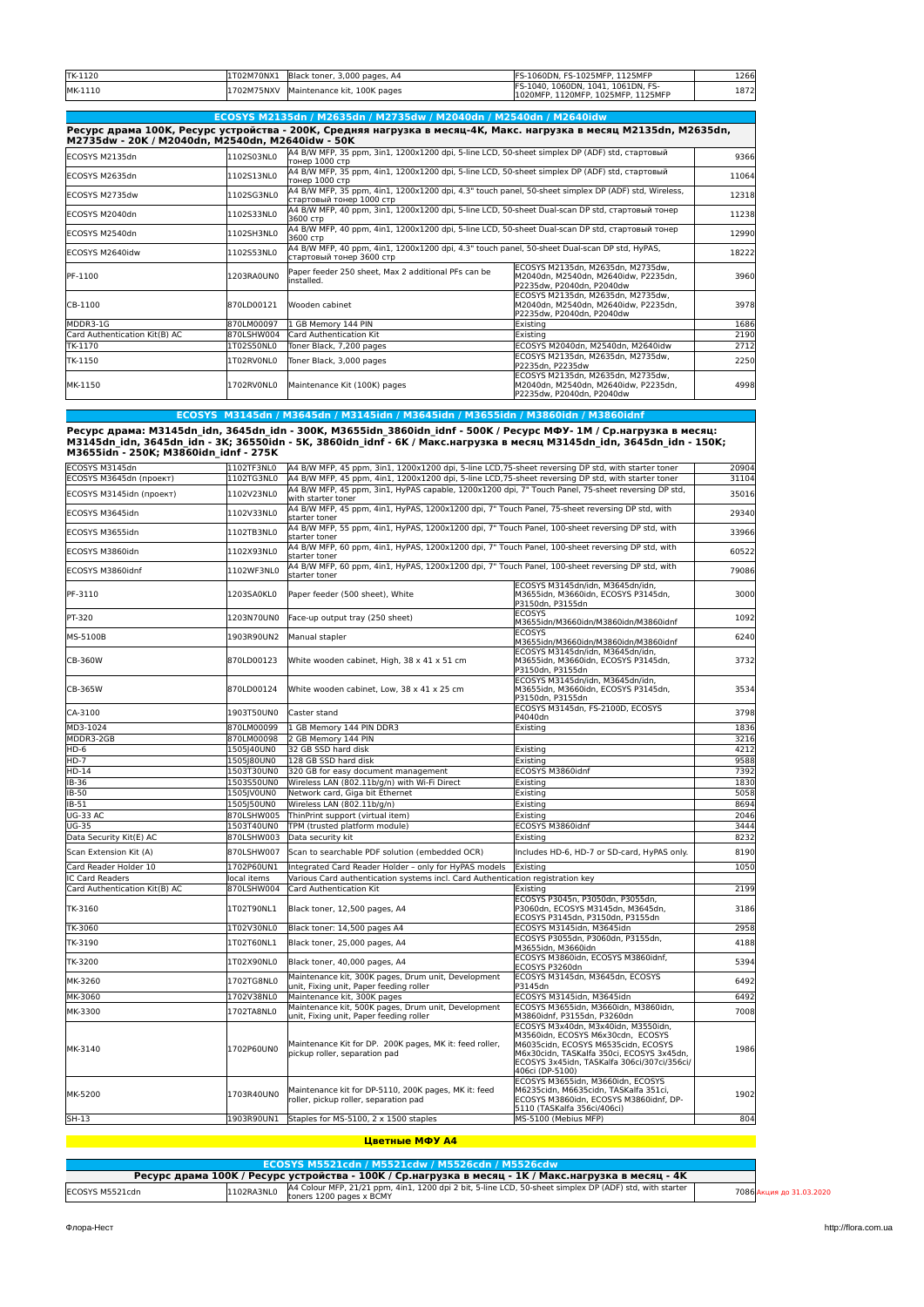| TK-1120 | 1T02M70NX1 | Black toner, 3,000 pages, A4 | FS-1060DN, FS-1025MFP, 1125MFP                                           | 1266 |
|---------|------------|------------------------------|--------------------------------------------------------------------------|------|
| MK-1110 | 1702M75NXV | Maintenance kit, 100K pages  | FS-1040, 1060DN, 1041, 1061DN, FS-<br>1020MFP. 1120MFP. 1025MFP. 1125MFP | 1872 |

|                                                  |            | ECOSYS M2135dn / M2635dn / M2735dw / M2040dn / M2540dn / M2640idw                                                               |                                                                                                        |       |
|--------------------------------------------------|------------|---------------------------------------------------------------------------------------------------------------------------------|--------------------------------------------------------------------------------------------------------|-------|
| M2735dw - 20K / M2040dn, M2540dn, M2640idw - 50K |            | Ресурс драма 100К, Ресурс устройства - 200К, Средняя нагрузка в месяц-4К, Макс. нагрузка в месяц M2135dn, M2635dn,              |                                                                                                        |       |
| ECOSYS M2135dn                                   | 1102S03NL0 | A4 B/W MFP, 35 ppm, 3in1, 1200x1200 dpi, 5-line LCD, 50-sheet simplex DP (ADF) std, стартовый<br>тонер 1000 стр                 |                                                                                                        | 9366  |
| IECOSYS M2635dn                                  | 1102S13NL0 | A4 B/W MFP, 35 ppm, 4in1, 1200x1200 dpi, 5-line LCD, 50-sheet simplex DP (ADF) std, стартовый<br>тонер 1000 стр                 |                                                                                                        | 11064 |
| IECOSYS M2735dw                                  | 1102SG3NL0 | A4 B/W MFP, 35 ppm, 4in1, 1200x1200 dpi, 4.3" touch panel, 50-sheet simplex DP (ADF) std, Wireless,<br>стартовый тонер 1000 стр |                                                                                                        | 12318 |
| ECOSYS M2040dn                                   | 1102S33NL0 | A4 B/W MFP, 40 ppm, 3in1, 1200x1200 dpi, 5-line LCD, 50-sheet Dual-scan DP std, стартовый тонер<br>3600 стр                     |                                                                                                        | 11238 |
| ECOSYS M2540dn                                   | 1102SH3NL0 | A4 B/W MFP, 40 ppm, 4in1, 1200x1200 dpi, 5-line LCD, 50-sheet Dual-scan DP std, стартовый тонер<br>3600 стр                     |                                                                                                        | 12990 |
| ECOSYS M2640idw                                  | 1102S53NL0 | A4 B/W MFP, 40 ppm, 4in1, 1200x1200 dpi, 4.3" touch panel, 50-sheet Dual-scan DP std, HyPAS,<br>стартовый тонер 3600 стр        |                                                                                                        | 18222 |
| PF-1100                                          | 1203RA0UNO | Paper feeder 250 sheet. Max 2 additional PFs can be<br>installed.                                                               | ECOSYS M2135dn. M2635dn. M2735dw.<br>M2040dn, M2540dn, M2640idw, P2235dn,<br>P2235dw. P2040dn. P2040dw | 3960  |
| $CR-1100$                                        | 870LD00121 | Wooden cabinet                                                                                                                  | ECOSYS M2135dn. M2635dn. M2735dw.<br>M2040dn, M2540dn, M2640idw, P2235dn,<br>P2235dw. P2040dn. P2040dw | 3978  |
| MDDR3-1G                                         | 870LM00097 | 1 GB Memory 144 PIN                                                                                                             | Existing                                                                                               | 1686  |
| Card Authentication Kit(B) AC                    | 870LSHW004 | Card Authentication Kit                                                                                                         | Existina                                                                                               | 2190  |
| TK-1170                                          | 1T02S50NL0 | Toner Black, 7,200 pages                                                                                                        | ECOSYS M2040dn, M2540dn, M2640idw                                                                      | 2712  |
| TK-1150                                          | 1T02RV0NL0 | Toner Black, 3,000 pages                                                                                                        | ECOSYS M2135dn, M2635dn, M2735dw,<br>P2235dn. P2235dw                                                  | 2250  |
| MK-1150                                          | 1702RV0NL0 | Maintenance Kit (100K) pages                                                                                                    | ECOSYS M2135dn, M2635dn, M2735dw,<br>M2040dn. M2540dn. M2640idw. P2235dn.<br>P2235dw. P2040dn. P2040dw | 4998  |

# **ECOSYS M3145dn / M3645dn / M3145idn / M3645idn / M3655idn / M3860idn / M3860idnf** Pecypc драма: M3145dn\_idn, 3645dn\_idn - 300K, M3655idn\_3860idn\_idnf - 500K / Ресурс МФУ- 1M / Ср.нагрузка в месяц:<br>M3145dn\_idn, 3645dn\_idn - 3K; 36550idn - 5K, 3860idn\_idnf - 6K / Макс.нагрузка в месяц M3145dn\_idn, 3645dn

| ECOSYS M3145dn                | 1102TF3NL0  | A4 B/W MFP, 45 ppm, 3in1, 1200x1200 dpi, 5-line LCD, 75-sheet reversing DP std, with starter toner                       |                                                                                                                                                                                                                                | 20904 |
|-------------------------------|-------------|--------------------------------------------------------------------------------------------------------------------------|--------------------------------------------------------------------------------------------------------------------------------------------------------------------------------------------------------------------------------|-------|
| ECOSYS M3645dn (проект)       | 1102TG3NL0  | A4 B/W MFP, 45 ppm, 4in1, 1200x1200 dpi, 5-line LCD,75-sheet reversing DP std, with starter toner                        |                                                                                                                                                                                                                                | 31104 |
| ECOSYS M3145idn (проект)      | 1102V23NL0  | A4 B/W MFP, 45 ppm, 3in1, HyPAS capable, 1200x1200 dpi, 7" Touch Panel, 75-sheet reversing DP std,<br>with starter toner |                                                                                                                                                                                                                                | 35016 |
| ECOSYS M3645idn               | 1102V33NL0  | A4 B/W MFP, 45 ppm, 4in1, HyPAS, 1200x1200 dpi, 7" Touch Panel, 75-sheet reversing DP std, with<br>starter toner         |                                                                                                                                                                                                                                | 29340 |
| ECOSYS M3655idn               | 1102TB3NL0  | A4 B/W MFP, 55 ppm, 4in1, HyPAS, 1200x1200 dpi, 7" Touch Panel, 100-sheet reversing DP std, with<br>starter toner        |                                                                                                                                                                                                                                | 33966 |
| ECOSYS M3860idn               | 1102X93NL0  | A4 B/W MFP, 60 ppm, 4in1, HyPAS, 1200x1200 dpi, 7" Touch Panel, 100-sheet reversing DP std, with<br>starter toner        |                                                                                                                                                                                                                                | 60522 |
| ECOSYS M3860idnf              | 1102WF3NL0  | A4 B/W MFP, 60 ppm, 4in1, HyPAS, 1200x1200 dpi, 7" Touch Panel, 100-sheet reversing DP std, with<br>starter toner        |                                                                                                                                                                                                                                | 79086 |
| PF-3110                       | 1203SA0KL0  | Paper feeder (500 sheet), White                                                                                          | ECOSYS M3145dn/idn, M3645dn/idn,<br>M3655idn, M3660idn, ECOSYS P3145dn,<br>P3150dn, P3155dn                                                                                                                                    | 3000  |
| PT-320                        | 1203N70UN0  | Face-up output tray (250 sheet)                                                                                          | <b>ECOSYS</b><br>M3655idn/M3660idn/M3860idn/M3860idnf                                                                                                                                                                          | 1092  |
| MS-5100B                      | 1903R90UN2  | Manual stapler                                                                                                           | <b>ECOSYS</b><br>M3655idn/M3660idn/M3860idn/M3860idnf                                                                                                                                                                          | 6240  |
| <b>CB-360W</b>                | 870LD00123  | White wooden cabinet, High, 38 x 41 x 51 cm                                                                              | ECOSYS M3145dn/idn. M3645dn/idn.<br>M3655idn, M3660idn, ECOSYS P3145dn,<br>P3150dn, P3155dn                                                                                                                                    | 3732  |
| <b>CB-365W</b>                | 870LD00124  | White wooden cabinet, Low, 38 x 41 x 25 cm                                                                               | ECOSYS M3145dn/idn, M3645dn/idn,<br>M3655idn, M3660idn, ECOSYS P3145dn,<br>P3150dn, P3155dn                                                                                                                                    | 3534  |
| CA-3100                       | 1903T50UN0  | Caster stand                                                                                                             | ECOSYS M3145dn, FS-2100D, ECOSYS<br>P4040dn                                                                                                                                                                                    | 3798  |
| MD3-1024                      | 870LM00099  | 1 GB Memory 144 PIN DDR3                                                                                                 | Existing                                                                                                                                                                                                                       | 1836  |
| MDDR3-2GB                     | 870LM00098  | 2 GB Memory 144 PIN                                                                                                      |                                                                                                                                                                                                                                | 3216  |
| $HD-6$                        | 1505140UN0  | 32 GB SSD hard disk                                                                                                      | Existina                                                                                                                                                                                                                       | 4212  |
| $HD-7$                        | 1505180UN0  | 128 GB SSD hard disk                                                                                                     | Existing                                                                                                                                                                                                                       | 9588  |
| HD-14                         | 1503T30UN0  | 320 GB for easy document management                                                                                      | ECOSYS M3860idnf                                                                                                                                                                                                               | 7392  |
| $IB-36$                       | 1503S50UN0  | Wireless LAN (802.11b/g/n) with Wi-Fi Direct                                                                             | Existing                                                                                                                                                                                                                       | 1830  |
| IB-50                         | 1505JV0UN0  | Network card, Giga bit Ethernet                                                                                          | Existing                                                                                                                                                                                                                       | 5058  |
| IB-51                         | 1505J50UN0  | Wireless LAN (802.11b/g/n)                                                                                               | Existing                                                                                                                                                                                                                       | 8694  |
| UG-33 AC                      | 870LSHW005  | ThinPrint support (virtual item)                                                                                         | Existing                                                                                                                                                                                                                       | 2046  |
| UG-35                         | 1503T40UN0  | TPM (trusted platform module)                                                                                            | ECOSYS M3860idnf                                                                                                                                                                                                               | 3444  |
| Data Security Kit(E) AC       | 870LSHW003  | Data security kit                                                                                                        | Existina                                                                                                                                                                                                                       | 8232  |
| Scan Extension Kit (A)        | 870LSHW007  | Scan to searchable PDF solution (embedded OCR)                                                                           | Includes HD-6, HD-7 or SD-card, HyPAS only.                                                                                                                                                                                    | 8190  |
| Card Reader Holder 10         | 1702P60UN1  | Integrated Card Reader Holder - only for HyPAS models                                                                    | Existing                                                                                                                                                                                                                       | 1050  |
| <b>IC Card Readers</b>        | local items | Various Card authentication systems incl. Card Authentication registration key                                           |                                                                                                                                                                                                                                |       |
| Card Authentication Kit(B) AC | 870LSHW004  | Card Authentication Kit                                                                                                  | Existing                                                                                                                                                                                                                       | 2199  |
| TK-3160                       | 1T02T90NL1  | Black toner, 12,500 pages, A4                                                                                            | ECOSYS P3045n, P3050dn, P3055dn,<br>P3060dn, ECOSYS M3145dn, M3645dn,<br>ECOSYS P3145dn, P3150dn, P3155dn                                                                                                                      | 3186  |
| TK-3060                       | 1T02V30NL0  | Black toner: 14,500 pages A4                                                                                             | ECOSYS M3145idn, M3645idn                                                                                                                                                                                                      | 2958  |
| TK-3190                       | 1T02T60NL1  | Black toner, 25,000 pages, A4                                                                                            | ECOSYS P3055dn. P3060dn. P3155dn.<br>M3655idn, M3660idn                                                                                                                                                                        | 4188  |
| TK-3200                       | 1T02X90NL0  | Black toner, 40,000 pages, A4                                                                                            | ECOSYS M3860idn, ECOSYS M3860idnf,<br>ECOSYS P3260dn                                                                                                                                                                           | 5394  |
| MK-3260                       | 1702TG8NL0  | Maintenance kit, 300K pages, Drum unit, Development<br>unit, Fixing unit, Paper feeding roller                           | ECOSYS M3145dn, M3645dn, ECOSYS<br>P3145dn                                                                                                                                                                                     | 6492  |
| MK-3060                       | 1702V38NL0  | Maintenance kit. 300K pages                                                                                              | ECOSYS M3145idn, M3645idn                                                                                                                                                                                                      | 6492  |
| MK-3300                       | 1702TA8NL0  | Maintenance kit, 500K pages, Drum unit, Development<br>unit, Fixing unit, Paper feeding roller                           | ECOSYS M3655idn, M3660idn, M3860idn,<br>M3860idnf, P3155dn, P3260dn                                                                                                                                                            | 7008  |
| MK-3140                       | 1702P60UN0  | Maintenance Kit for DP. 200K pages, MK it: feed roller,<br>pickup roller, separation pad                                 | ECOSYS M3x40dn, M3x40idn, M3550idn,<br>M3560idn, ECOSYS M6x30cdn, ECOSYS<br>M6035cidn, ECOSYS M6535cidn, ECOSYS<br>M6x30cidn, TASKalfa 350ci, ECOSYS 3x45dn,<br>ECOSYS 3x45idn, TASKalfa 306ci/307ci/356ci/<br>406ci (DP-5100) | 1986  |
| MK-5200                       | 1703R40UN0  | Maintenance kit for DP-5110, 200K pages, MK it: feed<br>roller, pickup roller, separation pad                            | ECOSYS M3655idn, M3660idn, ECOSYS<br>M6235cidn, M6635cidn, TASKalfa 351ci,<br>ECOSYS M3860idn, ECOSYS M3860idnf, DP-<br>5110 (TASKalfa 356ci/406ci)                                                                            | 1902  |
| $SH-13$                       |             | 1903R90UN1 Staples for MS-5100, 2 x 1500 staples                                                                         | MS-5100 (Mebius MFP)                                                                                                                                                                                                           | 804   |

#### **Цветные МФУ A4**

|  | <b>HOCINOIC MAY MA</b> |  |  |
|--|------------------------|--|--|
|  |                        |  |  |
|  |                        |  |  |
|  |                        |  |  |
|  |                        |  |  |
|  |                        |  |  |
|  |                        |  |  |
|  |                        |  |  |

**ECOSYS M5521cdn / M5521cdw / M5526cdn / M5526cdw Ресурс драма 100K / Ресурс устройства - 100K / Ср.нагрузка в месяц - 1K / Макс.нагрузка в месяц - 4K** ECOSYS M5521cdn 1102RA3NL0 7086 Акция до 31.03.2020 A4 Colour MFP, 21/21 ppm, 4in1, 1200 dpi 2 bit, 5-line LCD, 50-sheet simplex DP (ADF) std, with starter toners 1200 pages x BCMY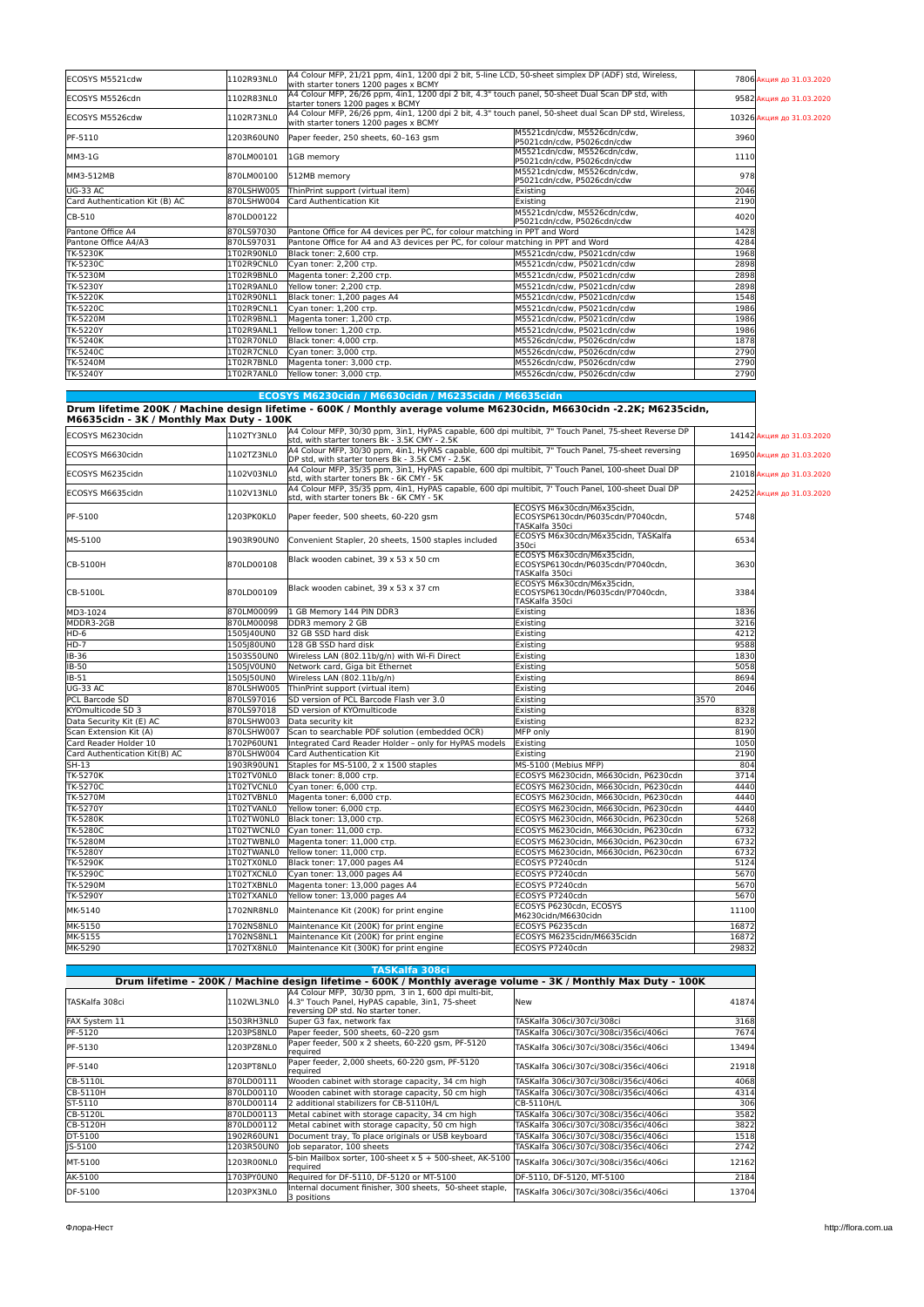| ECOSYS M5521cdw                | 1102R93NL0 | with starter toners 1200 pages x BCMY                                            | A4 Colour MFP, 21/21 ppm, 4in1, 1200 dpi 2 bit, 5-line LCD, 50-sheet simplex DP (ADF) std, Wireless,   |      | 7806 Акция до 31.03.2020  |
|--------------------------------|------------|----------------------------------------------------------------------------------|--------------------------------------------------------------------------------------------------------|------|---------------------------|
| ECOSYS M5526cdn                | 1102R83NL0 | starter toners 1200 pages x BCMY                                                 | A4 Colour MFP, 26/26 ppm, 4in1, 1200 dpi 2 bit, 4.3" touch panel, 50-sheet Dual Scan DP std, with      |      | 9582 Акция до 31.03.2020  |
| ECOSYS M5526cdw                | 1102R73NL0 | with starter toners 1200 pages x BCMY                                            | A4 Colour MFP, 26/26 ppm, 4in1, 1200 dpi 2 bit, 4.3" touch panel, 50-sheet dual Scan DP std, Wireless, |      | 10326 Акция до 31.03.2020 |
| PF-5110                        | 1203R60UN0 | Paper feeder, 250 sheets, 60-163 gsm                                             | M5521cdn/cdw. M5526cdn/cdw.<br>P5021cdn/cdw. P5026cdn/cdw                                              | 3960 |                           |
| MM3-1G                         | 870LM00101 | 1GB memory                                                                       | M5521cdn/cdw. M5526cdn/cdw.<br>P5021cdn/cdw. P5026cdn/cdw                                              | 1110 |                           |
| MM3-512MB                      | 870LM00100 | 512MB memory                                                                     | M5521cdn/cdw. M5526cdn/cdw.<br>P5021cdn/cdw. P5026cdn/cdw                                              | 978  |                           |
| <b>UG-33 AC</b>                | 870LSHW005 | ThinPrint support (virtual item)                                                 | Existing                                                                                               | 2046 |                           |
| Card Authentication Kit (B) AC | 870LSHW004 | Card Authentication Kit                                                          | Existina                                                                                               | 2190 |                           |
| CB-510                         | 870LD00122 |                                                                                  | M5521cdn/cdw. M5526cdn/cdw.<br>P5021cdn/cdw, P5026cdn/cdw                                              | 4020 |                           |
| Pantone Office A4              | 870LS97030 | Pantone Office for A4 devices per PC, for colour matching in PPT and Word        |                                                                                                        | 1428 |                           |
| Pantone Office A4/A3           | 870LS97031 | Pantone Office for A4 and A3 devices per PC, for colour matching in PPT and Word |                                                                                                        | 4284 |                           |
| TK-5230K                       | 1T02R90NL0 | Black toner: 2,600 стр.                                                          | M5521cdn/cdw, P5021cdn/cdw                                                                             | 1968 |                           |
| <b>TK-5230C</b>                | 1T02R9CNL0 | Cyan toner: 2,200 стр.                                                           | M5521cdn/cdw. P5021cdn/cdw                                                                             | 2898 |                           |
| <b>TK-5230M</b>                | 1T02R9BNL0 | Magenta toner: 2,200 стр.                                                        | M5521cdn/cdw, P5021cdn/cdw                                                                             | 2898 |                           |
| TK-5230Y                       | 1T02R9ANL0 | Yellow toner: 2,200 стр.                                                         | M5521cdn/cdw. P5021cdn/cdw                                                                             | 2898 |                           |
| <b>TK-5220K</b>                | 1T02R90NL1 | Black toner: 1,200 pages A4                                                      | M5521cdn/cdw. P5021cdn/cdw                                                                             | 1548 |                           |
| <b>TK-5220C</b>                | 1T02R9CNL1 | lCvan toner: 1.200 стр.                                                          | M5521cdn/cdw. P5021cdn/cdw                                                                             | 1986 |                           |
| <b>TK-5220M</b>                | 1T02R9BNL1 | Magenta toner: 1,200 стр.                                                        | M5521cdn/cdw. P5021cdn/cdw                                                                             | 1986 |                           |
| TK-5220Y                       | 1T02R9ANL1 | Yellow toner: 1,200 стр.                                                         | M5521cdn/cdw. P5021cdn/cdw                                                                             | 1986 |                           |
| <b>TK-5240K</b>                | 1T02R70NL0 | Black toner: 4.000 CTD.                                                          | M5526cdn/cdw. P5026cdn/cdw                                                                             | 1878 |                           |
| TK-5240C                       | 1T02R7CNL0 | Cyan toner: 3,000 стр.                                                           | M5526cdn/cdw. P5026cdn/cdw                                                                             | 2790 |                           |
| <b>TK-5240M</b>                | 1T02R7BNL0 | Magenta toner: 3,000 стр.                                                        | M5526cdn/cdw, P5026cdn/cdw                                                                             | 2790 |                           |
| <b>TK-5240Y</b>                | 1T02R7ANL0 | Yellow toner: 3.000 стр.                                                         | M5526cdn/cdw. P5026cdn/cdw                                                                             | 2790 |                           |

| ECOSYS M6230cidn / M6630cidn / M6235cidn / M6635cidn                                                                |  |
|---------------------------------------------------------------------------------------------------------------------|--|
| Drum lifetime 200K / Machine design lifetime - 600K / Monthly average volume M6230cidn, M6630cidn -2.2K; M6235cidn, |  |

| M6635cidn - 3K / Monthly Max Duty - 100K |            |                                                                                                                                                         |                                                                                   |       |                           |
|------------------------------------------|------------|---------------------------------------------------------------------------------------------------------------------------------------------------------|-----------------------------------------------------------------------------------|-------|---------------------------|
| ECOSYS M6230cidn                         | 1102TY3NL0 | A4 Colour MFP, 30/30 ppm, 3in1, HyPAS capable, 600 dpi multibit, 7" Touch Panel, 75-sheet Reverse DP<br>std, with starter toners Bk - 3.5K CMY - 2.5K   |                                                                                   |       | 14142 Акция до 31.03.2020 |
| ECOSYS M6630cidn                         | 1102TZ3NL0 | A4 Colour MFP, 30/30 ppm, 4in1, HyPAS capable, 600 dpi multibit, 7" Touch Panel, 75-sheet reversing<br>DP std, with starter toners Bk - 3.5K CMY - 2.5K |                                                                                   |       | 16950 Акция до 31.03.2020 |
| ECOSYS M6235cidn                         | 1102V03NL0 | A4 Colour MFP, 35/35 ppm, 3in1, HyPAS capable, 600 dpi multibit, 7' Touch Panel, 100-sheet Dual DP<br>std, with starter toners Bk - 6K CMY - 5K         |                                                                                   |       | 21018 Акция до 31.03.2020 |
| ECOSYS M6635cidn                         | 1102V13NL0 | A4 Colour MFP, 35/35 ppm, 4in1, HyPAS capable, 600 dpi multibit, 7' Touch Panel, 100-sheet Dual DP<br>std, with starter toners Bk - 6K CMY - 5K         |                                                                                   |       | 24252 Акция до 31.03.2020 |
| PF-5100                                  | 1203PK0KL0 | Paper feeder, 500 sheets, 60-220 qsm                                                                                                                    | ECOSYS M6x30cdn/M6x35cidn,<br>ECOSYSP6130cdn/P6035cdn/P7040cdn,<br>TASKalfa 350ci | 5748  |                           |
| MS-5100                                  | 1903R90UN0 | Convenient Stapler, 20 sheets, 1500 staples included                                                                                                    | ECOSYS M6x30cdn/M6x35cidn, TASKalfa<br>350ci                                      | 6534  |                           |
| CB-5100H                                 | 870LD00108 | Black wooden cabinet, 39 x 53 x 50 cm                                                                                                                   | ECOSYS M6x30cdn/M6x35cidn.<br>ECOSYSP6130cdn/P6035cdn/P7040cdn,<br>TASKalfa 350ci | 3630  |                           |
| CB-5100L                                 | 870LD00109 | Black wooden cabinet, 39 x 53 x 37 cm                                                                                                                   | ECOSYS M6x30cdn/M6x35cidn,<br>ECOSYSP6130cdn/P6035cdn/P7040cdn,<br>TASKalfa 350ci | 3384  |                           |
| MD3-1024                                 | 870LM00099 | 1 GB Memory 144 PIN DDR3                                                                                                                                | Existing                                                                          | 1836  |                           |
| MDDR3-2GB                                | 870LM00098 | DDR3 memory 2 GB                                                                                                                                        | Existing                                                                          | 3216  |                           |
| HD-6                                     | 1505 40UN0 | 32 GB SSD hard disk                                                                                                                                     | Existing                                                                          | 4212  |                           |
| $HD-7$                                   | 1505180UN0 | 128 GB SSD hard disk                                                                                                                                    | Existing                                                                          | 9588  |                           |
| IB-36                                    | 1503S50UN0 | Wireless LAN (802.11b/g/n) with Wi-Fi Direct                                                                                                            | Existing                                                                          | 1830  |                           |
| <b>IB-50</b>                             | 1505JV0UN0 | Network card, Giga bit Ethernet                                                                                                                         | Existing                                                                          | 5058  |                           |
| IB-51                                    | 1505J50UN0 | Wireless LAN (802.11b/g/n)                                                                                                                              | Existing                                                                          | 8694  |                           |
| UG-33 AC                                 | 870LSHW005 | ThinPrint support (virtual item)                                                                                                                        | Existing                                                                          | 2046  |                           |
| PCL Barcode SD                           | 870LS97016 | SD version of PCL Barcode Flash ver 3.0                                                                                                                 | Existing                                                                          | 3570  |                           |
| KYOmulticode SD 3                        | 870LS97018 | SD version of KYOmulticode                                                                                                                              | Existing                                                                          | 8328  |                           |
| Data Security Kit (E) AC                 | 870LSHW003 | Data security kit                                                                                                                                       | Existing                                                                          | 8232  |                           |
| Scan Extension Kit (A)                   | 870LSHW007 | Scan to searchable PDF solution (embedded OCR)                                                                                                          | MFP only                                                                          | 8190  |                           |
| Card Reader Holder 10                    | 1702P60UN1 | Integrated Card Reader Holder - only for HyPAS models                                                                                                   | Existina                                                                          | 1050  |                           |
| Card Authentication Kit(B) AC            | 870LSHW004 | Card Authentication Kit                                                                                                                                 | Existing                                                                          | 2190  |                           |
| $SH-13$                                  | 1903R90UN1 | Staples for MS-5100, 2 x 1500 staples                                                                                                                   | MS-5100 (Mebius MFP)                                                              | 804   |                           |
| <b>TK-5270K</b>                          | 1T02TV0NL0 | Black toner: 8,000 стр.                                                                                                                                 | ECOSYS M6230cidn, M6630cidn, P6230cdn                                             | 3714  |                           |
| <b>TK-5270C</b>                          | 1T02TVCNL0 | Cyan toner: 6,000 стр.                                                                                                                                  | ECOSYS M6230cidn, M6630cidn, P6230cdn                                             | 4440  |                           |
| <b>TK-5270M</b>                          | 1T02TVBNL0 | Magenta toner: 6,000 стр.                                                                                                                               | ECOSYS M6230cidn, M6630cidn, P6230cdn                                             | 4440  |                           |
| <b>TK-5270Y</b>                          | 1T02TVANL0 | Yellow toner: 6,000 стр.                                                                                                                                | ECOSYS M6230cidn, M6630cidn, P6230cdn                                             | 4440  |                           |
| <b>TK-5280K</b>                          | 1T02TW0NL0 | Black toner: 13,000 стр.                                                                                                                                | ECOSYS M6230cidn, M6630cidn, P6230cdn                                             | 5268  |                           |
| TK-5280C                                 | 1T02TWCNL0 | Cyan toner: 11,000 стр.                                                                                                                                 | ECOSYS M6230cidn, M6630cidn, P6230cdn                                             | 6732  |                           |
| <b>TK-5280M</b>                          | 1T02TWBNL0 | Magenta toner: 11,000 стр.                                                                                                                              | ECOSYS M6230cidn, M6630cidn, P6230cdn                                             | 6732  |                           |
| TK-5280Y                                 | 1T02TWANL0 | Yellow toner: 11,000 стр.                                                                                                                               | ECOSYS M6230cidn, M6630cidn, P6230cdn                                             | 6732  |                           |
| TK-5290K                                 | 1T02TX0NL0 | Black toner: 17,000 pages A4                                                                                                                            | ECOSYS P7240cdn                                                                   | 5124  |                           |
| TK-5290C                                 | 1T02TXCNL0 | Cyan toner: 13,000 pages A4                                                                                                                             | ECOSYS P7240cdn                                                                   | 5670  |                           |
| TK-5290M                                 | 1T02TXBNL0 | Magenta toner: 13,000 pages A4                                                                                                                          | ECOSYS P7240cdn                                                                   | 5670  |                           |
| TK-5290Y                                 | 1T02TXANL0 | Yellow toner: 13,000 pages A4                                                                                                                           | ECOSYS P7240cdn                                                                   | 5670  |                           |
| MK-5140                                  | 1702NR8NL0 | Maintenance Kit (200K) for print engine                                                                                                                 | ECOSYS P6230cdn. ECOSYS<br>M6230cidn/M6630cidn                                    | 11100 |                           |
| MK-5150                                  | 1702NS8NL0 | Maintenance Kit (200K) for print engine                                                                                                                 | ECOSYS P6235cdn                                                                   | 16872 |                           |
| MK-5155                                  | 1702NS8NL1 | Maintenance Kit (200K) for print engine                                                                                                                 | ECOSYS M6235cidn/M6635cidn                                                        | 16872 |                           |
| MK-5290                                  | 1702TX8NL0 | Maintenance Kit (300K) for print engine                                                                                                                 | ECOSYS P7240cdn                                                                   | 29832 |                           |

|                 |            | TASKalfa 308ci                                                                                                                                 |                                        |       |
|-----------------|------------|------------------------------------------------------------------------------------------------------------------------------------------------|----------------------------------------|-------|
|                 |            | Drum lifetime - 200K / Machine design lifetime - 600K / Monthly average volume - 3K / Monthly Max Duty - 100K                                  |                                        |       |
| lTASKalfa 308ci | 1102WL3NL0 | A4 Colour MFP, 30/30 ppm, 3 in 1, 600 dpi multi-bit,<br>4.3" Touch Panel, HyPAS capable, 3in1, 75-sheet<br>reversing DP std. No starter toner. | lNew                                   | 41874 |
| FAX System 11   | 1503RH3NL0 | Super G3 fax, network fax                                                                                                                      | TASKalfa 306ci/307ci/308ci             | 3168  |
| PF-5120         | 1203PS8NL0 | Paper feeder, 500 sheets, 60-220 gsm                                                                                                           | TASKalfa 306ci/307ci/308ci/356ci/406ci | 7674  |
| PF-5130         | 1203PZ8NL0 | Paper feeder, 500 x 2 sheets, 60-220 qsm, PF-5120<br>required                                                                                  | TASKalfa 306ci/307ci/308ci/356ci/406ci | 13494 |
| PF-5140         | 1203PT8NL0 | Paper feeder, 2,000 sheets, 60-220 gsm, PF-5120<br>required                                                                                    | TASKalfa 306ci/307ci/308ci/356ci/406ci | 21918 |
| CB-5110L        | 870LD00111 | Wooden cabinet with storage capacity, 34 cm high                                                                                               | TASKalfa 306ci/307ci/308ci/356ci/406ci | 4068  |
| CB-5110H        | 870LD00110 | Wooden cabinet with storage capacity, 50 cm high                                                                                               | TASKalfa 306ci/307ci/308ci/356ci/406ci | 4314  |
| ST-5110         | 870LD00114 | 2 additional stabilizers for CB-5110H/L                                                                                                        | CB-5110H/L                             | 306   |
| CB-5120L        | 870LD00113 | Metal cabinet with storage capacity, 34 cm high                                                                                                | TASKalfa 306ci/307ci/308ci/356ci/406ci | 3582  |
| CB-5120H        | 870LD00112 | Metal cabinet with storage capacity, 50 cm high                                                                                                | TASKalfa 306ci/307ci/308ci/356ci/406ci | 3822  |
| DT-5100         | 1902R60UN1 | Document tray, To place originals or USB keyboard                                                                                              | TASKalfa 306ci/307ci/308ci/356ci/406ci | 1518  |
| IS-5100         | 1203R50UN0 | lob separator, 100 sheets                                                                                                                      | TASKalfa 306ci/307ci/308ci/356ci/406ci | 2742  |
| MT-5100         | 1203R00NL0 | 5-bin Mailbox sorter, 100-sheet x 5 + 500-sheet, AK-5100<br>required                                                                           | TASKalfa 306ci/307ci/308ci/356ci/406ci | 12162 |
| AK-5100         | 1703PY0UN0 | Required for DF-5110. DF-5120 or MT-5100                                                                                                       | DF-5110. DF-5120. MT-5100              | 2184  |
| DF-5100         | 1203PX3NL0 | Internal document finisher, 300 sheets. 50-sheet staple.<br>3 positions                                                                        | TASKalfa 306ci/307ci/308ci/356ci/406ci | 13704 |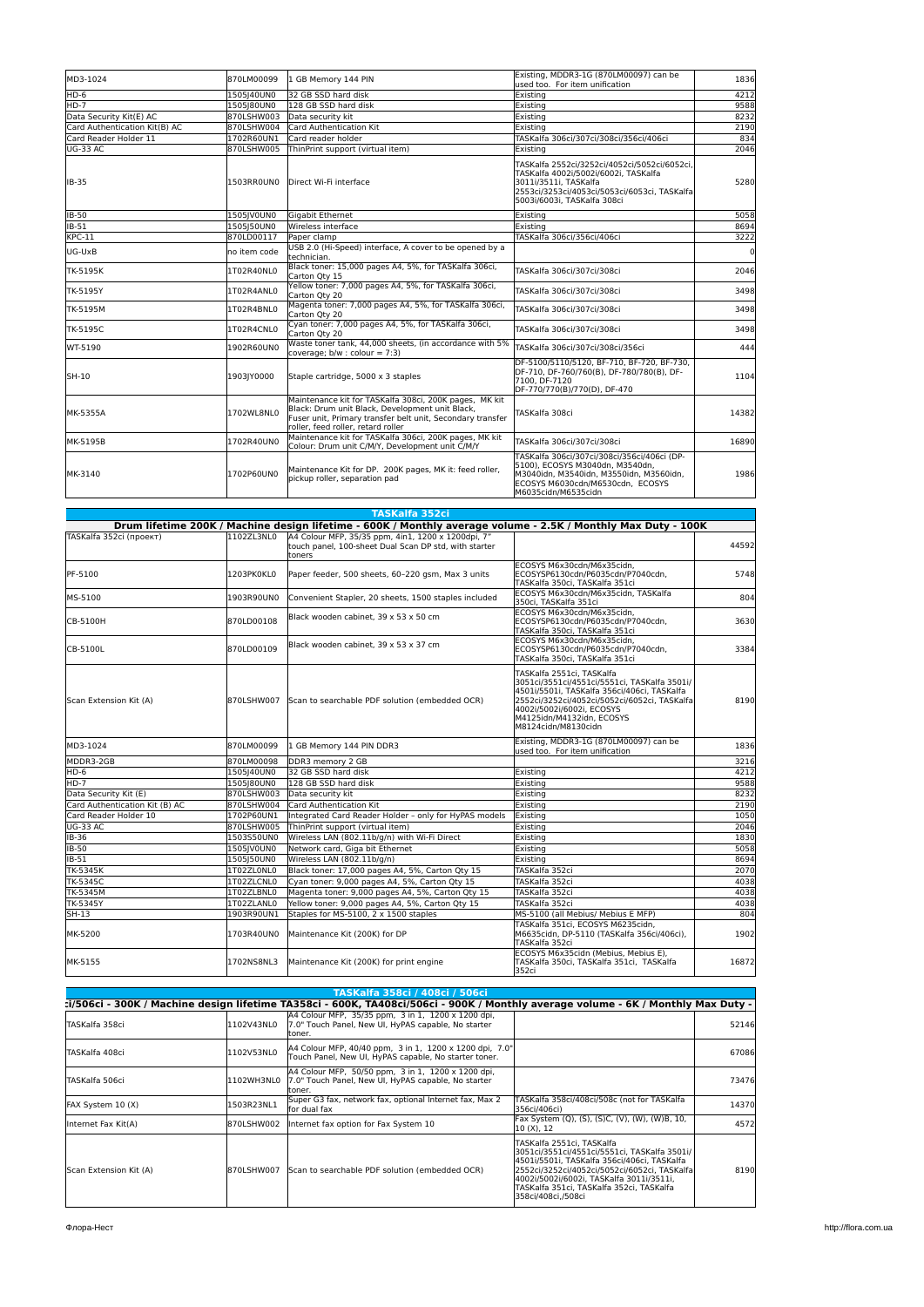| MD3-1024                      | 870LM00099   | 1 GB Memory 144 PIN                                                                                                                                                                                           | Existing, MDDR3-1G (870LM00097) can be<br>lused too. For item unification                                                                                                                    | 1836        |
|-------------------------------|--------------|---------------------------------------------------------------------------------------------------------------------------------------------------------------------------------------------------------------|----------------------------------------------------------------------------------------------------------------------------------------------------------------------------------------------|-------------|
| HD-6                          | 1505 40UN0   | 32 GB SSD hard disk                                                                                                                                                                                           | Existing                                                                                                                                                                                     | 4212        |
| HD-7                          | 1505180UN0   | 128 GB SSD hard disk                                                                                                                                                                                          | Existing                                                                                                                                                                                     | 9588        |
| Data Security Kit(E) AC       | 870LSHW003   | Data security kit                                                                                                                                                                                             | Existing                                                                                                                                                                                     | 8232        |
| Card Authentication Kit(B) AC | 870LSHW004   | Card Authentication Kit                                                                                                                                                                                       | Existina                                                                                                                                                                                     | 2190        |
| Card Reader Holder 11         | 1702R60UN1   | Card reader holder                                                                                                                                                                                            | TASKalfa 306ci/307ci/308ci/356ci/406ci                                                                                                                                                       | 834         |
| UG-33 AC                      | 870LSHW005   | ThinPrint support (virtual item)                                                                                                                                                                              | Existing                                                                                                                                                                                     | 2046        |
| <b>IB-35</b>                  | 1503RROUNO   | Direct Wi-Fi interface                                                                                                                                                                                        | TASKalfa 2552ci/3252ci/4052ci/5052ci/6052ci,<br>TASKalfa 4002i/5002i/6002i. TASKalfa<br>3011i/3511i, TASKalfa<br>2553ci/3253ci/4053ci/5053ci/6053ci, TASKalfa<br>5003i/6003i, TASKalfa 308ci | 5280        |
| <b>IB-50</b>                  | 1505JV0UN0   | Gigabit Ethernet                                                                                                                                                                                              | Existing                                                                                                                                                                                     | 5058        |
| <b>IB-51</b>                  | 1505150UN0   | Wireless interface                                                                                                                                                                                            | Existina                                                                                                                                                                                     | 8694        |
| $KPC-11$                      | 870LD00117   | Paper clamp                                                                                                                                                                                                   | TASKalfa 306ci/356ci/406ci                                                                                                                                                                   | 3222        |
| UG-UxB                        | no item code | USB 2.0 (Hi-Speed) interface. A cover to be opened by a<br>technician.                                                                                                                                        |                                                                                                                                                                                              | $\mathbf 0$ |
| TK-5195K                      | 1T02R40NL0   | Black toner: 15,000 pages A4, 5%, for TASKalfa 306ci,<br>Carton Qty 15                                                                                                                                        | TASKalfa 306ci/307ci/308ci                                                                                                                                                                   | 2046        |
| TK-5195Y                      | 1T02R4ANL0   | Yellow toner: 7,000 pages A4, 5%, for TASKalfa 306ci,<br>Carton Qty 20                                                                                                                                        | TASKalfa 306ci/307ci/308ci                                                                                                                                                                   | 3498        |
| TK-5195M                      | 1T02R4BNL0   | Magenta toner: 7,000 pages A4, 5%, for TASKalfa 306ci,<br>Carton Otv 20                                                                                                                                       | TASKalfa 306ci/307ci/308ci                                                                                                                                                                   | 3498        |
| TK-5195C                      | 1T02R4CNL0   | Cyan toner: 7,000 pages A4, 5%, for TASKalfa 306ci,<br>Carton Otv 20                                                                                                                                          | TASKalfa 306ci/307ci/308ci                                                                                                                                                                   | 3498        |
| WT-5190                       | 1902R60UN0   | Waste toner tank, 44,000 sheets, (in accordance with 5%<br>coverage; $b/w : colour = 7:3$ )                                                                                                                   | TASKalfa 306ci/307ci/308ci/356ci                                                                                                                                                             | 444         |
| SH-10                         | 1903JY0000   | Staple cartridge, 5000 x 3 staples                                                                                                                                                                            | DF-5100/5110/5120, BF-710, BF-720, BF-730,<br>DF-710, DF-760/760(B), DF-780/780(B), DF-<br>7100, DF-7120<br>DF-770/770(B)/770(D), DF-470                                                     | 1104        |
| <b>MK-5355A</b>               | 1702WL8NL0   | Maintenance kit for TASKalfa 308ci, 200K pages. MK kit<br>Black: Drum unit Black. Development unit Black.<br>Fuser unit, Primary transfer belt unit, Secondary transfer<br>roller, feed roller, retard roller | TASKalfa 308ci                                                                                                                                                                               | 14382       |
| MK-5195B                      | 1702R40UN0   | Maintenance kit for TASKalfa 306ci, 200K pages, MK kit<br>Colour: Drum unit C/M/Y, Development unit C/M/Y                                                                                                     | TASKalfa 306ci/307ci/308ci                                                                                                                                                                   | 16890       |
| MK-3140                       | 1702P60UN0   | Maintenance Kit for DP. 200K pages, MK it: feed roller,<br>pickup roller, separation pad                                                                                                                      | TASKalfa 306ci/307ci/308ci/356ci/406ci (DP-<br>5100), ECOSYS M3040dn, M3540dn,<br>M3040idn. M3540idn. M3550idn. M3560idn.<br>ECOSYS M6030cdn/M6530cdn, ECOSYS<br>M6035cidn/M6535cidn         | 1986        |

|                                |            | <b>TASKalfa 352ci</b>                                                                                                 |                                                                                                                                                                                                                                                           |       |
|--------------------------------|------------|-----------------------------------------------------------------------------------------------------------------------|-----------------------------------------------------------------------------------------------------------------------------------------------------------------------------------------------------------------------------------------------------------|-------|
|                                |            | Drum lifetime 200K / Machine design lifetime - 600K / Monthly average volume - 2.5K / Monthly Max Duty - 100K         |                                                                                                                                                                                                                                                           |       |
| TASKalfa 352ci (проект)        | 1102ZL3NL0 | A4 Colour MFP, 35/35 ppm, 4in1, 1200 x 1200dpi, 7"<br>touch panel, 100-sheet Dual Scan DP std, with starter<br>toners |                                                                                                                                                                                                                                                           | 44592 |
| PF-5100                        | 1203PK0KL0 | Paper feeder, 500 sheets, 60-220 qsm, Max 3 units                                                                     | ECOSYS M6x30cdn/M6x35cidn.<br>ECOSYSP6130cdn/P6035cdn/P7040cdn,<br>TASKalfa 350ci, TASKalfa 351ci                                                                                                                                                         | 5748  |
| MS-5100                        | 1903R90UN0 | Convenient Stapler, 20 sheets, 1500 staples included                                                                  | ECOSYS M6x30cdn/M6x35cidn, TASKalfa<br>350ci, TASKalfa 351ci                                                                                                                                                                                              | 804   |
| CB-5100H                       | 870LD00108 | Black wooden cabinet, 39 x 53 x 50 cm                                                                                 | ECOSYS M6x30cdn/M6x35cidn.<br>ECOSYSP6130cdn/P6035cdn/P7040cdn,<br>TASKalfa 350ci, TASKalfa 351ci                                                                                                                                                         | 3630  |
| CB-5100L                       | 870LD00109 | Black wooden cabinet, 39 x 53 x 37 cm                                                                                 | ECOSYS M6x30cdn/M6x35cidn.<br>ECOSYSP6130cdn/P6035cdn/P7040cdn.<br>TASKalfa 350ci, TASKalfa 351ci                                                                                                                                                         | 3384  |
| Scan Extension Kit (A)         | 870LSHW007 | Scan to searchable PDF solution (embedded OCR)                                                                        | TASKalfa 2551ci, TASKalfa<br>3051ci/3551ci/4551ci/5551ci. TASKalfa 3501i/<br>4501i/5501i, TASKalfa 356ci/406ci, TASKalfa<br>2552ci/3252ci/4052ci/5052ci/6052ci, TASKalfa<br>4002i/5002i/6002i, ECOSYS<br>M4125idn/M4132idn. ECOSYS<br>M8124cidn/M8130cidn | 8190  |
| MD3-1024                       | 870LM00099 | 1 GB Memory 144 PIN DDR3                                                                                              | Existing, MDDR3-1G (870LM00097) can be<br>used too. For item unification                                                                                                                                                                                  | 1836  |
| MDDR3-2GB                      | 870LM00098 | DDR3 memory 2 GB                                                                                                      |                                                                                                                                                                                                                                                           | 3216  |
| HD-6                           | 1505 40UN0 | 32 GB SSD hard disk                                                                                                   | Existing                                                                                                                                                                                                                                                  | 4212  |
| $HD-7$                         | 1505 80UN0 | 128 GB SSD hard disk                                                                                                  | Existing                                                                                                                                                                                                                                                  | 9588  |
| Data Security Kit (E)          | 870LSHW003 | Data security kit                                                                                                     | Existing                                                                                                                                                                                                                                                  | 8232  |
| Card Authentication Kit (B) AC | 870LSHW004 | Card Authentication Kit                                                                                               | Existina                                                                                                                                                                                                                                                  | 2190  |
| Card Reader Holder 10          | 1702P60UN1 | Integrated Card Reader Holder - only for HyPAS models                                                                 | Existina                                                                                                                                                                                                                                                  | 1050  |
| UG-33 AC                       | 870LSHW005 | ThinPrint support (virtual item)                                                                                      | Existing                                                                                                                                                                                                                                                  | 2046  |
| IB-36                          | 1503S50UN0 | Wireless LAN (802.11b/g/n) with Wi-Fi Direct                                                                          | Existing                                                                                                                                                                                                                                                  | 1830  |
| <b>IB-50</b>                   | 1505IV0UN0 | Network card, Giga bit Ethernet                                                                                       | Existina                                                                                                                                                                                                                                                  | 5058  |
| IB-51                          | 1505J50UN0 | Wireless LAN (802.11b/g/n)                                                                                            | Existina                                                                                                                                                                                                                                                  | 8694  |
| TK-5345K                       | 1T02ZL0NL0 | Black toner: 17,000 pages A4, 5%, Carton Qty 15                                                                       | TASKalfa 352ci                                                                                                                                                                                                                                            | 2070  |
| <b>TK-5345C</b>                | 1T02ZLCNL0 | Cyan toner: 9,000 pages A4, 5%, Carton Qty 15                                                                         | TASKalfa 352ci                                                                                                                                                                                                                                            | 4038  |
| <b>TK-5345M</b>                | 1T02ZLBNL0 | Magenta toner: 9,000 pages A4, 5%, Carton Qty 15                                                                      | TASKalfa 352ci                                                                                                                                                                                                                                            | 4038  |
| TK-5345Y                       | 1T02ZLANL0 | Yellow toner: 9,000 pages A4, 5%, Carton Qty 15                                                                       | TASKalfa 352ci                                                                                                                                                                                                                                            | 4038  |
| SH-13                          | 1903R90UN1 | Staples for MS-5100, 2 x 1500 staples                                                                                 | MS-5100 (all Mebius/ Mebius E MFP)                                                                                                                                                                                                                        | 804   |
| MK-5200                        | 1703R40UN0 | Maintenance Kit (200K) for DP                                                                                         | TASKalfa 351ci. ECOSYS M6235cidn.<br>M6635cidn, DP-5110 (TASKalfa 356ci/406ci),<br>TASKalfa 352ci                                                                                                                                                         | 1902  |
| MK-5155                        | 1702NS8NL3 | Maintenance Kit (200K) for print engine                                                                               | ECOSYS M6x35cidn (Mebius, Mebius E).<br>TASKalfa 350ci, TASKalfa 351ci, TASKalfa<br>352ci                                                                                                                                                                 | 16872 |

|                        |            | TASKalfa 358ci / 408ci / 506ci                                                                                                    |                                                                                                                                                                                                                                                                                           |       |
|------------------------|------------|-----------------------------------------------------------------------------------------------------------------------------------|-------------------------------------------------------------------------------------------------------------------------------------------------------------------------------------------------------------------------------------------------------------------------------------------|-------|
|                        |            | :i/506ci - 300K / Machine design lifetime TA358ci - 600K, TA408ci/506ci - 900K / Monthly average volume - 6K / Monthly Max Duty - |                                                                                                                                                                                                                                                                                           |       |
| TASKalfa 358ci         | 1102V43NL0 | A4 Colour MFP, 35/35 ppm, 3 in 1, 1200 x 1200 dpi,<br>7.0" Touch Panel, New UI, HyPAS capable, No starter<br>ltoner               |                                                                                                                                                                                                                                                                                           | 52146 |
| TASKalfa 408ci         | 1102V53NL0 | A4 Colour MFP, 40/40 ppm, 3 in 1, 1200 x 1200 dpi, 7.0"<br>Touch Panel, New UI, HyPAS capable, No starter toner.                  |                                                                                                                                                                                                                                                                                           | 67086 |
| TASKalfa 506ci         |            | A4 Colour MFP, 50/50 ppm, 3 in 1, 1200 x 1200 dpi,<br>1102WH3NL0 7.0" Touch Panel, New UI, HyPAS capable, No starter<br>Itoner    |                                                                                                                                                                                                                                                                                           | 73476 |
| FAX System 10 (X)      | 1503R23NL1 | Super G3 fax, network fax, optional Internet fax, Max 2<br>for dual fax                                                           | TASKalfa 358ci/408ci/508c (not for TASKalfa<br>356ci/406ci)                                                                                                                                                                                                                               | 14370 |
| Internet Fax Kit(A)    | 870LSHW002 | Internet fax option for Fax System 10                                                                                             | Fax System (Q), (S), (S)C, (V), (W), (W)B, 10,<br>10 (X), 12                                                                                                                                                                                                                              | 4572  |
| Scan Extension Kit (A) | 870LSHW007 | Scan to searchable PDF solution (embedded OCR)                                                                                    | TASKalfa 2551ci. TASKalfa<br>3051ci/3551ci/4551ci/5551ci. TASKalfa 3501i/ l<br>4501i/5501i, TASKalfa 356ci/406ci, TASKalfa<br>2552ci/3252ci/4052ci/5052ci/6052ci. TASKalfal<br>4002i/5002i/6002i. TASKalfa 3011i/3511i.<br>TASKalfa 351ci, TASKalfa 352ci, TASKalfa<br>358ci/408ci./508ci | 8190  |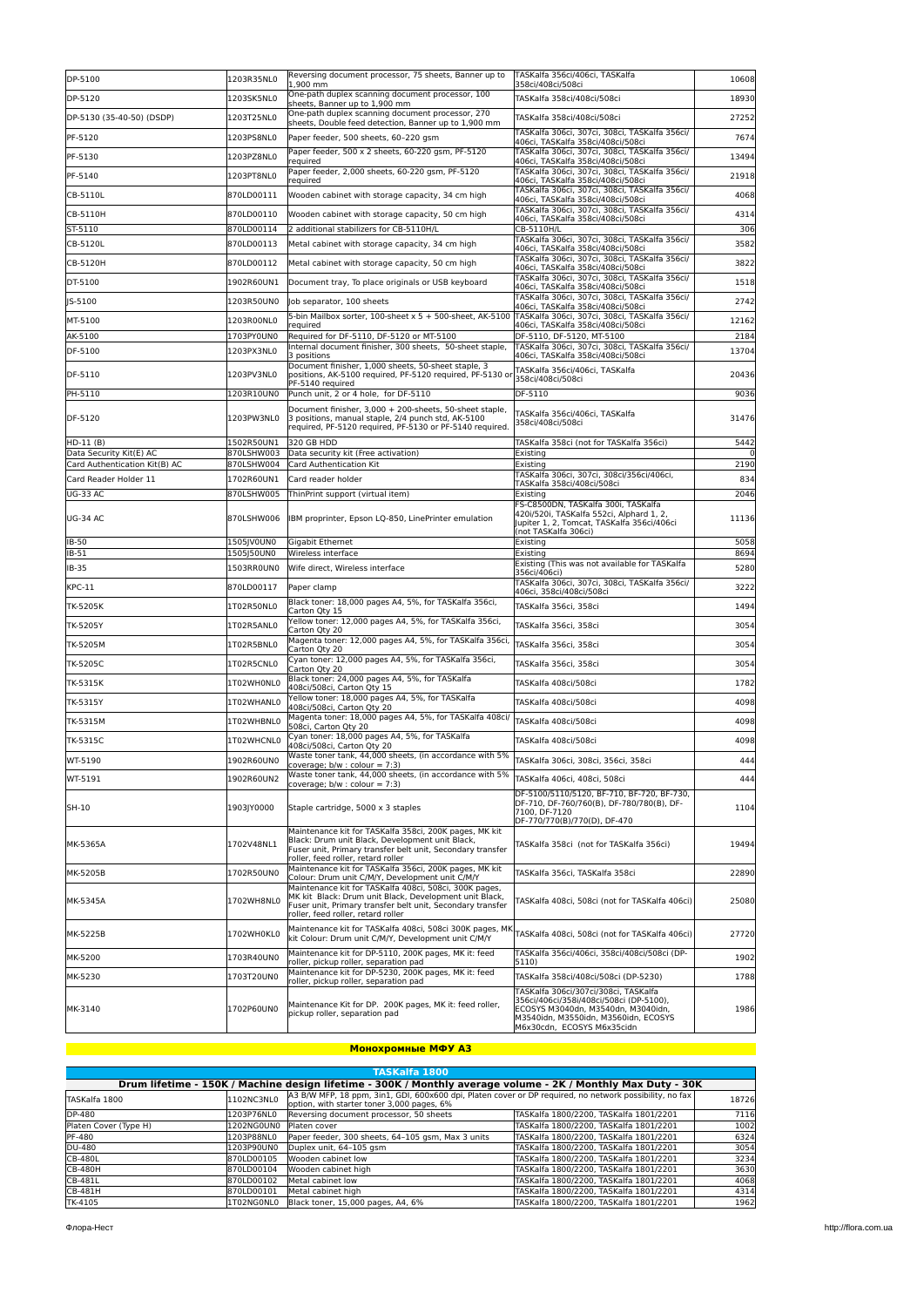| DP-5100                               | 1203R35NL0               | Reversing document processor, 75 sheets, Banner up to<br>1,900 mm                                                                                                                                                    | TASKalfa 356ci/406ci, TASKalfa<br>358ci/408ci/508ci                                                                                                                                         | 10608        |
|---------------------------------------|--------------------------|----------------------------------------------------------------------------------------------------------------------------------------------------------------------------------------------------------------------|---------------------------------------------------------------------------------------------------------------------------------------------------------------------------------------------|--------------|
| DP-5120                               | 1203SK5NL0               | One-path duplex scanning document processor, 100<br>sheets, Banner up to 1,900 mm                                                                                                                                    | TASKalfa 358ci/408ci/508ci                                                                                                                                                                  | 18930        |
| DP-5130 (35-40-50) (DSDP)             | 1203T25NL0               | One-path duplex scanning document processor, 270<br>sheets, Double feed detection, Banner up to 1,900 mm                                                                                                             | TASKalfa 358ci/408ci/508ci                                                                                                                                                                  | 27252        |
| PF-5120                               | 1203PS8NL0               | Paper feeder, 500 sheets, 60-220 gsm                                                                                                                                                                                 | TASKalfa 306ci, 307ci, 308ci, TASKalfa 356ci/                                                                                                                                               | 7674         |
| PF-5130                               | 1203PZ8NL0               | Paper feeder, 500 x 2 sheets, 60-220 gsm, PF-5120                                                                                                                                                                    | 406ci, TASKalfa 358ci/408ci/508ci<br>TASKalfa 306ci, 307ci, 308ci, TASKalfa 356ci/                                                                                                          | 13494        |
| PF-5140                               | 1203PT8NL0               | required<br>Paper feeder, 2,000 sheets, 60-220 gsm, PF-5120                                                                                                                                                          | 406ci, TASKalfa 358ci/408ci/508ci<br>TASKalfa 306ci, 307ci, 308ci, TASKalfa 356ci/                                                                                                          | 21918        |
| CB-5110L                              | 870LD00111               | required<br>Wooden cabinet with storage capacity, 34 cm high                                                                                                                                                         | 406ci, TASKalfa 358ci/408ci/508ci<br>TASKalfa 306ci, 307ci, 308ci, TASKalfa 356ci/                                                                                                          | 4068         |
| CB-5110H                              | 870LD00110               | Wooden cabinet with storage capacity, 50 cm high                                                                                                                                                                     | 406ci, TASKalfa 358ci/408ci/508ci<br>TASKalfa 306ci, 307ci, 308ci, TASKalfa 356ci/                                                                                                          | 4314         |
| ST-5110                               | 870LD00114               | 2 additional stabilizers for CB-5110H/L                                                                                                                                                                              | 406ci, TASKalfa 358ci/408ci/508ci<br>CB-5110H/L                                                                                                                                             | 306          |
| CB-5120L                              | 870LD00113               | Metal cabinet with storage capacity, 34 cm high                                                                                                                                                                      | TASKalfa 306ci, 307ci, 308ci, TASKalfa 356ci/<br>406ci, TASKalfa 358ci/408ci/508ci                                                                                                          | 3582         |
| CB-5120H                              | 870LD00112               | Metal cabinet with storage capacity, 50 cm high                                                                                                                                                                      | TASKalfa 306ci, 307ci, 308ci, TASKalfa 356ci/<br>406ci, TASKalfa 358ci/408ci/508ci                                                                                                          | 3822         |
| DT-5100                               | 1902R60UN1               | Document tray, To place originals or USB keyboard                                                                                                                                                                    | TASKalfa 306ci, 307ci, 308ci, TASKalfa 356ci/<br>406ci, TASKalfa 358ci/408ci/508ci                                                                                                          | 1518         |
| JS-5100                               | 1203R50UN0               | Job separator, 100 sheets                                                                                                                                                                                            | TASKalfa 306ci, 307ci, 308ci, TASKalfa 356ci/<br>406ci, TASKalfa 358ci/408ci/508ci                                                                                                          | 2742         |
| MT-5100                               | 1203R00NL0               | 5-bin Mailbox sorter, 100-sheet x 5 + 500-sheet, AK-5100<br>required                                                                                                                                                 | TASKalfa 306ci, 307ci, 308ci, TASKalfa 356ci/<br>406ci, TASKalfa 358ci/408ci/508ci                                                                                                          | 12162        |
| AK-5100                               | 1703PY0UN0               | Required for DF-5110, DF-5120 or MT-5100                                                                                                                                                                             | DF-5110, DF-5120, MT-5100                                                                                                                                                                   | 2184         |
| DF-5100                               | 1203PX3NL0               | nternal document finisher, 300 sheets, 50-sheet staple,<br>3 positions                                                                                                                                               | TASKalfa 306ci, 307ci, 308ci, TASKalfa 356ci/<br>406ci, TASKalfa 358ci/408ci/508ci                                                                                                          | 13704        |
| DF-5110                               | 1203PV3NL0               | Document finisher, 1,000 sheets, 50-sheet staple, 3<br>positions, AK-5100 required, PF-5120 required, PF-5130 or<br>PF-5140 required                                                                                 | TASKalfa 356ci/406ci, TASKalfa<br>358ci/408ci/508ci                                                                                                                                         | 20436        |
| PH-5110                               | 1203R10UN0               | Punch unit, 2 or 4 hole, for DF-5110                                                                                                                                                                                 | DF-5110                                                                                                                                                                                     | 9036         |
| DF-5120                               | 1203PW3NL0               | Document finisher, 3,000 + 200-sheets, 50-sheet staple.<br>3 positions, manual staple, 2/4 punch std, AK-5100<br>required, PF-5120 required, PF-5130 or PF-5140 required.                                            | TASKalfa 356ci/406ci, TASKalfa<br>358ci/408ci/508ci                                                                                                                                         | 31476        |
| $HD-11(B)$<br>Data Security Kit(E) AC | 1502R50UN1<br>870LSHW003 | 320 GB HDD<br>Data security kit (Free activation)                                                                                                                                                                    | TASKalfa 358ci (not for TASKalfa 356ci)<br>Existing                                                                                                                                         | 5442<br>0    |
| Card Authentication Kit(B) AC         | 870LSHW004               | Card Authentication Kit                                                                                                                                                                                              | Existing                                                                                                                                                                                    | 2190         |
| Card Reader Holder 11                 | 1702R60UN1               | Card reader holder                                                                                                                                                                                                   | TASKalfa 306ci, 307ci, 308ci/356ci/406ci,<br>TASKalfa 358ci/408ci/508ci                                                                                                                     | 834          |
| <b>UG-33 AC</b>                       | 870LSHW005               | ThinPrint support (virtual item)                                                                                                                                                                                     | Existing                                                                                                                                                                                    | 2046         |
| <b>UG-34 AC</b>                       | 870LSHW006               | IBM proprinter, Epson LQ-850, LinePrinter emulation                                                                                                                                                                  | FS-C8500DN. TASKalfa 300i. TASKalfa<br>420i/520i, TASKalfa 552ci, Alphard 1, 2,<br>Jupiter 1, 2, Tomcat, TASKalfa 356ci/406ci<br>(not TASKalfa 306ci)                                       | 11136        |
| IB-50                                 | 1505JV0UN0               | Gigabit Ethernet                                                                                                                                                                                                     | Existing                                                                                                                                                                                    | 5058         |
| IB-51                                 | 1505J50UN0               | Wireless interface                                                                                                                                                                                                   | Existing<br>Existing (This was not available for TASKalfa                                                                                                                                   | 8694         |
| IB-35<br><b>KPC-11</b>                | 1503RR0UN0<br>870LD00117 | Wife direct, Wireless interface<br>Paper clamp                                                                                                                                                                       | 356ci/406ci)<br>TASKalfa 306ci, 307ci, 308ci, TASKalfa 356ci/                                                                                                                               | 5280<br>3222 |
| TK-5205K                              | 1T02R50NL0               | Black toner: 18,000 pages A4, 5%, for TASKalfa 356ci,                                                                                                                                                                | 406ci, 358ci/408ci/508ci<br>TASKalfa 356ci, 358ci                                                                                                                                           | 1494         |
| TK-5205Y                              | 1T02R5ANL0               | Carton Qty 15<br>Yellow toner: 12,000 pages A4, 5%, for TASKalfa 356ci,                                                                                                                                              | TASKalfa 356ci, 358ci                                                                                                                                                                       | 3054         |
| TK-5205M                              | 1T02R5BNL0               | Carton Qty 20<br>Magenta toner: 12,000 pages A4, 5%, for TASKalfa 356ci,                                                                                                                                             | TASKalfa 356ci, 358ci                                                                                                                                                                       | 3054         |
| TK-5205C                              | 1T02R5CNL0               | Carton Qty 20<br>Cyan toner: 12,000 pages A4, 5%, for TASKalfa 356ci,                                                                                                                                                | TASKalfa 356ci, 358ci                                                                                                                                                                       | 3054         |
|                                       | 1T02WH0NL0               | Carton Qty 20<br>Black toner: 24,000 pages A4, 5%, for TASKalfa                                                                                                                                                      |                                                                                                                                                                                             |              |
| TK-5315K                              |                          | 408ci/508ci, Carton Qty 15<br>Yellow toner: 18,000 pages A4, 5%, for TASKalfa                                                                                                                                        | TASKalfa 408ci/508ci                                                                                                                                                                        | 1782         |
| TK-5315Y                              | 1T02WHANL0               | 408ci/508ci, Carton Qty 20<br>Magenta toner: 18,000 pages A4, 5%, for TASKalfa 408ci/                                                                                                                                | TASKalfa 408ci/508ci                                                                                                                                                                        | 4098         |
| TK-5315M                              | 1T02WHBNL0               | 508ci, Carton Qty 20<br>Cyan toner: 18,000 pages A4, 5%, for TASKalfa                                                                                                                                                | TASKalfa 408ci/508ci                                                                                                                                                                        | 4098         |
| TK-5315C                              | 1T02WHCNL0               | 408ci/508ci, Carton Qty 20                                                                                                                                                                                           | TASKalfa 408ci/508ci                                                                                                                                                                        | 4098         |
| WT-5190                               | 1902R60UN0               | Waste toner tank, 44,000 sheets, (in accordance with 5%<br>coverage; b/w : colour = 7:3)                                                                                                                             | TASKalfa 306ci, 308ci, 356ci, 358ci                                                                                                                                                         | 444          |
| WT-5191                               | 1902R60UN2               | Waste toner tank, 44,000 sheets, (in accordance with 5%<br>coverage; $b/w : colour = 7:3$ )                                                                                                                          | TASKalfa 406ci, 408ci, 508ci                                                                                                                                                                | 444          |
| SH-10                                 | 1903JY0000               | Staple cartridge, 5000 x 3 staples                                                                                                                                                                                   | DF-5100/5110/5120, BF-710, BF-720, BF-730,<br>DF-710, DF-760/760(B), DF-780/780(B), DF-<br>7100, DF-7120<br>DF-770/770(B)/770(D), DF-470                                                    | 1104         |
| MK-5365A                              | 1702V48NL1               | Maintenance kit for TASKalfa 358ci, 200K pages, MK kit<br>Black: Drum unit Black, Development unit Black,<br>Fuser unit, Primary transfer belt unit, Secondary transfer<br>roller, feed roller, retard roller        | TASKalfa 358ci (not for TASKalfa 356ci)                                                                                                                                                     | 19494        |
| MK-5205B                              | 1702R50UN0               | Maintenance kit for TASKalfa 356ci, 200K pages, MK kit<br>Colour: Drum unit C/M/Y, Development unit C/M/Y                                                                                                            | TASKalfa 356ci, TASKalfa 358ci                                                                                                                                                              | 22890        |
| MK-5345A                              | 1702WH8NL0               | Maintenance kit for TASKalfa 408ci, 508ci, 300K pages,<br>MK kit Black: Drum unit Black, Development unit Black,<br>Fuser unit, Primary transfer belt unit, Secondary transfer<br>roller, feed roller, retard roller | TASKalfa 408ci, 508ci (not for TASKalfa 406ci)                                                                                                                                              | 25080        |
| MK-5225B                              | 1702WH0KL0               | Maintenance kit for TASKalfa 408ci, 508ci 300K pages, Mk<br>kit Colour: Drum unit C/M/Y, Development unit C/M/Y                                                                                                      | TASKalfa 408ci, 508ci (not for TASKalfa 406ci)                                                                                                                                              | 27720        |
| MK-5200                               | 1703R40UN0               | Maintenance kit for DP-5110, 200K pages, MK it: feed<br>roller, pickup roller, separation pad                                                                                                                        | TASKalfa 356ci/406ci, 358ci/408ci/508ci (DP-<br>5110)                                                                                                                                       | 1902         |
| MK-5230                               | 1703T20UN0               | Maintenance kit for DP-5230, 200K pages, MK it: feed<br>roller, pickup roller, separation pad                                                                                                                        | TASKalfa 358ci/408ci/508ci (DP-5230)                                                                                                                                                        | 1788         |
| MK-3140                               | 1702P60UN0               | Maintenance Kit for DP. 200K pages, MK it: feed roller,<br>pickup roller, separation pad                                                                                                                             | TASKalfa 306ci/307ci/308ci, TASKalfa<br>356ci/406ci/358i/408ci/508ci (DP-5100),<br>ECOSYS M3040dn, M3540dn, M3040idn,<br>M3540idn, M3550idn, M3560idn, ECOSYS<br>M6x30cdn, ECOSYS M6x35cidn | 1986         |

#### **Монохромные МФУ A3**

| TASKalfa 1800         |                                                                                                              |                                                                                                                                                       |                                        |       |  |  |
|-----------------------|--------------------------------------------------------------------------------------------------------------|-------------------------------------------------------------------------------------------------------------------------------------------------------|----------------------------------------|-------|--|--|
|                       | Drum lifetime - 150K / Machine design lifetime - 300K / Monthly average volume - 2K / Monthly Max Duty - 30K |                                                                                                                                                       |                                        |       |  |  |
| TASKalfa 1800         | 1102NC3NL0                                                                                                   | A3 B/W MFP, 18 ppm, 3in1, GDI, 600x600 dpi, Platen cover or DP required, no network possibility, no fax<br>option, with starter toner 3,000 pages, 6% |                                        | 18726 |  |  |
| DP-480                | 1203P76NL0                                                                                                   | Reversing document processor, 50 sheets                                                                                                               | TASKalfa 1800/2200. TASKalfa 1801/2201 | 7116  |  |  |
| Platen Cover (Type H) | 1202NG0UN0                                                                                                   | Platen cover                                                                                                                                          | TASKalfa 1800/2200. TASKalfa 1801/2201 | 1002  |  |  |
| PF-480                | 1203P88NL0                                                                                                   | Paper feeder, 300 sheets, 64-105 asm. Max 3 units                                                                                                     | TASKalfa 1800/2200. TASKalfa 1801/2201 | 6324  |  |  |
| DU-480                | 1203P90UN0                                                                                                   | Duplex unit, 64-105 gsm                                                                                                                               | TASKalfa 1800/2200, TASKalfa 1801/2201 | 3054  |  |  |
| CB-480L               | 870LD00105                                                                                                   | Wooden cabinet low                                                                                                                                    | TASKalfa 1800/2200. TASKalfa 1801/2201 | 3234  |  |  |
| <b>CB-480H</b>        | 870LD00104                                                                                                   | Wooden cabinet high                                                                                                                                   | TASKalfa 1800/2200. TASKalfa 1801/2201 | 3630  |  |  |
| CB-481L               | 870LD00102                                                                                                   | Metal cabinet low                                                                                                                                     | TASKalfa 1800/2200. TASKalfa 1801/2201 | 4068  |  |  |
| CB-481H               | 870LD00101                                                                                                   | Metal cabinet high                                                                                                                                    | TASKalfa 1800/2200. TASKalfa 1801/2201 | 4314  |  |  |
| TK-4105               | ITO2NGONLO                                                                                                   | Black toner, 15,000 pages, A4, 6%                                                                                                                     | TASKalfa 1800/2200. TASKalfa 1801/2201 | 1962  |  |  |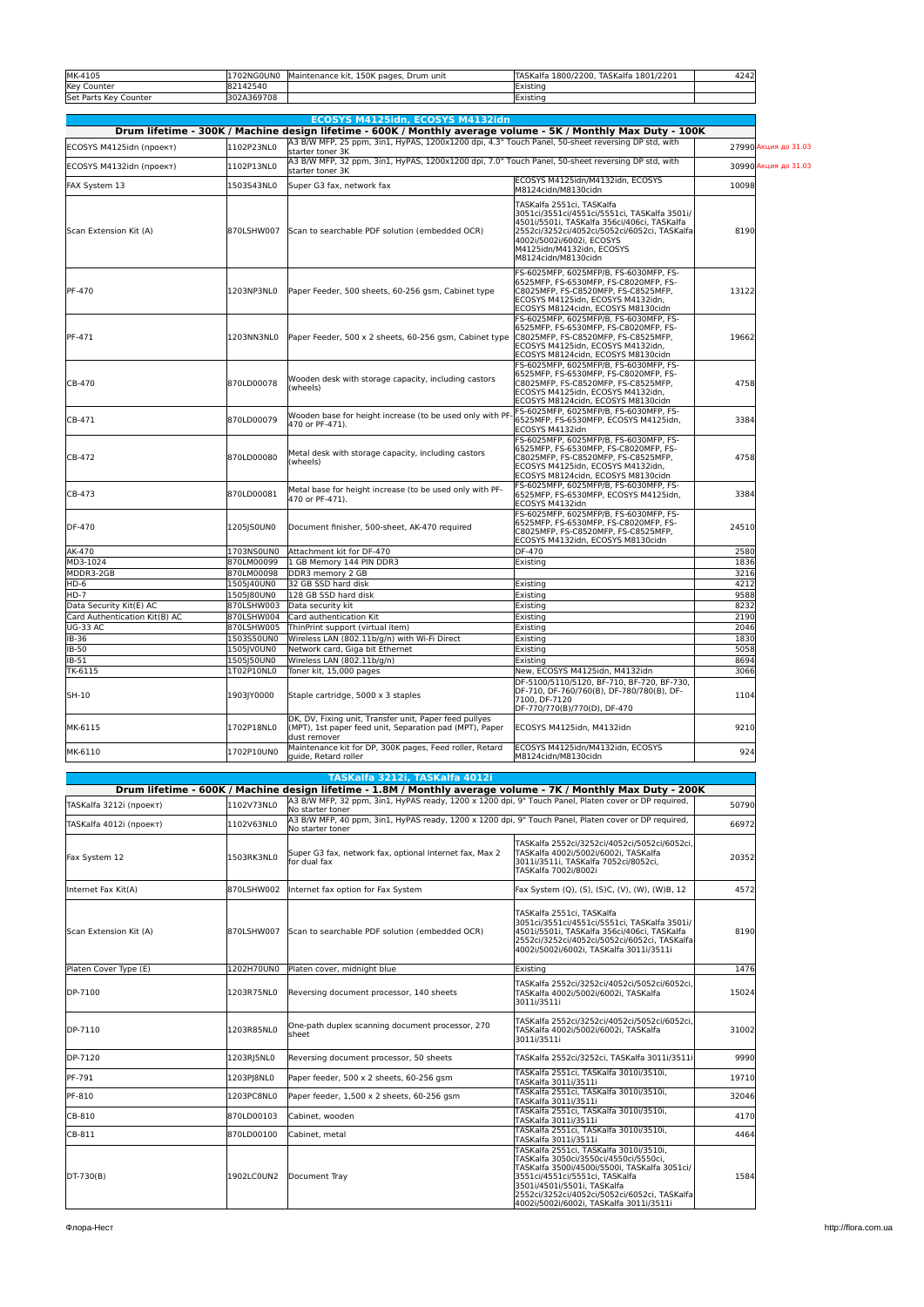| MK-4105               | <b>702NG0UN0</b> | 150K<br>pages.<br>. Drum unit<br>Maintenance kit. | TASKalfa 1801/2201<br><b>TASKalfa</b><br>1800/2200. | 4242 |
|-----------------------|------------------|---------------------------------------------------|-----------------------------------------------------|------|
| <b>Key Counter</b>    | 142540           |                                                   | Existing                                            |      |
| Set Parts Key Counter | 302A369708       |                                                   | <b>IExistinc</b>                                    |      |

|                               |                          | ECOSYS M4125idn, ECOSYS M4132idn                                                                                                  |                                                                                                                                                                                                                                                           |                      |
|-------------------------------|--------------------------|-----------------------------------------------------------------------------------------------------------------------------------|-----------------------------------------------------------------------------------------------------------------------------------------------------------------------------------------------------------------------------------------------------------|----------------------|
|                               |                          | Drum lifetime - 300K / Machine design lifetime - 600K / Monthly average volume - 5K / Monthly Max Duty - 100K                     |                                                                                                                                                                                                                                                           |                      |
| ECOSYS M4125idn (проект)      | 1102P23NL0               | A3 B/W MFP, 25 ppm, 3in1, HyPAS, 1200x1200 dpi, 4.3" Touch Panel, 50-sheet reversing DP std, with<br>starter toner 3K             |                                                                                                                                                                                                                                                           | 27990 Акция до 31.03 |
| ECOSYS M4132idn (проект)      | 1102P13NL0               | starter toner 3K                                                                                                                  | A3 B/W MFP, 32 ppm, 3in1, HyPAS, 1200x1200 dpi, 7.0" Touch Panel, 50-sheet reversing DP std, with                                                                                                                                                         |                      |
| FAX System 13                 | 1503S43NL0               | Super G3 fax, network fax                                                                                                         | ECOSYS M4125idn/M4132idn. ECOSYS<br>M8124cidn/M8130cidn                                                                                                                                                                                                   | 10098                |
| Scan Extension Kit (A)        | 870LSHW007               | Scan to searchable PDF solution (embedded OCR)                                                                                    | TASKalfa 2551ci, TASKalfa<br>3051ci/3551ci/4551ci/5551ci. TASKalfa 3501i/<br>4501i/5501i, TASKalfa 356ci/406ci, TASKalfa<br>2552ci/3252ci/4052ci/5052ci/6052ci, TASKalfa<br>4002i/5002i/6002i, ECOSYS<br>M4125idn/M4132idn, ECOSYS<br>M8124cidn/M8130cidn | 8190                 |
| PF-470                        | 1203NP3NL0               | Paper Feeder, 500 sheets, 60-256 gsm, Cabinet type                                                                                | FS-6025MFP, 6025MFP/B, FS-6030MFP, FS-<br>6525MFP, FS-6530MFP, FS-C8020MFP, FS-<br>C8025MFP, FS-C8520MFP, FS-C8525MFP,<br>ECOSYS M4125idn, ECOSYS M4132idn,<br>ECOSYS M8124cidn, ECOSYS M8130cidn                                                         | 13122                |
| PF-471                        | 1203NN3NL0               | Paper Feeder, 500 x 2 sheets, 60-256 gsm, Cabinet type                                                                            | FS-6025MFP, 6025MFP/B, FS-6030MFP, FS-<br>6525MFP, FS-6530MFP, FS-C8020MFP, FS-<br>C8025MFP, FS-C8520MFP, FS-C8525MFP,<br>ECOSYS M4125idn, ECOSYS M4132idn,<br>ECOSYS M8124cidn, ECOSYS M8130cidn                                                         | 19662                |
| CB-470                        | 870LD00078               | Wooden desk with storage capacity, including castors<br>(wheels)                                                                  | FS-6025MFP, 6025MFP/B, FS-6030MFP, FS-<br>6525MFP, FS-6530MFP, FS-C8020MFP, FS-<br>C8025MFP, FS-C8520MFP, FS-C8525MFP,<br>ECOSYS M4125idn, ECOSYS M4132idn,<br>ECOSYS M8124cidn, ECOSYS M8130cidn                                                         | 4758                 |
| CB-471                        | 870LD00079               | Wooden base for height increase (to be used only with PF-<br>470 or PF-471).                                                      | FS-6025MFP, 6025MFP/B, FS-6030MFP, FS-<br>6525MFP, FS-6530MFP, ECOSYS M4125idn,<br>ECOSYS M4132idn                                                                                                                                                        | 3384                 |
| CB-472                        | 870LD00080               | Metal desk with storage capacity, including castors<br>(wheels)                                                                   | FS-6025MFP, 6025MFP/B, FS-6030MFP, FS-<br>6525MFP, FS-6530MFP, FS-C8020MFP, FS-<br>C8025MFP, FS-C8520MFP, FS-C8525MFP,<br>ECOSYS M4125idn. ECOSYS M4132idn.<br>ECOSYS M8124cidn, ECOSYS M8130cidn                                                         | 4758                 |
| CB-473                        | 870LD00081               | Metal base for height increase (to be used only with PF-<br>470 or PF-471).                                                       | FS-6025MFP. 6025MFP/B. FS-6030MFP. FS-<br>6525MFP, FS-6530MFP, ECOSYS M4125idn,<br>ECOSYS M4132idn                                                                                                                                                        | 3384                 |
| DF-470                        | 1205JS0UN0               | Document finisher, 500-sheet, AK-470 required                                                                                     | FS-6025MFP, 6025MFP/B, FS-6030MFP, FS-<br>6525MFP, FS-6530MFP, FS-C8020MFP, FS-<br>C8025MFP, FS-C8520MFP, FS-C8525MFP,<br>ECOSYS M4132idn, ECOSYS M8130cidn                                                                                               | 24510                |
| AK-470                        | 1703NS0UN0               | Attachment kit for DF-470                                                                                                         | DF-470                                                                                                                                                                                                                                                    | 2580                 |
| MD3-1024                      | 870LM00099               | 1 GB Memory 144 PIN DDR3                                                                                                          | Existing                                                                                                                                                                                                                                                  | 1836                 |
| MDDR3-2GB                     | 870LM00098               | DDR3 memory 2 GB                                                                                                                  |                                                                                                                                                                                                                                                           | 3216                 |
| HD-6                          | 1505J40UN0               | 32 GB SSD hard disk                                                                                                               | Existing                                                                                                                                                                                                                                                  | 4212                 |
| $HD-7$                        | 1505180UN0               | 128 GB SSD hard disk                                                                                                              | Existing                                                                                                                                                                                                                                                  | 9588                 |
| Data Security Kit(E) AC       | 870LSHW003               | Data security kit                                                                                                                 | Existing                                                                                                                                                                                                                                                  | 8232                 |
| Card Authentication Kit(B) AC | 870LSHW004               | Card authentication Kit                                                                                                           | Existing                                                                                                                                                                                                                                                  | 2190                 |
| <b>UG-33 AC</b>               | 870LSHW005               | ThinPrint support (virtual item)                                                                                                  | Existing                                                                                                                                                                                                                                                  | 2046                 |
| IB-36                         | 1503S50UN0               | Wireless LAN (802.11b/g/n) with Wi-Fi Direct                                                                                      | Existing                                                                                                                                                                                                                                                  | 1830                 |
| <b>IB-50</b>                  | 1505JV0UN0               | Network card, Giga bit Ethernet                                                                                                   | Existing                                                                                                                                                                                                                                                  | 5058                 |
| IB-51                         | 1505J50UN0               | Wireless LAN (802.11b/g/n)                                                                                                        | Existing                                                                                                                                                                                                                                                  | 8694                 |
| TK-6115<br>SH-10              | 1T02P10NL0<br>1903JY0000 | Toner kit, 15,000 pages<br>Staple cartridge, 5000 x 3 staples                                                                     | New, ECOSYS M4125idn, M4132idn<br>DF-5100/5110/5120, BF-710, BF-720, BF-730,<br>DF-710, DF-760/760(B), DF-780/780(B), DF-<br>7100, DF-7120<br>DF-770/770(B)/770(D), DF-470                                                                                | 3066<br>1104         |
| MK-6115                       | 1702P18NL0               | DK. DV. Fixing unit. Transfer unit. Paper feed pullves<br>(MPT), 1st paper feed unit, Separation pad (MPT), Paper<br>dust remover | ECOSYS M4125idn, M4132idn                                                                                                                                                                                                                                 | 9210                 |
| MK-6110                       | 1702P10UN0               | Maintenance kit for DP, 300K pages, Feed roller, Retard<br>quide, Retard roller                                                   | ECOSYS M4125idn/M4132idn, ECOSYS<br>M8124cidn/M8130cidn                                                                                                                                                                                                   | 924                  |
|                               |                          |                                                                                                                                   |                                                                                                                                                                                                                                                           |                      |

|                         |            | TASKalfa 3212i, TASKalfa 4012i                                                                                           |                                                                                                                                                                                                                                                                                             |       |
|-------------------------|------------|--------------------------------------------------------------------------------------------------------------------------|---------------------------------------------------------------------------------------------------------------------------------------------------------------------------------------------------------------------------------------------------------------------------------------------|-------|
|                         |            | Drum lifetime - 600K / Machine design lifetime - 1.8M / Monthly average volume - 7K / Monthly Max Duty - 200K            |                                                                                                                                                                                                                                                                                             |       |
| TASKalfa 3212i (проект) | 1102V73NL0 | A3 B/W MFP, 32 ppm, 3in1, HyPAS ready, 1200 x 1200 dpi, 9" Touch Panel, Platen cover or DP required,<br>No starter toner |                                                                                                                                                                                                                                                                                             | 50790 |
| TASKalfa 4012i (проект) | 1102V63NL0 | A3 B/W MFP, 40 ppm, 3in1, HyPAS ready, 1200 x 1200 dpi, 9" Touch Panel, Platen cover or DP required.<br>No starter toner |                                                                                                                                                                                                                                                                                             | 66972 |
| Fax System 12           | 1503RK3NL0 | Super G3 fax, network fax, optional Internet fax, Max 2<br>for dual fax                                                  | TASKalfa 2552ci/3252ci/4052ci/5052ci/6052ci,<br>TASKalfa 4002i/5002i/6002i, TASKalfa<br>3011i/3511i, TASKalfa 7052ci/8052ci,<br>TASKalfa 7002i/8002i                                                                                                                                        | 20352 |
| Internet Fax Kit(A)     | 870LSHW002 | Internet fax option for Fax System                                                                                       | Fax System (Q), (S), (S)C, (V), (W), (W)B, 12                                                                                                                                                                                                                                               | 4572  |
| Scan Extension Kit (A)  | 870LSHW007 | Scan to searchable PDF solution (embedded OCR)                                                                           | TASKalfa 2551ci, TASKalfa<br>3051ci/3551ci/4551ci/5551ci. TASKalfa 3501i/<br>4501i/5501i. TASKalfa 356ci/406ci. TASKalfa<br>2552ci/3252ci/4052ci/5052ci/6052ci, TASKalfa<br>4002i/5002i/6002i, TASKalfa 3011i/3511i                                                                         | 8190  |
| Platen Cover Type (E)   | 1202H70UN0 | Platen cover, midnight blue                                                                                              | Existing                                                                                                                                                                                                                                                                                    | 1476  |
| DP-7100                 | 1203R75NL0 | Reversing document processor, 140 sheets                                                                                 | TASKalfa 2552ci/3252ci/4052ci/5052ci/6052ci,<br>TASKalfa 4002i/5002i/6002i. TASKalfa<br>3011i/3511i                                                                                                                                                                                         | 15024 |
| DP-7110                 | 1203R85NL0 | One-path duplex scanning document processor, 270<br>sheet                                                                | TASKalfa 2552ci/3252ci/4052ci/5052ci/6052ci,<br>TASKalfa 4002i/5002i/6002i, TASKalfa<br>3011i/3511i                                                                                                                                                                                         | 31002 |
| DP-7120                 | 1203RJ5NL0 | Reversing document processor, 50 sheets                                                                                  | TASKalfa 2552ci/3252ci, TASKalfa 3011i/3511i                                                                                                                                                                                                                                                | 9990  |
| <b>PF-791</b>           | 1203PJ8NL0 | Paper feeder, 500 x 2 sheets, 60-256 qsm                                                                                 | TASKalfa 2551ci, TASKalfa 3010i/3510i,<br>TASKalfa 3011i/3511i                                                                                                                                                                                                                              | 19710 |
| PF-810                  | 1203PC8NL0 | Paper feeder, 1,500 x 2 sheets, 60-256 gsm                                                                               | TASKalfa 2551ci, TASKalfa 3010i/3510i,<br>TASKalfa 3011i/3511i                                                                                                                                                                                                                              | 32046 |
| CB-810                  | 870LD00103 | Cabinet, wooden                                                                                                          | TASKalfa 2551ci, TASKalfa 3010i/3510i,<br>TASKalfa 3011i/3511i                                                                                                                                                                                                                              | 4170  |
| CB-811                  | 870LD00100 | Cabinet, metal                                                                                                           | TASKalfa 2551ci, TASKalfa 3010i/3510i,<br>TASKalfa 3011i/3511i                                                                                                                                                                                                                              | 4464  |
| DT-730(B)               | 1902LC0UN2 | Document Tray                                                                                                            | TASKalfa 2551ci, TASKalfa 3010i/3510i,<br>TASKalfa 3050ci/3550ci/4550ci/5550ci,<br>TASKalfa 3500i/4500i/5500i, TASKalfa 3051ci/<br>3551ci/4551ci/5551ci, TASKalfa<br>3501i/4501i/5501i, TASKalfa<br>2552ci/3252ci/4052ci/5052ci/6052ci, TASKalfa<br>4002i/5002i/6002i, TASKalfa 3011i/3511i | 1584  |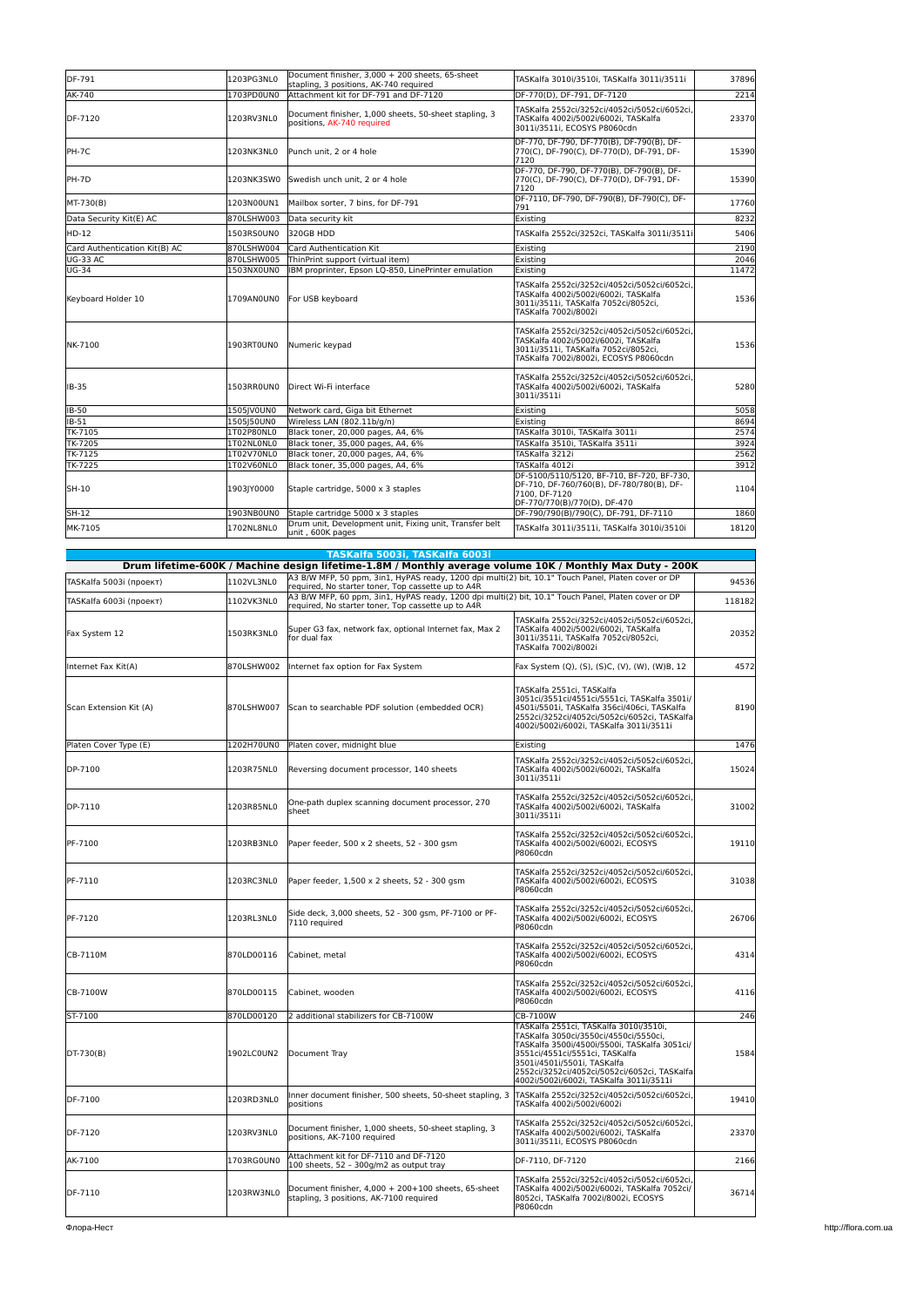| DF-791                        | 1203PG3NL0 | Document finisher, 3,000 + 200 sheets, 65-sheet<br>stapling, 3 positions, AK-740 required | TASKalfa 3010i/3510i, TASKalfa 3011i/3511i                                                                                                                            | 37896 |
|-------------------------------|------------|-------------------------------------------------------------------------------------------|-----------------------------------------------------------------------------------------------------------------------------------------------------------------------|-------|
| AK-740                        | 1703PD0UN0 | Attachment kit for DF-791 and DF-7120                                                     | DF-770(D), DF-791, DF-7120                                                                                                                                            | 2214  |
| DF-7120                       | 1203RV3NL0 | Document finisher, 1,000 sheets, 50-sheet stapling, 3<br>positions, AK-740 required       | TASKalfa 2552ci/3252ci/4052ci/5052ci/6052ci.<br>TASKalfa 4002i/5002i/6002i, TASKalfa<br>3011i/3511i, ECOSYS P8060cdn                                                  | 23370 |
| PH-7C                         | 1203NK3NL0 | Punch unit. 2 or 4 hole                                                                   | DF-770, DF-790, DF-770(B), DF-790(B), DF-<br>770(C), DF-790(C), DF-770(D), DF-791, DF-<br>7120                                                                        | 15390 |
| PH-7D                         | 1203NK3SW0 | Swedish unch unit. 2 or 4 hole                                                            | DF-770, DF-790, DF-770(B), DF-790(B), DF-<br>770(C), DF-790(C), DF-770(D), DF-791, DF-<br>7120                                                                        | 15390 |
| MT-730(B)                     | 1203N00UN1 | Mailbox sorter. 7 bins. for DF-791                                                        | DF-7110, DF-790, DF-790(B), DF-790(C), DF-<br>791                                                                                                                     | 17760 |
| Data Security Kit(E) AC       | 870LSHW003 | Data security kit                                                                         | Existing                                                                                                                                                              | 8232  |
| HD-12                         | 1503RS0UN0 | 320GB HDD                                                                                 | TASKalfa 2552ci/3252ci, TASKalfa 3011i/3511i                                                                                                                          | 5406  |
| Card Authentication Kit(B) AC | 870LSHW004 | Card Authentication Kit                                                                   | Existina                                                                                                                                                              | 2190  |
| <b>UG-33 AC</b>               | 870LSHW005 | ThinPrint support (virtual item)                                                          | Existing                                                                                                                                                              | 2046  |
| <b>UG-34</b>                  | 1503NX0UN0 | IBM proprinter, Epson LQ-850, LinePrinter emulation                                       | Existina                                                                                                                                                              | 11472 |
| Keyboard Holder 10            | 1709AN0UN0 | For USB keyboard                                                                          | TASKalfa 2552ci/3252ci/4052ci/5052ci/6052ci,<br>TASKalfa 4002i/5002i/6002i, TASKalfa<br>3011i/3511i, TASKalfa 7052ci/8052ci,<br>TASKalfa 7002i/8002i                  | 1536  |
| NK-7100                       | 1903RT0UN0 | Numeric keypad                                                                            | TASKalfa 2552ci/3252ci/4052ci/5052ci/6052ci.<br>TASKalfa 4002i/5002i/6002i, TASKalfa<br>3011i/3511i. TASKalfa 7052ci/8052ci.<br>TASKalfa 7002i/8002i, ECOSYS P8060cdn | 1536  |
| IB-35                         | 1503RROUNO | Direct Wi-Fi interface                                                                    | TASKalfa 2552ci/3252ci/4052ci/5052ci/6052ci,<br>TASKalfa 4002i/5002i/6002i, TASKalfa<br>3011i/3511i                                                                   | 5280  |
| <b>IB-50</b>                  | 1505JV0UN0 | Network card, Giga bit Ethernet                                                           | Existing                                                                                                                                                              | 5058  |
| $IB-51$                       | 1505J50UN0 | Wireless LAN (802.11b/g/n)                                                                | Existing                                                                                                                                                              | 8694  |
| TK-7105                       | 1T02P80NL0 | Black toner, 20,000 pages, A4, 6%                                                         | TASKalfa 3010i, TASKalfa 3011i                                                                                                                                        | 2574  |
| TK-7205                       | 1T02NL0NL0 | Black toner, 35,000 pages, A4, 6%                                                         | TASKalfa 3510i, TASKalfa 3511i                                                                                                                                        | 3924  |
| TK-7125                       | 1T02V70NL0 | Black toner, 20,000 pages, A4, 6%                                                         | TASKalfa 3212i                                                                                                                                                        | 2562  |
| <b>TK-7225</b>                | 1T02V60NL0 | Black toner, 35,000 pages, A4, 6%                                                         | TASKalfa 4012i                                                                                                                                                        | 3912  |
| SH-10                         | 1903JY0000 | Staple cartridge, 5000 x 3 staples                                                        | DF-5100/5110/5120, BF-710, BF-720, BF-730,<br>DF-710, DF-760/760(B), DF-780/780(B), DF-<br>7100. DF-7120<br>DF-770/770(B)/770(D), DF-470                              | 1104  |
| SH-12                         | 1903NB0UN0 | Staple cartridge 5000 x 3 staples                                                         | DF-790/790(B)/790(C), DF-791, DF-7110                                                                                                                                 | 1860  |
| MK-7105                       | 1702NL8NL0 | Drum unit, Development unit, Fixing unit, Transfer belt<br>unit, 600K pages               | TASKalfa 3011i/3511i, TASKalfa 3010i/3510i                                                                                                                            | 18120 |

|                         |            | TASKalfa 5003i, TASKalfa 6003i                                                                                                                            |                                                                                                                                                                                                                                                                                             |        |
|-------------------------|------------|-----------------------------------------------------------------------------------------------------------------------------------------------------------|---------------------------------------------------------------------------------------------------------------------------------------------------------------------------------------------------------------------------------------------------------------------------------------------|--------|
|                         |            | Drum lifetime-600K / Machine design lifetime-1.8M / Monthly average volume 10K / Monthly Max Duty - 200K                                                  |                                                                                                                                                                                                                                                                                             |        |
| TASKalfa 5003i (проект) | 1102VL3NL0 | A3 B/W MFP, 50 ppm, 3in1, HyPAS ready, 1200 dpi multi(2) bit, 10.1" Touch Panel, Platen cover or DP<br>required, No starter toner, Top cassette up to A4R |                                                                                                                                                                                                                                                                                             | 94536  |
| TASKalfa 6003i (проект) | 1102VK3NL0 | A3 B/W MFP, 60 ppm, 3in1, HyPAS ready, 1200 dpi multi(2) bit, 10.1" Touch Panel, Platen cover or DP<br>required, No starter toner, Top cassette up to A4R |                                                                                                                                                                                                                                                                                             | 118182 |
| Fax System 12           | 1503RK3NL0 | Super G3 fax, network fax, optional Internet fax, Max 2<br>for dual fax                                                                                   | TASKalfa 2552ci/3252ci/4052ci/5052ci/6052ci,<br>TASKalfa 4002i/5002i/6002i, TASKalfa<br>3011i/3511i, TASKalfa 7052ci/8052ci,<br>TASKalfa 7002i/8002i                                                                                                                                        | 20352  |
| Internet Fax Kit(A)     | 870LSHW002 | Internet fax option for Fax System                                                                                                                        | Fax System (Q), (S), (S)C, (V), (W), (W)B, 12                                                                                                                                                                                                                                               | 4572   |
| Scan Extension Kit (A)  | 870LSHW007 | Scan to searchable PDF solution (embedded OCR)                                                                                                            | TASKalfa 2551ci, TASKalfa<br>3051ci/3551ci/4551ci/5551ci, TASKalfa 3501i/<br>4501i/5501i, TASKalfa 356ci/406ci, TASKalfa<br>2552ci/3252ci/4052ci/5052ci/6052ci, TASKalfa<br>4002i/5002i/6002i, TASKalfa 3011i/3511i                                                                         | 8190   |
| Platen Cover Type (E)   | 1202H70UN0 | Platen cover, midnight blue                                                                                                                               | Existing                                                                                                                                                                                                                                                                                    | 1476   |
| DP-7100                 | 1203R75NL0 | Reversing document processor, 140 sheets                                                                                                                  | TASKalfa 2552ci/3252ci/4052ci/5052ci/6052ci,<br>TASKalfa 4002i/5002i/6002i, TASKalfa<br>3011i/3511i                                                                                                                                                                                         | 15024  |
| DP-7110                 | 1203R85NL0 | One-path duplex scanning document processor, 270<br>sheet                                                                                                 | TASKalfa 2552ci/3252ci/4052ci/5052ci/6052ci,<br>TASKalfa 4002i/5002i/6002i, TASKalfa<br>3011i/3511i                                                                                                                                                                                         | 31002  |
| PF-7100                 | 1203RB3NL0 | Paper feeder, 500 x 2 sheets, 52 - 300 gsm                                                                                                                | TASKalfa 2552ci/3252ci/4052ci/5052ci/6052ci,<br>TASKalfa 4002i/5002i/6002i, ECOSYS<br>P8060cdn                                                                                                                                                                                              | 19110  |
| PF-7110                 | 1203RC3NL0 | Paper feeder, 1,500 x 2 sheets, 52 - 300 gsm                                                                                                              | TASKalfa 2552ci/3252ci/4052ci/5052ci/6052ci,<br>TASKalfa 4002i/5002i/6002i, ECOSYS<br>P8060cdn                                                                                                                                                                                              | 31038  |
| PF-7120                 | 1203RL3NL0 | Side deck, 3,000 sheets, 52 - 300 gsm, PF-7100 or PF-<br>7110 reauired                                                                                    | TASKalfa 2552ci/3252ci/4052ci/5052ci/6052ci.<br>TASKalfa 4002i/5002i/6002i, ECOSYS<br>P8060cdn                                                                                                                                                                                              | 26706  |
| CB-7110M                | 870LD00116 | Cabinet, metal                                                                                                                                            | TASKalfa 2552ci/3252ci/4052ci/5052ci/6052ci,<br>TASKalfa 4002i/5002i/6002i, ECOSYS<br>P8060cdn                                                                                                                                                                                              | 4314   |
| CB-7100W                | 870LD00115 | Cabinet, wooden                                                                                                                                           | TASKalfa 2552ci/3252ci/4052ci/5052ci/6052ci,<br>TASKalfa 4002i/5002i/6002i, ECOSYS<br>P8060cdn                                                                                                                                                                                              | 4116   |
| ST-7100                 | 870LD00120 | 2 additional stabilizers for CB-7100W                                                                                                                     | CB-7100W                                                                                                                                                                                                                                                                                    | 246    |
| DT-730(B)               | 1902LC0UN2 | Document Tray                                                                                                                                             | TASKalfa 2551ci, TASKalfa 3010i/3510i,<br>TASKalfa 3050ci/3550ci/4550ci/5550ci,<br>TASKalfa 3500i/4500i/5500i, TASKalfa 3051ci/<br>3551ci/4551ci/5551ci, TASKalfa<br>3501i/4501i/5501i, TASKalfa<br>2552ci/3252ci/4052ci/5052ci/6052ci, TASKalfa<br>4002i/5002i/6002i, TASKalfa 3011i/3511i | 1584   |
| DF-7100                 | 1203RD3NL0 | Inner document finisher, 500 sheets, 50-sheet stapling, 3<br>positions                                                                                    | TASKalfa 2552ci/3252ci/4052ci/5052ci/6052ci,<br>TASKalfa 4002i/5002i/6002i                                                                                                                                                                                                                  | 19410  |
| DF-7120                 | 1203RV3NL0 | Document finisher, 1,000 sheets, 50-sheet stapling, 3<br>positions, AK-7100 required                                                                      | TASKalfa 2552ci/3252ci/4052ci/5052ci/6052ci.<br>TASKalfa 4002i/5002i/6002i, TASKalfa<br>3011i/3511i, ECOSYS P8060cdn                                                                                                                                                                        | 23370  |
| AK-7100                 | 1703RG0UN0 | Attachment kit for DF-7110 and DF-7120<br>100 sheets, 52 - 300g/m2 as output tray                                                                         | DF-7110, DF-7120                                                                                                                                                                                                                                                                            | 2166   |
| DF-7110                 | 1203RW3NL0 | Document finisher, 4,000 + 200+100 sheets, 65-sheet<br>stapling, 3 positions, AK-7100 required                                                            | TASKalfa 2552ci/3252ci/4052ci/5052ci/6052ci,<br>TASKalfa 4002i/5002i/6002i, TASKalfa 7052ci/<br>8052ci, TASKalfa 7002i/8002i, ECOSYS<br>P8060cdn                                                                                                                                            | 36714  |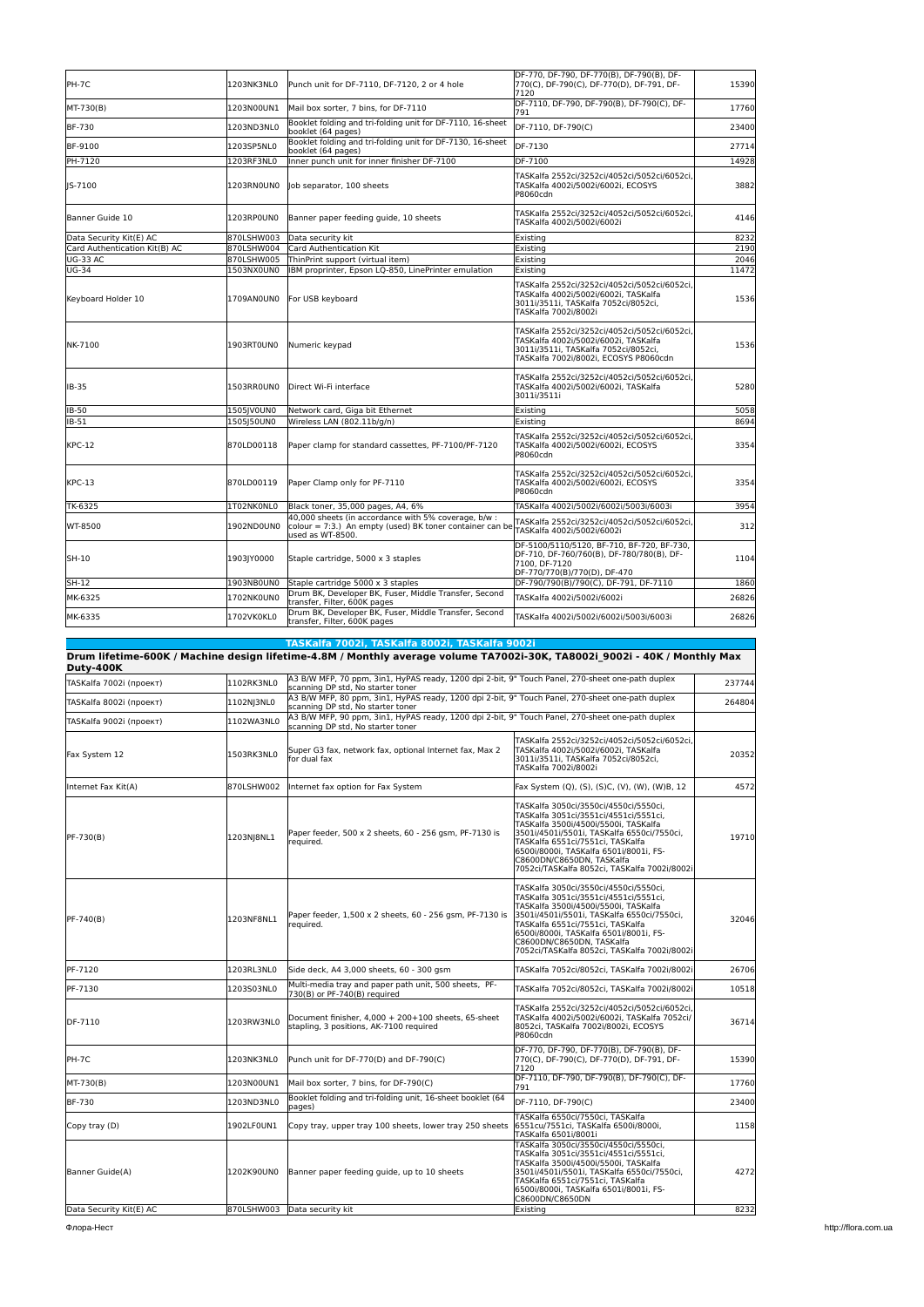| PH-7C                         | 1203NK3NL0 | Punch unit for DF-7110, DF-7120, 2 or 4 hole                                                                                         | DF-770, DF-790, DF-770(B), DF-790(B), DF-<br>770(C), DF-790(C), DF-770(D), DF-791, DF-<br>7120                                                                        | 15390 |
|-------------------------------|------------|--------------------------------------------------------------------------------------------------------------------------------------|-----------------------------------------------------------------------------------------------------------------------------------------------------------------------|-------|
| MT-730(B)                     | 1203N00UN1 | Mail box sorter, 7 bins, for DF-7110                                                                                                 | DF-7110. DF-790. DF-790(B). DF-790(C). DF-<br>791                                                                                                                     | 17760 |
| <b>BF-730</b>                 | 1203ND3NL0 | Booklet folding and tri-folding unit for DF-7110, 16-sheet<br>booklet (64 pages)                                                     | DF-7110, DF-790(C)                                                                                                                                                    | 23400 |
| BF-9100                       | 1203SP5NL0 | Booklet folding and tri-folding unit for DF-7130, 16-sheet<br>booklet (64 pages)                                                     | DF-7130                                                                                                                                                               | 27714 |
| PH-7120                       | 1203RF3NL0 | Inner punch unit for inner finisher DF-7100                                                                                          | DF-7100                                                                                                                                                               | 14928 |
| IS-7100                       | 1203RNOUNO | Job separator, 100 sheets                                                                                                            | TASKalfa 2552ci/3252ci/4052ci/5052ci/6052ci.<br>TASKalfa 4002i/5002i/6002i, ECOSYS<br>P8060cdn                                                                        | 3882  |
| Banner Guide 10               | 1203RP0UN0 | Banner paper feeding quide, 10 sheets                                                                                                | TASKalfa 2552ci/3252ci/4052ci/5052ci/6052ci,<br>TASKalfa 4002i/5002i/6002i                                                                                            | 4146  |
| Data Security Kit(E) AC       | 870LSHW003 | Data security kit                                                                                                                    | Existing                                                                                                                                                              | 8232  |
| Card Authentication Kit(B) AC | 870LSHW004 | Card Authentication Kit                                                                                                              | Existing                                                                                                                                                              | 2190  |
| <b>UG-33 AC</b>               | 870LSHW005 | ThinPrint support (virtual item)                                                                                                     | Existing                                                                                                                                                              | 2046  |
| <b>UG-34</b>                  | 1503NX0UN0 | IBM proprinter, Epson LQ-850, LinePrinter emulation                                                                                  | Existing                                                                                                                                                              | 11472 |
| Keyboard Holder 10            | 1709AN0UN0 | For USB keyboard                                                                                                                     | TASKalfa 2552ci/3252ci/4052ci/5052ci/6052ci,<br>TASKalfa 4002i/5002i/6002i, TASKalfa<br>3011i/3511i, TASKalfa 7052ci/8052ci,<br>TASKalfa 7002i/8002i                  | 1536  |
| NK-7100                       | 1903RT0UN0 | Numeric keypad                                                                                                                       | TASKalfa 2552ci/3252ci/4052ci/5052ci/6052ci,<br>TASKalfa 4002i/5002i/6002i, TASKalfa<br>3011i/3511i. TASKalfa 7052ci/8052ci.<br>TASKalfa 7002i/8002i, ECOSYS P8060cdn | 1536  |
| IB-35                         | 1503RROUNO | Direct Wi-Fi interface                                                                                                               | TASKalfa 2552ci/3252ci/4052ci/5052ci/6052ci,<br>TASKalfa 4002i/5002i/6002i, TASKalfa<br>3011i/3511i                                                                   | 5280  |
| IB-50                         | 1505JV0UN0 | Network card, Giga bit Ethernet                                                                                                      | Existing                                                                                                                                                              | 5058  |
| IB-51                         | 1505J50UN0 | Wireless LAN (802.11b/g/n)                                                                                                           | Existing                                                                                                                                                              | 8694  |
| <b>KPC-12</b>                 | 870LD00118 | Paper clamp for standard cassettes, PF-7100/PF-7120                                                                                  | TASKalfa 2552ci/3252ci/4052ci/5052ci/6052ci,<br>TASKalfa 4002i/5002i/6002i, ECOSYS<br>P8060cdn                                                                        | 3354  |
| $KPC-13$                      | 870LD00119 | Paper Clamp only for PF-7110                                                                                                         | TASKalfa 2552ci/3252ci/4052ci/5052ci/6052ci,<br>TASKalfa 4002i/5002i/6002i, ECOSYS<br>P8060cdn                                                                        | 3354  |
| TK-6325                       | 1T02NK0NL0 | Black toner, 35,000 pages, A4, 6%                                                                                                    | TASKalfa 4002i/5002i/6002i/5003i/6003i                                                                                                                                | 3954  |
| WT-8500                       | 1902ND0UN0 | 40,000 sheets (in accordance with 5% coverage, b/w :<br>colour = 7:3.) An empty (used) BK toner container can be<br>used as WT-8500. | TASKalfa 2552ci/3252ci/4052ci/5052ci/6052ci,<br>TASKalfa 4002i/5002i/6002i                                                                                            | 312   |
| SH-10                         | 1903JY0000 | Staple cartridge, 5000 x 3 staples                                                                                                   | DF-5100/5110/5120, BF-710, BF-720, BF-730,<br>DF-710, DF-760/760(B), DF-780/780(B), DF-<br>7100, DF-7120<br>DF-770/770(B)/770(D), DF-470                              | 1104  |
| SH-12                         | 1903NB0UN0 | Staple cartridge 5000 x 3 staples                                                                                                    | DF-790/790(B)/790(C), DF-791, DF-7110                                                                                                                                 | 1860  |
| MK-6325                       | 1702NK0UN0 | Drum BK, Developer BK, Fuser, Middle Transfer, Second<br>transfer, Filter, 600K pages                                                | TASKalfa 4002i/5002i/6002i                                                                                                                                            | 26826 |
| MK-6335                       | 1702VK0KL0 | Drum BK, Developer BK, Fuser, Middle Transfer, Second<br>transfer, Filter, 600K pages                                                | TASKalfa 4002i/5002i/6002i/5003i/6003i                                                                                                                                | 26826 |

|                         |            | TASKalfa 7002i, TASKalfa 8002i, TASKalfa 9002i                                                                                        |                                                                                                                                                                                                                                                                                                                                 |        |  |
|-------------------------|------------|---------------------------------------------------------------------------------------------------------------------------------------|---------------------------------------------------------------------------------------------------------------------------------------------------------------------------------------------------------------------------------------------------------------------------------------------------------------------------------|--------|--|
| <b>Dutv-400K</b>        |            | Drum lifetime-600K / Machine design lifetime-4.8M / Monthly average volume TA7002i-30K, TA8002i 9002i - 40K / Monthly Max             |                                                                                                                                                                                                                                                                                                                                 |        |  |
| TASKalfa 7002i (проект) | 1102RK3NL0 | scanning DP std, No starter toner                                                                                                     | A3 B/W MFP, 70 ppm, 3in1, HyPAS ready, 1200 dpi 2-bit, 9" Touch Panel, 270-sheet one-path duplex                                                                                                                                                                                                                                |        |  |
| TASKalfa 8002i (проект) | 1102NJ3NL0 | A3 B/W MFP, 80 ppm, 3in1, HyPAS ready, 1200 dpi 2-bit, 9" Touch Panel, 270-sheet one-path duplex<br>scanning DP std, No starter toner |                                                                                                                                                                                                                                                                                                                                 | 264804 |  |
| TASKalfa 9002i (проект) | 1102WA3NL0 | A3 B/W MFP, 90 ppm, 3in1, HyPAS ready, 1200 dpi 2-bit, 9" Touch Panel, 270-sheet one-path duplex<br>scanning DP std, No starter toner |                                                                                                                                                                                                                                                                                                                                 |        |  |
| Fax System 12           | 1503RK3NL0 | Super G3 fax, network fax, optional Internet fax, Max 2<br>for dual fax                                                               | TASKalfa 2552ci/3252ci/4052ci/5052ci/6052ci,<br>TASKalfa 4002i/5002i/6002i, TASKalfa<br>3011i/3511i, TASKalfa 7052ci/8052ci,<br>TASKalfa 7002i/8002i                                                                                                                                                                            | 20352  |  |
| Internet Fax Kit(A)     | 870LSHW002 | Internet fax option for Fax System                                                                                                    | Fax System (Q), (S), (S)C, (V), (W), (W)B, 12                                                                                                                                                                                                                                                                                   | 4572   |  |
| PF-730(B)               | 1203NJ8NL1 | Paper feeder, 500 x 2 sheets, 60 - 256 qsm, PF-7130 is<br>required.                                                                   | TASKalfa 3050ci/3550ci/4550ci/5550ci,<br>TASKalfa 3051ci/3551ci/4551ci/5551ci,<br>TASKalfa 3500i/4500i/5500i, TASKalfa<br>3501i/4501i/5501i, TASKalfa 6550ci/7550ci,<br>TASKalfa 6551ci/7551ci, TASKalfa<br>6500i/8000i, TASKalfa 6501i/8001i, FS-<br>C8600DN/C8650DN, TASKalfa<br>7052ci/TASKalfa 8052ci, TASKalfa 7002i/8002i | 19710  |  |
| PF-740(B)               | 1203NF8NL1 | Paper feeder, 1,500 x 2 sheets, 60 - 256 gsm, PF-7130 is<br>required.                                                                 | TASKalfa 3050ci/3550ci/4550ci/5550ci,<br>TASKalfa 3051ci/3551ci/4551ci/5551ci,<br>TASKalfa 3500i/4500i/5500i, TASKalfa<br>3501i/4501i/5501i, TASKalfa 6550ci/7550ci,<br>TASKalfa 6551ci/7551ci, TASKalfa<br>6500i/8000i, TASKalfa 6501i/8001i, FS-<br>C8600DN/C8650DN, TASKalfa<br>7052ci/TASKalfa 8052ci, TASKalfa 7002i/8002i | 32046  |  |
| PF-7120                 | 1203RL3NL0 | Side deck, A4 3,000 sheets, 60 - 300 gsm                                                                                              | TASKalfa 7052ci/8052ci, TASKalfa 7002i/8002i                                                                                                                                                                                                                                                                                    | 26706  |  |
| PF-7130                 | 1203S03NL0 | Multi-media tray and paper path unit, 500 sheets, PF-<br>730(B) or PF-740(B) required                                                 | TASKalfa 7052ci/8052ci, TASKalfa 7002i/8002i                                                                                                                                                                                                                                                                                    | 10518  |  |
| DF-7110                 | 1203RW3NL0 | Document finisher, 4,000 + 200+100 sheets, 65-sheet<br>stapling, 3 positions, AK-7100 required                                        | TASKalfa 2552ci/3252ci/4052ci/5052ci/6052ci,<br>TASKalfa 4002i/5002i/6002i, TASKalfa 7052ci/<br>8052ci, TASKalfa 7002i/8002i, ECOSYS<br>P8060cdn                                                                                                                                                                                | 36714  |  |
| PH-7C                   | 1203NK3NL0 | Punch unit for DF-770(D) and DF-790(C)                                                                                                | DF-770, DF-790, DF-770(B), DF-790(B), DF-<br>770(C), DF-790(C), DF-770(D), DF-791, DF-<br>7120                                                                                                                                                                                                                                  | 15390  |  |
| MT-730(B)               | 1203N00UN1 | Mail box sorter, 7 bins, for DF-790(C)                                                                                                | DF-7110, DF-790, DF-790(B), DF-790(C), DF-<br>791                                                                                                                                                                                                                                                                               | 17760  |  |
| BF-730                  | 1203ND3NL0 | Booklet folding and tri-folding unit, 16-sheet booklet (64<br>pages)                                                                  | DF-7110, DF-790(C)                                                                                                                                                                                                                                                                                                              | 23400  |  |
| Copy tray (D)           | 1902LF0UN1 | Copy tray, upper tray 100 sheets, lower tray 250 sheets                                                                               | TASKalfa 6550ci/7550ci, TASKalfa<br>6551cu/7551ci, TASKalfa 6500i/8000i,<br>TASKalfa 6501i/8001i                                                                                                                                                                                                                                | 1158   |  |
| Banner Guide(A)         | 1202K90UN0 | Banner paper feeding guide, up to 10 sheets                                                                                           | TASKalfa 3050ci/3550ci/4550ci/5550ci,<br>TASKalfa 3051ci/3551ci/4551ci/5551ci,<br>TASKalfa 3500i/4500i/5500i, TASKalfa<br>3501i/4501i/5501i, TASKalfa 6550ci/7550ci,<br>TASKalfa 6551ci/7551ci, TASKalfa<br>6500i/8000i, TASKalfa 6501i/8001i, FS-<br>C8600DN/C8650DN                                                           | 4272   |  |
| Data Security Kit(E) AC |            | 870LSHW003 Data security kit                                                                                                          | Existing                                                                                                                                                                                                                                                                                                                        | 8232   |  |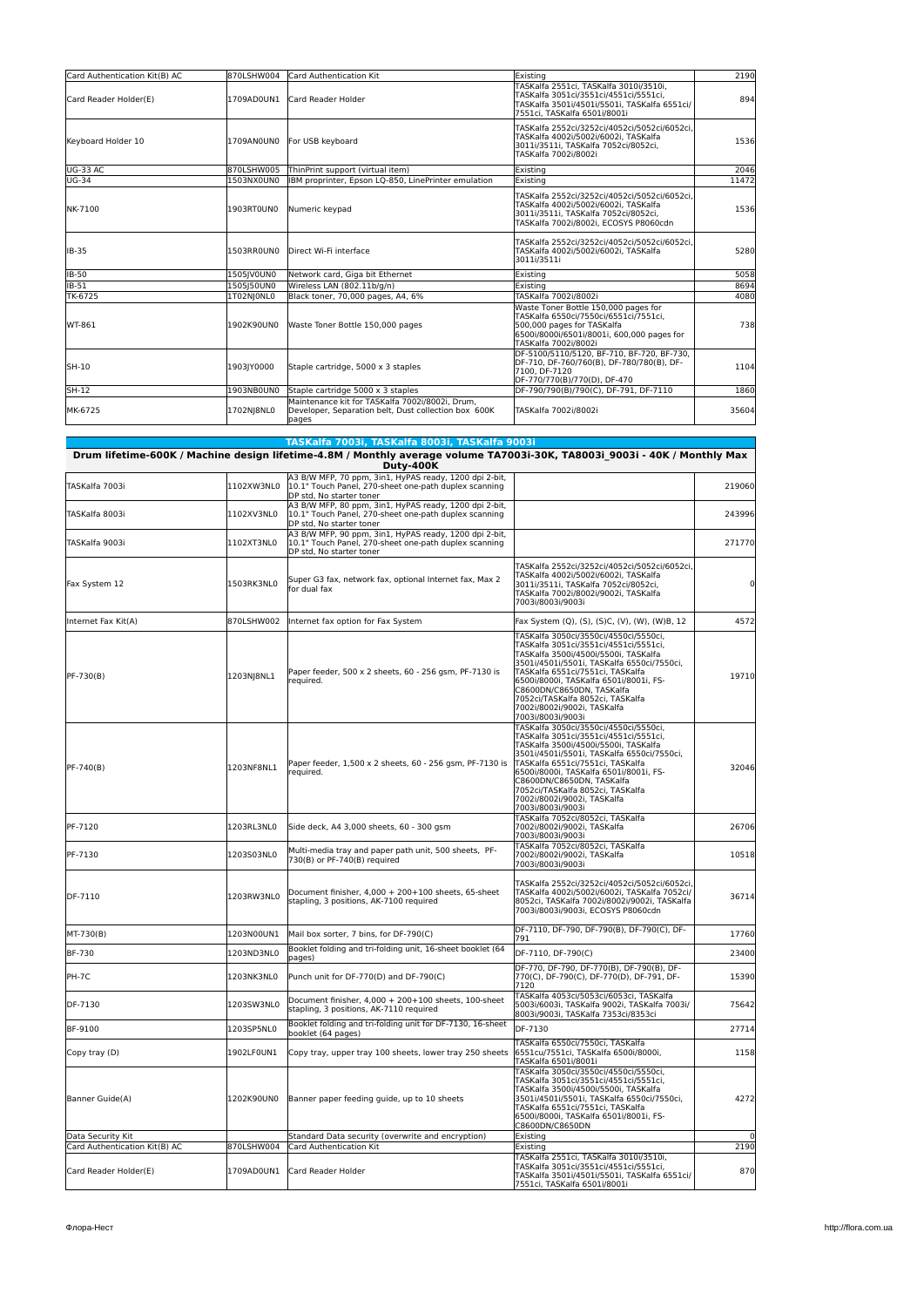| Card Authentication Kit(B) AC | 870LSHW004 | Card Authentication Kit                                                                                           | Existing                                                                                                                                                                          | 2190  |
|-------------------------------|------------|-------------------------------------------------------------------------------------------------------------------|-----------------------------------------------------------------------------------------------------------------------------------------------------------------------------------|-------|
| Card Reader Holder(E)         | 1709AD0UN1 | Card Reader Holder                                                                                                | TASKalfa 2551ci, TASKalfa 3010i/3510i,<br>TASKalfa 3051ci/3551ci/4551ci/5551ci.<br>TASKalfa 3501i/4501i/5501i. TASKalfa 6551ci/<br>7551ci, TASKalfa 6501i/8001i                   | 894   |
| Keyboard Holder 10            | 1709AN0UN0 | For USB keyboard                                                                                                  | TASKalfa 2552ci/3252ci/4052ci/5052ci/6052ci.<br>TASKalfa 4002i/5002i/6002i. TASKalfa<br>3011i/3511i, TASKalfa 7052ci/8052ci,<br>TASKalfa 7002i/8002i                              | 1536  |
| <b>UG-33 AC</b>               | 870LSHW005 | ThinPrint support (virtual item)                                                                                  | Existing                                                                                                                                                                          | 2046  |
| $UG-34$                       | 1503NX0UN0 | IBM proprinter, Epson LQ-850, LinePrinter emulation                                                               | Existing                                                                                                                                                                          | 11472 |
| NK-7100                       | 1903RT0UN0 | Numeric keypad                                                                                                    | TASKalfa 2552ci/3252ci/4052ci/5052ci/6052ci.<br>TASKalfa 4002i/5002i/6002i, TASKalfa<br>3011i/3511i, TASKalfa 7052ci/8052ci,<br>TASKalfa 7002i/8002i, ECOSYS P8060cdn             | 1536  |
| <b>IB-35</b>                  | 1503RROUNO | Direct Wi-Fi interface                                                                                            | TASKalfa 2552ci/3252ci/4052ci/5052ci/6052ci,<br>TASKalfa 4002i/5002i/6002i, TASKalfa<br>3011i/3511i                                                                               | 5280  |
| <b>IB-50</b>                  | 1505JV0UN0 | Network card, Giga bit Ethernet                                                                                   | Existing                                                                                                                                                                          | 5058  |
| IB-51                         | 1505I50UN0 | Wireless LAN (802.11b/g/n)                                                                                        | Existing                                                                                                                                                                          | 8694  |
| TK-6725                       | 1T02NI0NL0 | Black toner, 70,000 pages, A4, 6%                                                                                 | TASKalfa 7002i/8002i                                                                                                                                                              | 4080  |
| WT-861                        | 1902K90UN0 | Waste Toner Bottle 150,000 pages                                                                                  | Waste Toner Bottle 150,000 pages for<br>TASKalfa 6550ci/7550ci/6551ci/7551ci.<br>500,000 pages for TASKalfa<br>6500i/8000i/6501i/8001i, 600,000 pages for<br>TASKalfa 7002i/8002i | 738   |
| SH-10                         | 1903IY0000 | Staple cartridge, 5000 x 3 staples                                                                                | DF-5100/5110/5120. BF-710. BF-720. BF-730.<br>DF-710, DF-760/760(B), DF-780/780(B), DF-<br>7100. DF-7120<br>DF-770/770(B)/770(D), DF-470                                          | 1104  |
| SH-12                         | 1903NB0UN0 | Staple cartridge 5000 x 3 staples                                                                                 | IDF-790/790(B)/790(C), DF-791, DF-7110                                                                                                                                            | 1860  |
| MK-6725                       | 1702NJ8NL0 | Maintenance kit for TASKalfa 7002i/8002i, Drum.<br>Developer, Separation belt, Dust collection box 600K<br>lpages | TASKalfa 7002i/8002i                                                                                                                                                              | 35604 |

|                                                        |                          | TASKalfa 7003i, TASKalfa 8003i, TASKalfa 9003i                                                                                              |                                                                                                                                                                                                                                                                                                                                                                         |                |
|--------------------------------------------------------|--------------------------|---------------------------------------------------------------------------------------------------------------------------------------------|-------------------------------------------------------------------------------------------------------------------------------------------------------------------------------------------------------------------------------------------------------------------------------------------------------------------------------------------------------------------------|----------------|
|                                                        |                          | Drum lifetime-600K / Machine design lifetime-4.8M / Monthly average volume TA7003i-30K, TA8003i 9003i - 40K / Monthly Max<br>Duty-400K      |                                                                                                                                                                                                                                                                                                                                                                         |                |
| TASKalfa 7003i                                         | 1102XW3NL0               | A3 B/W MFP, 70 ppm, 3in1, HyPAS ready, 1200 dpi 2-bit,<br>10.1" Touch Panel, 270-sheet one-path duplex scanning<br>DP std, No starter toner |                                                                                                                                                                                                                                                                                                                                                                         | 219060         |
| TASKalfa 8003i                                         | 1102XV3NL0               | A3 B/W MFP, 80 ppm, 3in1, HyPAS ready, 1200 dpi 2-bit,<br>10.1" Touch Panel, 270-sheet one-path duplex scanning<br>DP std, No starter toner |                                                                                                                                                                                                                                                                                                                                                                         | 243996         |
| TASKalfa 9003i                                         | 1102XT3NL0               | A3 B/W MFP, 90 ppm, 3in1, HyPAS ready, 1200 dpi 2-bit,<br>10.1" Touch Panel, 270-sheet one-path duplex scanning<br>DP std, No starter toner |                                                                                                                                                                                                                                                                                                                                                                         | 271770         |
| Fax System 12                                          | 1503RK3NL0               | Super G3 fax, network fax, optional Internet fax, Max 2<br>for dual fax                                                                     | TASKalfa 2552ci/3252ci/4052ci/5052ci/6052ci,<br>TASKalfa 4002i/5002i/6002i, TASKalfa<br>3011i/3511i, TASKalfa 7052ci/8052ci,<br>TASKalfa 7002i/8002i/9002i, TASKalfa<br>7003i/8003i/9003i                                                                                                                                                                               | $\mathbf 0$    |
| Internet Fax Kit(A)                                    | 870LSHW002               | Internet fax option for Fax System                                                                                                          | Fax System (Q), (S), (S)C, (V), (W), (W)B, 12                                                                                                                                                                                                                                                                                                                           | 4572           |
| PF-730(B)                                              | 1203NJ8NL1               | Paper feeder, 500 x 2 sheets, 60 - 256 qsm, PF-7130 is<br>reauired.                                                                         | TASKalfa 3050ci/3550ci/4550ci/5550ci,<br>TASKalfa 3051ci/3551ci/4551ci/5551ci,<br>TASKalfa 3500i/4500i/5500i, TASKalfa<br>3501i/4501i/5501i, TASKalfa 6550ci/7550ci,<br>TASKalfa 6551ci/7551ci, TASKalfa<br>6500i/8000i, TASKalfa 6501i/8001i, FS-<br>C8600DN/C8650DN, TASKalfa<br>7052ci/TASKalfa 8052ci, TASKalfa<br>7002i/8002i/9002i, TASKalfa<br>7003i/8003i/9003i | 19710          |
| PF-740(B)                                              | 1203NF8NL1               | Paper feeder, 1,500 x 2 sheets, 60 - 256 gsm, PF-7130 is<br>reauired.                                                                       | TASKalfa 3050ci/3550ci/4550ci/5550ci,<br>TASKalfa 3051ci/3551ci/4551ci/5551ci,<br>TASKalfa 3500i/4500i/5500i, TASKalfa<br>3501i/4501i/5501i, TASKalfa 6550ci/7550ci,<br>TASKalfa 6551ci/7551ci, TASKalfa<br>6500i/8000i, TASKalfa 6501i/8001i, FS-<br>C8600DN/C8650DN, TASKalfa<br>7052ci/TASKalfa 8052ci, TASKalfa<br>7002i/8002i/9002i, TASKalfa<br>7003i/8003i/9003i | 32046          |
| PF-7120                                                | 1203RL3NL0               | Side deck, A4 3,000 sheets, 60 - 300 gsm                                                                                                    | TASKalfa 7052ci/8052ci, TASKalfa<br>7002i/8002i/9002i, TASKalfa<br>7003i/8003i/9003i                                                                                                                                                                                                                                                                                    | 26706          |
| PF-7130                                                | 1203S03NL0               | Multi-media tray and paper path unit, 500 sheets, PF-<br>730(B) or PF-740(B) required                                                       | TASKalfa 7052ci/8052ci, TASKalfa<br>7002i/8002i/9002i, TASKalfa<br>7003i/8003i/9003i                                                                                                                                                                                                                                                                                    | 10518          |
| DF-7110                                                | 1203RW3NL0               | Document finisher, 4,000 + 200+100 sheets, 65-sheet<br>stapling, 3 positions, AK-7100 required                                              | TASKalfa 2552ci/3252ci/4052ci/5052ci/6052ci<br>TASKalfa 4002i/5002i/6002i, TASKalfa 7052ci/<br>8052ci, TASKalfa 7002i/8002i/9002i, TASKalfa<br>7003i/8003i/9003i, ECOSYS P8060cdn                                                                                                                                                                                       | 36714          |
| MT-730(B)                                              | 1203N00UN1               | Mail box sorter, 7 bins, for DF-790(C)                                                                                                      | DF-7110, DF-790, DF-790(B), DF-790(C), DF-<br>791                                                                                                                                                                                                                                                                                                                       | 17760          |
| BF-730                                                 | 1203ND3NL0               | Booklet folding and tri-folding unit, 16-sheet booklet (64<br>pages)                                                                        | DF-7110, DF-790(C)                                                                                                                                                                                                                                                                                                                                                      | 23400          |
| PH-7C                                                  | 1203NK3NL0               | Punch unit for DF-770(D) and DF-790(C)                                                                                                      | DF-770, DF-790, DF-770(B), DF-790(B), DF-<br>770(C), DF-790(C), DF-770(D), DF-791, DF-<br>7120                                                                                                                                                                                                                                                                          | 15390          |
| DF-7130                                                | 1203SW3NL0               | Document finisher, 4,000 + 200+100 sheets, 100-sheet<br>stapling, 3 positions, AK-7110 required                                             | TASKalfa 4053ci/5053ci/6053ci, TASKalfa<br>5003i/6003i, TASKalfa 9002i, TASKalfa 7003i/<br>8003i/9003i, TASKalfa 7353ci/8353ci                                                                                                                                                                                                                                          | 75642          |
| BF-9100                                                | 1203SP5NL0               | Booklet folding and tri-folding unit for DF-7130, 16-sheet<br>booklet (64 pages)                                                            | DF-7130                                                                                                                                                                                                                                                                                                                                                                 | 27714          |
| Copy tray (D)                                          | 1902LF0UN1               | Copy tray, upper tray 100 sheets, lower tray 250 sheets                                                                                     | TASKalfa 6550ci/7550ci, TASKalfa<br>6551cu/7551ci, TASKalfa 6500i/8000i,<br>TASKalfa 6501i/8001i                                                                                                                                                                                                                                                                        | 1158           |
| Banner Guide(A)                                        | 1202K90UN0               | Banner paper feeding guide, up to 10 sheets                                                                                                 | TASKalfa 3050ci/3550ci/4550ci/5550ci,<br>TASKalfa 3051ci/3551ci/4551ci/5551ci,<br>TASKalfa 3500i/4500i/5500i, TASKalfa<br>3501i/4501i/5501i, TASKalfa 6550ci/7550ci,<br>TASKalfa 6551ci/7551ci, TASKalfa<br>6500i/8000i, TASKalfa 6501i/8001i, FS-<br>C8600DN/C8650DN                                                                                                   | 4272           |
| Data Security Kit                                      |                          | Standard Data security (overwrite and encryption)                                                                                           | Existing                                                                                                                                                                                                                                                                                                                                                                | $\overline{0}$ |
| Card Authentication Kit(B) AC<br>Card Reader Holder(E) | 870LSHW004<br>1709AD0UN1 | Card Authentication Kit<br>Card Reader Holder                                                                                               | Existing<br>TASKalfa 2551ci, TASKalfa 3010i/3510i,<br>TASKalfa 3051ci/3551ci/4551ci/5551ci,<br>TASKalfa 3501i/4501i/5501i, TASKalfa 6551ci/<br>7551ci, TASKalfa 6501i/8001i                                                                                                                                                                                             | 2190<br>870    |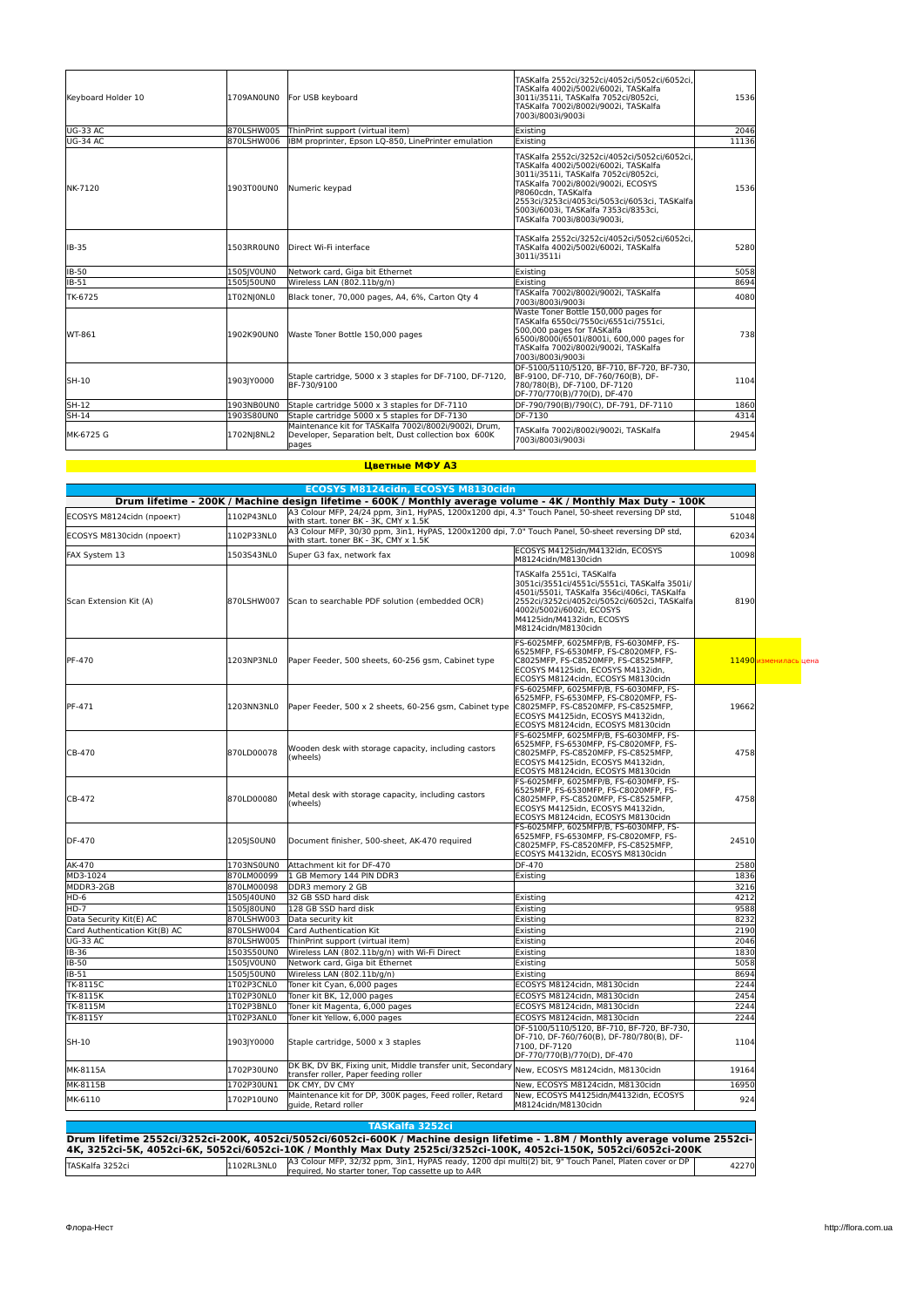| Keyboard Holder 10 | 1709AN0UN0 | For USB keyboard                                                                                                       | TASKalfa 2552ci/3252ci/4052ci/5052ci/6052ci,<br>TASKalfa 4002i/5002i/6002i, TASKalfa<br>3011i/3511i, TASKalfa 7052ci/8052ci,<br>TASKalfa 7002i/8002i/9002i, TASKalfa<br>7003i/8003i/9003i                                                                                                                       | 1536  |
|--------------------|------------|------------------------------------------------------------------------------------------------------------------------|-----------------------------------------------------------------------------------------------------------------------------------------------------------------------------------------------------------------------------------------------------------------------------------------------------------------|-------|
| UG-33 AC           | 870LSHW005 | ThinPrint support (virtual item)                                                                                       | Existing                                                                                                                                                                                                                                                                                                        | 2046  |
| <b>UG-34 AC</b>    | 870LSHW006 | IBM proprinter, Epson LO-850, LinePrinter emulation                                                                    | Existing                                                                                                                                                                                                                                                                                                        | 11136 |
| NK-7120            | 1903T00UN0 | Numeric kevpad                                                                                                         | TASKalfa 2552ci/3252ci/4052ci/5052ci/6052ci,<br>TASKalfa 4002i/5002i/6002i, TASKalfa<br>3011i/3511i. TASKalfa 7052ci/8052ci.<br>TASKalfa 7002i/8002i/9002i, ECOSYS<br>P8060cdn, TASKalfa<br>2553ci/3253ci/4053ci/5053ci/6053ci, TASKalfa<br>5003i/6003i. TASKalfa 7353ci/8353ci.<br>TASKalfa 7003i/8003i/9003i, | 1536  |
| <b>IB-35</b>       | 1503RR0UN0 | Direct Wi-Fi interface                                                                                                 | TASKalfa 2552ci/3252ci/4052ci/5052ci/6052ci,<br>TASKalfa 4002i/5002i/6002i, TASKalfa<br>3011i/3511i                                                                                                                                                                                                             | 5280  |
| <b>IB-50</b>       | 1505JV0UN0 | Network card. Giga bit Ethernet                                                                                        | Existing                                                                                                                                                                                                                                                                                                        | 5058  |
| <b>IB-51</b>       | 1505150UN0 | Wireless LAN (802.11b/g/n)                                                                                             | Existina                                                                                                                                                                                                                                                                                                        | 8694  |
| TK-6725            | 1T02NIONLO | Black toner, 70,000 pages, A4, 6%, Carton Qty 4                                                                        | TASKalfa 7002i/8002i/9002i, TASKalfa<br>7003i/8003i/9003i                                                                                                                                                                                                                                                       | 4080  |
| WT-861             | 1902K90UN0 | Waste Toner Bottle 150.000 pages                                                                                       | Waste Toner Bottle 150.000 pages for<br>TASKalfa 6550ci/7550ci/6551ci/7551ci.<br>500,000 pages for TASKalfa<br>6500i/8000i/6501i/8001i, 600,000 pages for<br>TASKalfa 7002i/8002i/9002i, TASKalfa<br>7003i/8003i/9003i                                                                                          | 738   |
| SH-10              | 1903JY0000 | Staple cartridge, 5000 x 3 staples for DF-7100, DF-7120,<br>BF-730/9100                                                | DF-5100/5110/5120, BF-710, BF-720, BF-730,<br>BF-9100, DF-710, DF-760/760(B), DF-<br>780/780(B), DF-7100, DF-7120<br>DF-770/770(B)/770(D), DF-470                                                                                                                                                               | 1104  |
| SH-12              | 1903NB0UN0 | Staple cartridge 5000 x 3 staples for DF-7110                                                                          | DF-790/790(B)/790(C), DF-791, DF-7110                                                                                                                                                                                                                                                                           | 1860  |
| SH-14              | 1903S80UN0 | Staple cartridge 5000 x 5 staples for DF-7130                                                                          | DF-7130                                                                                                                                                                                                                                                                                                         | 4314  |
| MK-6725 G          | 1702NJ8NL2 | Maintenance kit for TASKalfa 7002i/8002i/9002i. Drum.<br>Developer, Separation belt, Dust collection box 600K<br>baaes | TASKalfa 7002i/8002i/9002i, TASKalfa<br>7003i/8003i/9003i                                                                                                                                                                                                                                                       | 29454 |

#### **Цветные МФУ A3**

|                               |                          | ECOSYS M8124cidn, ECOSYS M8130cidn                                                                                                          |                                                                                                                                                                                                                                                           |              |                       |
|-------------------------------|--------------------------|---------------------------------------------------------------------------------------------------------------------------------------------|-----------------------------------------------------------------------------------------------------------------------------------------------------------------------------------------------------------------------------------------------------------|--------------|-----------------------|
|                               |                          | Drum lifetime - 200K / Machine design lifetime - 600K / Monthly average volume - 4K / Monthly Max Duty - 100K                               |                                                                                                                                                                                                                                                           |              |                       |
| ECOSYS M8124cidn (проект)     | 1102P43NL0               | A3 Colour MFP, 24/24 ppm, 3in1, HyPAS, 1200x1200 dpi, 4.3" Touch Panel, 50-sheet reversing DP std,<br>with start. toner BK - 3K, CMY x 1.5K |                                                                                                                                                                                                                                                           | 51048        |                       |
| ECOSYS M8130cidn (проект)     | 1102P33NL0               | A3 Colour MFP, 30/30 ppm, 3in1, HyPAS, 1200x1200 dpi, 7.0" Touch Panel, 50-sheet reversing DP std,<br>with start. toner BK - 3K, CMY x 1.5K |                                                                                                                                                                                                                                                           | 62034        |                       |
| FAX System 13                 | 1503S43NL0               | Super G3 fax, network fax                                                                                                                   | ECOSYS M4125idn/M4132idn, ECOSYS<br>M8124cidn/M8130cidn                                                                                                                                                                                                   | 10098        |                       |
| Scan Extension Kit (A)        | 870LSHW007               | Scan to searchable PDF solution (embedded OCR)                                                                                              | TASKalfa 2551ci, TASKalfa<br>3051ci/3551ci/4551ci/5551ci, TASKalfa 3501i/<br>4501i/5501i, TASKalfa 356ci/406ci, TASKalfa<br>2552ci/3252ci/4052ci/5052ci/6052ci, TASKalfa<br>4002i/5002i/6002i, ECOSYS<br>M4125idn/M4132idn, ECOSYS<br>M8124cidn/M8130cidn | 8190         |                       |
| PF-470                        | 1203NP3NL0               | Paper Feeder, 500 sheets, 60-256 gsm, Cabinet type                                                                                          | FS-6025MFP, 6025MFP/B, FS-6030MFP, FS-<br>6525MFP, FS-6530MFP, FS-C8020MFP, FS-<br>C8025MFP, FS-C8520MFP, FS-C8525MFP,<br>ECOSYS M4125idn, ECOSYS M4132idn,<br>ECOSYS M8124cidn, ECOSYS M8130cidn                                                         |              | 11490 изменилась цена |
| <b>PF-471</b>                 | 1203NN3NL0               | Paper Feeder, 500 x 2 sheets, 60-256 gsm, Cabinet type                                                                                      | FS-6025MFP, 6025MFP/B, FS-6030MFP, FS-<br>6525MFP, FS-6530MFP, FS-C8020MFP, FS-<br>C8025MFP, FS-C8520MFP, FS-C8525MFP,<br>ECOSYS M4125idn, ECOSYS M4132idn,<br>ECOSYS M8124cidn, ECOSYS M8130cidn                                                         | 19662        |                       |
| CB-470                        | 870LD00078               | Wooden desk with storage capacity, including castors<br>(wheels)                                                                            | FS-6025MFP, 6025MFP/B, FS-6030MFP, FS-<br>6525MFP, FS-6530MFP, FS-C8020MFP, FS-<br>C8025MFP, FS-C8520MFP, FS-C8525MFP,<br>ECOSYS M4125idn, ECOSYS M4132idn,<br>ECOSYS M8124cidn, ECOSYS M8130cidn                                                         | 4758         |                       |
| CB-472                        | 870LD00080               | Metal desk with storage capacity, including castors<br>(wheels)                                                                             | FS-6025MFP, 6025MFP/B, FS-6030MFP, FS-<br>6525MFP, FS-6530MFP, FS-C8020MFP, FS-<br>C8025MFP, FS-C8520MFP, FS-C8525MFP,<br>ECOSYS M4125idn, ECOSYS M4132idn,<br>ECOSYS M8124cidn, ECOSYS M8130cidn                                                         | 4758         |                       |
| <b>DF-470</b>                 | 1205JS0UN0               | Document finisher, 500-sheet, AK-470 required                                                                                               | FS-6025MFP. 6025MFP/B. FS-6030MFP. FS-<br>6525MFP. FS-6530MFP. FS-C8020MFP. FS-<br>C8025MFP, FS-C8520MFP, FS-C8525MFP,<br>ECOSYS M4132idn, ECOSYS M8130cidn                                                                                               | 24510        |                       |
| AK-470                        | 1703NS0UN0               | Attachment kit for DF-470                                                                                                                   | DF-470                                                                                                                                                                                                                                                    | 2580         |                       |
| MD3-1024                      | 870LM00099               | 1 GB Memory 144 PIN DDR3                                                                                                                    | Existing                                                                                                                                                                                                                                                  | 1836         |                       |
| MDDR3-2GB                     | 870LM00098               | DDR3 memory 2 GB                                                                                                                            |                                                                                                                                                                                                                                                           | 3216         |                       |
| HD-6                          | 1505 40UN0               | 32 GB SSD hard disk                                                                                                                         | Existing                                                                                                                                                                                                                                                  | 4212         |                       |
| $HD-7$                        | 1505J80UN0               | 128 GB SSD hard disk                                                                                                                        | Existing                                                                                                                                                                                                                                                  | 9588         |                       |
| Data Security Kit(E) AC       | 870LSHW003               | Data security kit                                                                                                                           | Existing                                                                                                                                                                                                                                                  | 8232         |                       |
| Card Authentication Kit(B) AC | 870LSHW004               | Card Authentication Kit                                                                                                                     | Existing                                                                                                                                                                                                                                                  | 2190         |                       |
| <b>UG-33 AC</b>               | 870LSHW005               | ThinPrint support (virtual item)                                                                                                            | Existing                                                                                                                                                                                                                                                  | 2046         |                       |
| <b>IB-36</b>                  | 1503S50UN0               | Wireless LAN (802.11b/g/n) with Wi-Fi Direct                                                                                                | Existing                                                                                                                                                                                                                                                  | 1830         |                       |
| <b>IB-50</b>                  | 1505JV0UN0               | Network card, Giga bit Ethernet                                                                                                             | Existing                                                                                                                                                                                                                                                  | 5058         |                       |
| IB-51                         | 1505J50UN0               | Wireless LAN (802.11b/g/n)                                                                                                                  | Existing                                                                                                                                                                                                                                                  | 8694         |                       |
| TK-8115C                      | 1T02P3CNL0               | Toner kit Cyan, 6,000 pages                                                                                                                 | ECOSYS M8124cidn, M8130cidn                                                                                                                                                                                                                               | 2244         |                       |
| TK-8115K                      | 1T02P30NL0               | Toner kit BK, 12,000 pages                                                                                                                  | ECOSYS M8124cidn, M8130cidn                                                                                                                                                                                                                               | 2454         |                       |
| TK-8115M                      | 1T02P3BNL0               | Toner kit Magenta, 6,000 pages                                                                                                              | ECOSYS M8124cidn, M8130cidn                                                                                                                                                                                                                               | 2244         |                       |
| TK-8115Y<br>SH-10             | 1T02P3ANL0<br>1903JY0000 | Toner kit Yellow, 6,000 pages<br>Staple cartridge, 5000 x 3 staples                                                                         | ECOSYS M8124cidn, M8130cidn<br>DF-5100/5110/5120, BF-710, BF-720, BF-730,<br>DF-710, DF-760/760(B), DF-780/780(B), DF-<br>7100, DF-7120<br>DF-770/770(B)/770(D), DF-470                                                                                   | 2244<br>1104 |                       |
| MK-8115A                      | 1702P30UN0               | DK BK, DV BK, Fixing unit, Middle transfer unit, Secondary                                                                                  | New, ECOSYS M8124cidn, M8130cidn                                                                                                                                                                                                                          | 19164        |                       |
|                               |                          | transfer roller, Paper feeding roller                                                                                                       |                                                                                                                                                                                                                                                           |              |                       |
| MK-8115B<br>MK-6110           | 1702P30UN1<br>1702P10UN0 | DK CMY, DV CMY<br>Maintenance kit for DP, 300K pages, Feed roller, Retard<br>quide. Retard roller                                           | New, ECOSYS M8124cidn, M8130cidn<br>New, ECOSYS M4125idn/M4132idn, ECOSYS<br>M8124cidn/M8130cidn                                                                                                                                                          | 16950<br>924 |                       |

|                  |            | Drum lifetime 2552ci/3252ci-200K, 4052ci/5052ci/6052ci-600K / Machine design lifetime - 1.8M / Monthly average volume 2552ci-                                |       |
|------------------|------------|--------------------------------------------------------------------------------------------------------------------------------------------------------------|-------|
|                  |            | 4K, 3252ci-5K, 4052ci-6K, 5052ci/6052ci-10K / Monthly Max Duty 2525ci/3252ci-100K, 4052ci-150K, 5052ci/6052ci-200K                                           |       |
| lTASKalfa 3252ci | 1102RL3NL0 | A3 Colour MFP, 32/32 ppm, 3in1, HyPAS ready, 1200 dpi multi(2) bit, 9" Touch Panel, Platen cover or DP<br>required, No starter toner, Top cassette up to A4R | 42270 |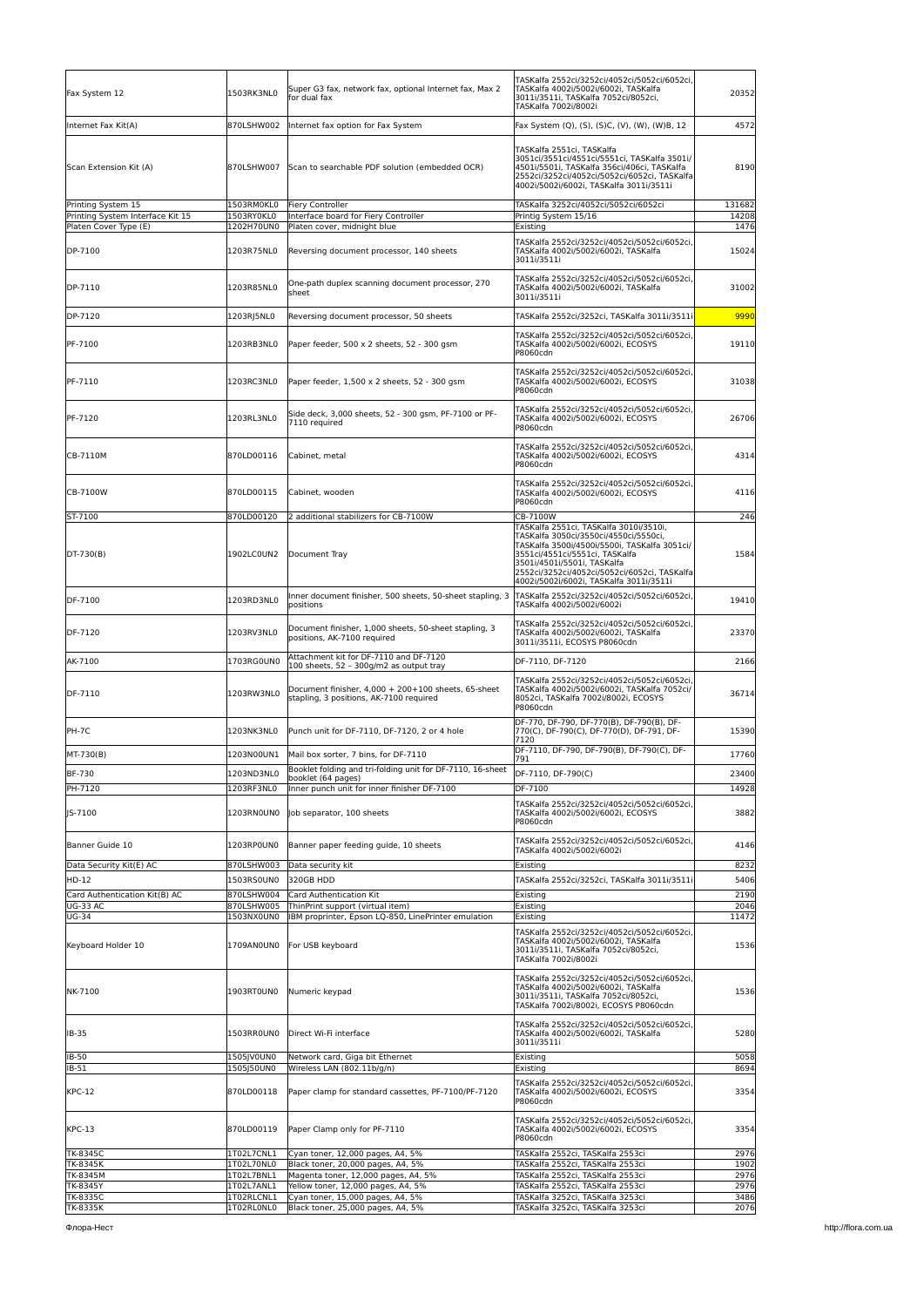| Fax System 12                                          | 1503RK3NL0               | Super G3 fax, network fax, optional Internet fax, Max 2<br>for dual fax                        | TASKalfa 2552ci/3252ci/4052ci/5052ci/6052ci,<br> TASKalfa 4002i/5002i/6002i, TASKalfa<br>3011i/3511i, TASKalfa 7052ci/8052ci,<br>TASKalfa 7002i/8002i                                                                                                                                       | 20352           |
|--------------------------------------------------------|--------------------------|------------------------------------------------------------------------------------------------|---------------------------------------------------------------------------------------------------------------------------------------------------------------------------------------------------------------------------------------------------------------------------------------------|-----------------|
| Internet Fax Kit(A)                                    | 870LSHW002               | Internet fax option for Fax System                                                             | Fax System (Q), (S), (S)C, (V), (W), (W)B, 12                                                                                                                                                                                                                                               | 4572            |
| Scan Extension Kit (A)                                 | 870LSHW007               | Scan to searchable PDF solution (embedded OCR)                                                 | TASKalfa 2551ci, TASKalfa<br>3051ci/3551ci/4551ci/5551ci, TASKalfa 3501i/<br>4501i/5501i, TASKalfa 356ci/406ci, TASKalfa<br>2552ci/3252ci/4052ci/5052ci/6052ci, TASKalfa<br>4002i/5002i/6002i, TASKalfa 3011i/3511i                                                                         | 8190            |
| Printing System 15<br>Printing System Interface Kit 15 | 1503RM0KL0<br>1503RY0KL0 | <b>Fiery Controller</b><br>Interface board for Fiery Controller                                | TASKalfa 3252ci/4052ci/5052ci/6052ci<br>Printig System 15/16                                                                                                                                                                                                                                | 131682<br>14208 |
| Platen Cover Type (E)                                  | 1202H70UN0               | Platen cover, midnight blue                                                                    | Existing                                                                                                                                                                                                                                                                                    | 1476            |
| DP-7100                                                | 1203R75NL0               | Reversing document processor, 140 sheets                                                       | TASKalfa 2552ci/3252ci/4052ci/5052ci/6052ci<br>TASKalfa 4002i/5002i/6002i, TASKalfa<br>3011i/3511i                                                                                                                                                                                          | 15024           |
| DP-7110                                                | 1203R85NL0               | One-path duplex scanning document processor, 270<br>sheet                                      | TASKalfa 2552ci/3252ci/4052ci/5052ci/6052ci<br>TASKalfa 4002i/5002i/6002i, TASKalfa<br>3011i/3511i                                                                                                                                                                                          | 31002           |
| DP-7120                                                | 1203RJ5NL0               | Reversing document processor, 50 sheets                                                        | TASKalfa 2552ci/3252ci, TASKalfa 3011i/3511i                                                                                                                                                                                                                                                | 9990            |
| PF-7100                                                | 1203RB3NL0               | Paper feeder, 500 x 2 sheets, 52 - 300 gsm                                                     | TASKalfa 2552ci/3252ci/4052ci/5052ci/6052ci<br>TASKalfa 4002i/5002i/6002i, ECOSYS<br>P8060cdn                                                                                                                                                                                               | 19110           |
| PF-7110                                                | 1203RC3NL0               | Paper feeder, 1,500 x 2 sheets, 52 - 300 gsm                                                   | TASKalfa 2552ci/3252ci/4052ci/5052ci/6052ci<br>TASKalfa 4002i/5002i/6002i, ECOSYS<br>P8060cdn                                                                                                                                                                                               | 31038           |
| PF-7120                                                | 1203RL3NL0               | Side deck, 3,000 sheets, 52 - 300 gsm, PF-7100 or PF-<br>7110 required                         | TASKalfa 2552ci/3252ci/4052ci/5052ci/6052ci<br>TASKalfa 4002i/5002i/6002i, ECOSYS<br>P8060cdn                                                                                                                                                                                               | 26706           |
| CB-7110M                                               | 870LD00116               | Cabinet, metal                                                                                 | TASKalfa 2552ci/3252ci/4052ci/5052ci/6052ci<br>TASKalfa 4002i/5002i/6002i, ECOSYS<br>P8060cdn                                                                                                                                                                                               | 4314            |
| CB-7100W                                               | 870LD00115               | Cabinet, wooden                                                                                | TASKalfa 2552ci/3252ci/4052ci/5052ci/6052ci,<br>TASKalfa 4002i/5002i/6002i, ECOSYS<br>P8060cdn                                                                                                                                                                                              | 4116            |
| ST-7100                                                | 870LD00120               | 2 additional stabilizers for CB-7100W                                                          | CB-7100W                                                                                                                                                                                                                                                                                    | 246             |
| DT-730(B)                                              | 1902LC0UN2               | Document Tray                                                                                  | TASKalfa 2551ci, TASKalfa 3010i/3510i,<br>TASKalfa 3050ci/3550ci/4550ci/5550ci,<br>TASKalfa 3500i/4500i/5500i, TASKalfa 3051ci/<br>3551ci/4551ci/5551ci, TASKalfa<br>3501i/4501i/5501i, TASKalfa<br>2552ci/3252ci/4052ci/5052ci/6052ci, TASKalfa<br>4002i/5002i/6002i, TASKalfa 3011i/3511i | 1584            |
| DF-7100                                                | 1203RD3NL0               | Inner document finisher, 500 sheets, 50-sheet stapling, 3<br>positions                         | TASKalfa 2552ci/3252ci/4052ci/5052ci/6052ci,<br>TASKalfa 4002i/5002i/6002i                                                                                                                                                                                                                  | 19410           |
| DF-7120                                                | 1203RV3NL0               | Document finisher, 1,000 sheets, 50-sheet stapling, 3<br>positions, AK-7100 required           | TASKalfa 2552ci/3252ci/4052ci/5052ci/6052ci<br>TASKalfa 4002i/5002i/6002i, TASKalfa<br>3011i/3511i, ECOSYS P8060cdn                                                                                                                                                                         | 23370           |
| AK-7100                                                | 1703RG0UN0               | Attachment kit for DF-7110 and DF-7120<br>100 sheets, 52 - 300g/m2 as output tray              | DF-7110, DF-7120                                                                                                                                                                                                                                                                            | 2166            |
| DF-7110                                                | 1203RW3NL0               | Document finisher, 4,000 + 200+100 sheets, 65-sheet<br>stapling, 3 positions, AK-7100 required | TASKalfa 2552ci/3252ci/4052ci/5052ci/6052ci<br> TASKalfa 4002i/5002i/6002i, TASKalfa 7052ci/<br>8052ci, TASKalfa 7002i/8002i, ECOSYS<br>P8060cdn                                                                                                                                            | 36714           |
| PH-7C                                                  | 1203NK3NL0               | Punch unit for DF-7110, DF-7120, 2 or 4 hole                                                   | DF-770, DF-790, DF-770(B), DF-790(B), DF-<br>770(C), DF-790(C), DF-770(D), DF-791, DF-<br>7120                                                                                                                                                                                              | 15390           |
| MT-730(B)                                              | 1203N00UN1               | Mail box sorter, 7 bins, for DF-7110                                                           | DF-7110, DF-790, DF-790(B), DF-790(C), DF-<br>791                                                                                                                                                                                                                                           | 17760           |
| BF-730                                                 | 1203ND3NL0               | Booklet folding and tri-folding unit for DF-7110, 16-sheet                                     | DF-7110, DF-790(C)                                                                                                                                                                                                                                                                          | 23400           |
| PH-7120                                                | 1203RF3NL0               | booklet (64 pages)<br>Inner punch unit for inner finisher DF-7100                              | DF-7100                                                                                                                                                                                                                                                                                     | 14928           |
| IS-7100                                                | 1203RNOUNO               | Job separator, 100 sheets                                                                      | TASKalfa 2552ci/3252ci/4052ci/5052ci/6052ci<br>TASKalfa 4002i/5002i/6002i, ECOSYS<br>P8060cdn                                                                                                                                                                                               | 3882            |
| Banner Guide 10                                        | 1203RP0UN0               | Banner paper feeding quide, 10 sheets                                                          | TASKalfa 2552ci/3252ci/4052ci/5052ci/6052ci<br>TASKalfa 4002i/5002i/6002i                                                                                                                                                                                                                   | 4146            |
| Data Security Kit(E) AC<br>HD-12                       | 870LSHW003               | Data security kit<br>320GB HDD                                                                 | Existing                                                                                                                                                                                                                                                                                    | 8232<br>5406    |
| Card Authentication Kit(B) AC                          | 1503RS0UN0<br>870LSHW004 | Card Authentication Kit                                                                        | TASKalfa 2552ci/3252ci, TASKalfa 3011i/3511i<br>Existing                                                                                                                                                                                                                                    | 2190            |
| <b>UG-33 AC</b>                                        | 870LSHW005               | ThinPrint support (virtual item)                                                               | Existing                                                                                                                                                                                                                                                                                    | 2046            |
| <b>UG-34</b>                                           | 1503NX0UN0               | IBM proprinter, Epson LQ-850, LinePrinter emulation                                            | Existing                                                                                                                                                                                                                                                                                    | 11472           |
| Keyboard Holder 10                                     | 1709AN0UN0               | For USB keyboard                                                                               | TASKalfa 2552ci/3252ci/4052ci/5052ci/6052ci<br>TASKalfa 4002i/5002i/6002i, TASKalfa<br>3011i/3511i, TASKalfa 7052ci/8052ci,<br>TASKalfa 7002i/8002i                                                                                                                                         | 1536            |
| NK-7100                                                | 1903RT0UN0               | Numeric keypad                                                                                 | TASKalfa 2552ci/3252ci/4052ci/5052ci/6052ci<br>TASKalfa 4002i/5002i/6002i, TASKalfa<br>3011i/3511i, TASKalfa 7052ci/8052ci,<br>TASKalfa 7002i/8002i, ECOSYS P8060cdn                                                                                                                        | 1536            |
| IB-35                                                  | 1503RR0UN0               | Direct Wi-Fi interface                                                                         | TASKalfa 2552ci/3252ci/4052ci/5052ci/6052ci<br>TASKalfa 4002i/5002i/6002i, TASKalfa<br>3011i/3511i                                                                                                                                                                                          | 5280            |
| IB-50                                                  | 1505JV0UN0<br>1505J50UN0 | Network card, Giga bit Ethernet<br>Wireless LAN (802.11b/g/n)                                  | Existing                                                                                                                                                                                                                                                                                    | 5058<br>8694    |
| IB-51<br><b>KPC-12</b>                                 | 870LD00118               | Paper clamp for standard cassettes, PF-7100/PF-7120                                            | Existing<br>TASKalfa 2552ci/3252ci/4052ci/5052ci/6052ci<br>TASKalfa 4002i/5002i/6002i, ECOSYS<br>P8060cdn                                                                                                                                                                                   | 3354            |
| <b>KPC-13</b>                                          | 870LD00119               | Paper Clamp only for PF-7110                                                                   | TASKalfa 2552ci/3252ci/4052ci/5052ci/6052ci<br>TASKalfa 4002i/5002i/6002i, ECOSYS<br>P8060cdn                                                                                                                                                                                               | 3354            |
| TK-8345C                                               | 1T02L7CNL1               | Cyan toner, 12,000 pages, A4, 5%                                                               | TASKalfa 2552ci, TASKalfa 2553ci                                                                                                                                                                                                                                                            | 2976            |
| TK-8345K<br>TK-8345M                                   | 1T02L70NL0<br>1T02L7BNL1 | Black toner, 20,000 pages, A4, 5%<br>Magenta toner, 12,000 pages, A4, 5%                       | TASKalfa 2552ci, TASKalfa 2553ci<br>TASKalfa 2552ci, TASKalfa 2553ci                                                                                                                                                                                                                        | 1902<br>2976    |
| TK-8345Y                                               | 1T02L7ANL1               | Yellow toner, 12,000 pages, A4, 5%                                                             | TASKalfa 2552ci, TASKalfa 2553ci                                                                                                                                                                                                                                                            | 2976            |
| TK-8335C                                               | 1T02RLCNL1               | Cyan toner, 15,000 pages, A4, 5%                                                               | TASKalfa 3252ci, TASKalfa 3253ci                                                                                                                                                                                                                                                            | 3486            |
| TK-8335K                                               | 1T02RL0NL0               | Black toner, 25,000 pages, A4, 5%                                                              | TASKalfa 3252ci, TASKalfa 3253ci                                                                                                                                                                                                                                                            | 2076            |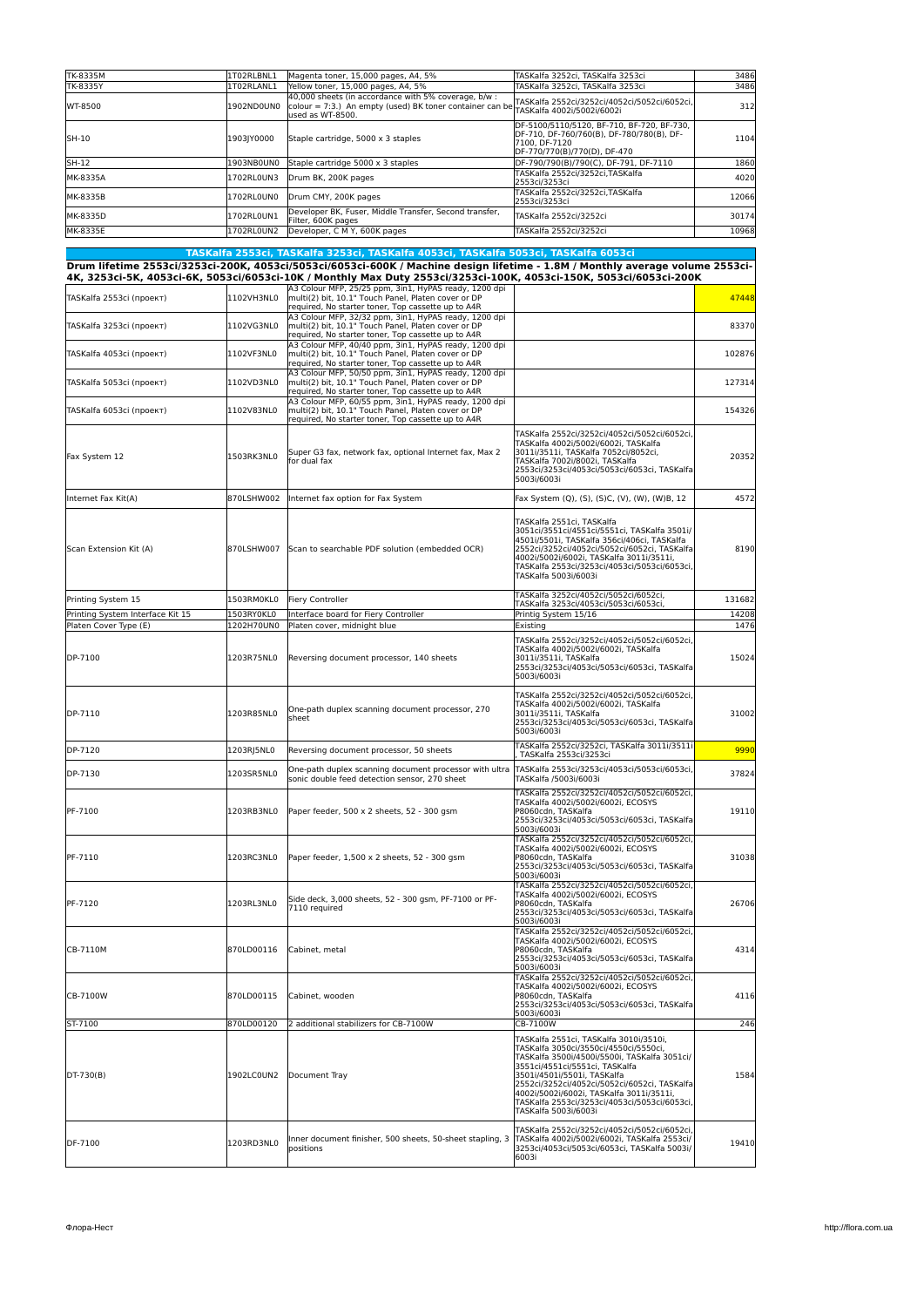| TK-8335M<br>TK-8335Y             | 1T02RLBNL1<br>1T02RLANL1 | Magenta toner, 15,000 pages, A4, 5%<br>Yellow toner, 15,000 pages, A4, 5%                                                                                                                                                                                                                                                                  | TASKalfa 3252ci, TASKalfa 3253ci<br>TASKalfa 3252ci, TASKalfa 3253ci                                                                                                                                                                                                                                                                                                 | 3486<br>3486 |
|----------------------------------|--------------------------|--------------------------------------------------------------------------------------------------------------------------------------------------------------------------------------------------------------------------------------------------------------------------------------------------------------------------------------------|----------------------------------------------------------------------------------------------------------------------------------------------------------------------------------------------------------------------------------------------------------------------------------------------------------------------------------------------------------------------|--------------|
| WT-8500                          | 1902ND0UN0               | 40,000 sheets (in accordance with 5% coverage, b/w :<br>colour = 7:3.) An empty (used) BK toner container can be<br>used as WT-8500.                                                                                                                                                                                                       | TASKalfa 2552ci/3252ci/4052ci/5052ci/6052ci,<br>TASKalfa 4002i/5002i/6002i                                                                                                                                                                                                                                                                                           | 312          |
| SH-10                            | 1903JY0000               | Staple cartridge, 5000 x 3 staples                                                                                                                                                                                                                                                                                                         | DF-5100/5110/5120, BF-710, BF-720, BF-730,<br>DF-710, DF-760/760(B), DF-780/780(B), DF-<br>7100, DF-7120<br>DF-770/770(B)/770(D), DF-470                                                                                                                                                                                                                             | 1104         |
| SH-12                            | 1903NB0UN0               | Staple cartridge 5000 x 3 staples                                                                                                                                                                                                                                                                                                          | DF-790/790(B)/790(C), DF-791, DF-7110                                                                                                                                                                                                                                                                                                                                | 1860         |
| MK-8335A                         | 1702RL0UN3               | Drum BK, 200K pages                                                                                                                                                                                                                                                                                                                        | TASKalfa 2552ci/3252ci,TASKalfa<br>2553ci/3253ci                                                                                                                                                                                                                                                                                                                     | 4020         |
| MK-8335B                         | 1702RL0UN0               | Drum CMY, 200K pages                                                                                                                                                                                                                                                                                                                       | TASKalfa 2552ci/3252ci,TASKalfa<br>2553ci/3253ci                                                                                                                                                                                                                                                                                                                     | 12066        |
| MK-8335D                         | 1702RL0UN1               | Developer BK, Fuser, Middle Transfer, Second transfer,<br>Filter, 600K pages                                                                                                                                                                                                                                                               | TASKalfa 2552ci/3252ci                                                                                                                                                                                                                                                                                                                                               | 30174        |
| MK-8335E                         | 1702RL0UN2               | Developer, C M Y, 600K pages                                                                                                                                                                                                                                                                                                               | TASKalfa 2552ci/3252ci                                                                                                                                                                                                                                                                                                                                               | 10968        |
|                                  |                          |                                                                                                                                                                                                                                                                                                                                            |                                                                                                                                                                                                                                                                                                                                                                      |              |
|                                  |                          | TASKalfa 2553ci, TASKalfa 3253ci, TASKalfa 4053ci, TASKalfa 5053ci, TASKalfa 6053ci<br>Drum lifetime 2553ci/3253ci-200K, 4053ci/5053ci/6053ci-600K / Machine design lifetime - 1.8M / Monthly average volume 2553ci-<br>4K, 3253ci-5K, 4053ci-6K, 5053ci/6053ci-10K / Monthly Max Duty 2553ci/3253ci-100K, 4053ci-150K, 5053ci/6053ci-200K |                                                                                                                                                                                                                                                                                                                                                                      |              |
| TASKalfa 2553ci (проект)         | 1102VH3NL0               | A3 Colour MFP, 25/25 ppm, 3in1, HyPAS ready, 1200 dpi<br>multi(2) bit, 10.1" Touch Panel, Platen cover or DP<br>required, No starter toner, Top cassette up to A4R                                                                                                                                                                         |                                                                                                                                                                                                                                                                                                                                                                      | 47448        |
| TASKalfa 3253ci (проект)         | 1102VG3NL0               | A3 Colour MFP, 32/32 ppm, 3in1, HyPAS ready, 1200 dpi<br>multi(2) bit, 10.1" Touch Panel, Platen cover or DP<br>required, No starter toner, Top cassette up to A4R                                                                                                                                                                         |                                                                                                                                                                                                                                                                                                                                                                      | 83370        |
| TASKalfa 4053ci (проект)         | 1102VF3NL0               | A3 Colour MFP, 40/40 ppm, 3in1, HyPAS ready, 1200 dpi<br>multi(2) bit, 10.1" Touch Panel, Platen cover or DP<br>required, No starter toner, Top cassette up to A4R                                                                                                                                                                         |                                                                                                                                                                                                                                                                                                                                                                      | 102876       |
| TASKalfa 5053ci (проект)         | 1102VD3NL0               | A3 Colour MFP, 50/50 ppm, 3in1, HyPAS ready, 1200 dpi<br>multi(2) bit, 10.1" Touch Panel, Platen cover or DP                                                                                                                                                                                                                               |                                                                                                                                                                                                                                                                                                                                                                      | 127314       |
| TASKalfa 6053ci (проект)         | 1102V83NL0               | required, No starter toner, Top cassette up to A4R<br>A3 Colour MFP, 60/55 ppm, 3in1, HyPAS ready, 1200 dpi<br>multi(2) bit, 10.1" Touch Panel, Platen cover or DP                                                                                                                                                                         |                                                                                                                                                                                                                                                                                                                                                                      | 154326       |
| Fax System 12                    | 1503RK3NL0               | required. No starter toner. Top cassette up to A4R<br>Super G3 fax, network fax, optional Internet fax, Max 2<br>for dual fax                                                                                                                                                                                                              | TASKalfa 2552ci/3252ci/4052ci/5052ci/6052ci<br>TASKalfa 4002i/5002i/6002i, TASKalfa<br>3011i/3511i, TASKalfa 7052ci/8052ci,<br>TASKalfa 7002i/8002i, TASKalfa<br>2553ci/3253ci/4053ci/5053ci/6053ci, TASKalfa<br>5003i/6003i                                                                                                                                         | 20352        |
| Internet Fax Kit(A)              | 870LSHW002               | Internet fax option for Fax System                                                                                                                                                                                                                                                                                                         | Fax System (Q), (S), (S)C, (V), (W), (W)B, 12                                                                                                                                                                                                                                                                                                                        | 4572         |
| Scan Extension Kit (A)           |                          | 870LSHW007 Scan to searchable PDF solution (embedded OCR)                                                                                                                                                                                                                                                                                  | TASKalfa 2551ci, TASKalfa<br>3051ci/3551ci/4551ci/5551ci, TASKalfa 3501i/<br>4501i/5501i, TASKalfa 356ci/406ci, TASKalfa<br>2552ci/3252ci/4052ci/5052ci/6052ci, TASKalfa<br>4002i/5002i/6002i, TASKalfa 3011i/3511i,<br>TASKalfa 2553ci/3253ci/4053ci/5053ci/6053ci,<br>TASKalfa 5003i/6003i                                                                         | 8190         |
| Printing System 15               | 1503RM0KL0               | Fiery Controller                                                                                                                                                                                                                                                                                                                           | TASKalfa 3252ci/4052ci/5052ci/6052ci,                                                                                                                                                                                                                                                                                                                                | 131682       |
| Printing System Interface Kit 15 | 1503RY0KL0               | Interface board for Fiery Controller                                                                                                                                                                                                                                                                                                       | TASKalfa 3253ci/4053ci/5053ci/6053ci,<br>Printig System 15/16                                                                                                                                                                                                                                                                                                        | 14208        |
| Platen Cover Type (E)            | 1202H70UN0               | Platen cover, midnight blue                                                                                                                                                                                                                                                                                                                | Existing                                                                                                                                                                                                                                                                                                                                                             | 1476         |
| DP-7100                          | 1203R75NL0               | Reversing document processor, 140 sheets                                                                                                                                                                                                                                                                                                   | TASKalfa 2552ci/3252ci/4052ci/5052ci/6052ci<br>TASKalfa 4002i/5002i/6002i, TASKalfa<br>3011i/3511i, TASKalfa<br>2553ci/3253ci/4053ci/5053ci/6053ci, TASKalfa<br>5003i/6003i                                                                                                                                                                                          | 15024        |
| DP-7110                          | 1203R85NL0               | One-path duplex scanning document processor, 270<br>sheet                                                                                                                                                                                                                                                                                  | TASKalfa 2552ci/3252ci/4052ci/5052ci/6052ci,<br>TASKalfa 4002i/5002i/6002i, TASKalfa<br>3011i/3511i, TASKalfa<br>2553ci/3253ci/4053ci/5053ci/6053ci, TASKalfa<br>5003i/6003i                                                                                                                                                                                         | 31002        |
| DP-7120                          | 1203RJ5NL0               | Reversing document processor, 50 sheets                                                                                                                                                                                                                                                                                                    | TASKalfa 2552ci/3252ci, TASKalfa 3011i/3511i<br>TASKalfa 2553ci/3253ci                                                                                                                                                                                                                                                                                               | 9990         |
| DP-7130                          | 1203SR5NL0               | One-path duplex scanning document processor with ultra<br>sonic double feed detection sensor, 270 sheet                                                                                                                                                                                                                                    | TASKalfa 2553ci/3253ci/4053ci/5053ci/6053ci,<br>TASKalfa /5003i/6003i                                                                                                                                                                                                                                                                                                | 37824        |
| PF-7100                          | 1203RB3NL0               | Paper feeder, 500 x 2 sheets, 52 - 300 gsm                                                                                                                                                                                                                                                                                                 | TASKalfa 2552ci/3252ci/4052ci/5052ci/6052ci<br>TASKalfa 4002i/5002i/6002i, ECOSYS<br>P8060cdn, TASKalfa<br>2553ci/3253ci/4053ci/5053ci/6053ci, TASKalfa<br>5003i/6003i                                                                                                                                                                                               | 19110        |
| PF-7110                          | 1203RC3NL0               | Paper feeder, 1,500 x 2 sheets, 52 - 300 gsm                                                                                                                                                                                                                                                                                               | TASKalfa 2552ci/3252ci/4052ci/5052ci/6052ci,<br>TASKalfa 4002i/5002i/6002i, ECOSYS<br>P8060cdn, TASKalfa<br>2553ci/3253ci/4053ci/5053ci/6053ci, TASKalfa<br>5003i/6003i                                                                                                                                                                                              | 31038        |
| PF-7120                          | 1203RL3NL0               | Side deck, 3,000 sheets, 52 - 300 gsm, PF-7100 or PF-<br>7110 required                                                                                                                                                                                                                                                                     | TASKalfa 2552ci/3252ci/4052ci/5052ci/6052ci,<br>TASKalfa 4002i/5002i/6002i, ECOSYS<br>P8060cdn, TASKalfa<br>2553ci/3253ci/4053ci/5053ci/6053ci, TASKalfa<br>5003i/6003i                                                                                                                                                                                              | 26706        |
| CB-7110M                         | 870LD00116               | Cabinet, metal                                                                                                                                                                                                                                                                                                                             | TASKalfa 2552ci/3252ci/4052ci/5052ci/6052ci.<br>TASKalfa 4002i/5002i/6002i, ECOSYS<br>P8060cdn, TASKalfa<br>2553ci/3253ci/4053ci/5053ci/6053ci, TASKalfa<br>5003i/6003i                                                                                                                                                                                              | 4314         |
| CB-7100W                         | 870LD00115               | Cabinet, wooden                                                                                                                                                                                                                                                                                                                            | TASKalfa 2552ci/3252ci/4052ci/5052ci/6052ci,<br>TASKalfa 4002i/5002i/6002i, ECOSYS<br>P8060cdn, TASKalfa<br>2553ci/3253ci/4053ci/5053ci/6053ci, TASKalfa<br>5003i/6003i                                                                                                                                                                                              | 4116         |
| ST-7100                          | 870LD00120               | 2 additional stabilizers for CB-7100W                                                                                                                                                                                                                                                                                                      | CB-7100W                                                                                                                                                                                                                                                                                                                                                             | 246          |
| DT-730(B)                        | 1902LC0UN2               | Document Tray                                                                                                                                                                                                                                                                                                                              | TASKalfa 2551ci, TASKalfa 3010i/3510i,<br>TASKalfa 3050ci/3550ci/4550ci/5550ci,<br>TASKalfa 3500i/4500i/5500i, TASKalfa 3051ci/<br>3551ci/4551ci/5551ci, TASKalfa<br>3501i/4501i/5501i, TASKalfa<br>2552ci/3252ci/4052ci/5052ci/6052ci, TASKalfa<br>4002i/5002i/6002i, TASKalfa 3011i/3511i,<br>TASKalfa 2553ci/3253ci/4053ci/5053ci/6053ci,<br>TASKalfa 5003i/6003i | 1584         |
| DF-7100                          | 1203RD3NL0               | Inner document finisher, 500 sheets, 50-sheet stapling, 3<br>positions                                                                                                                                                                                                                                                                     | TASKalfa 2552ci/3252ci/4052ci/5052ci/6052ci<br>TASKalfa 4002i/5002i/6002i, TASKalfa 2553ci/<br>3253ci/4053ci/5053ci/6053ci, TASKalfa 5003i/<br>6003i                                                                                                                                                                                                                 | 19410        |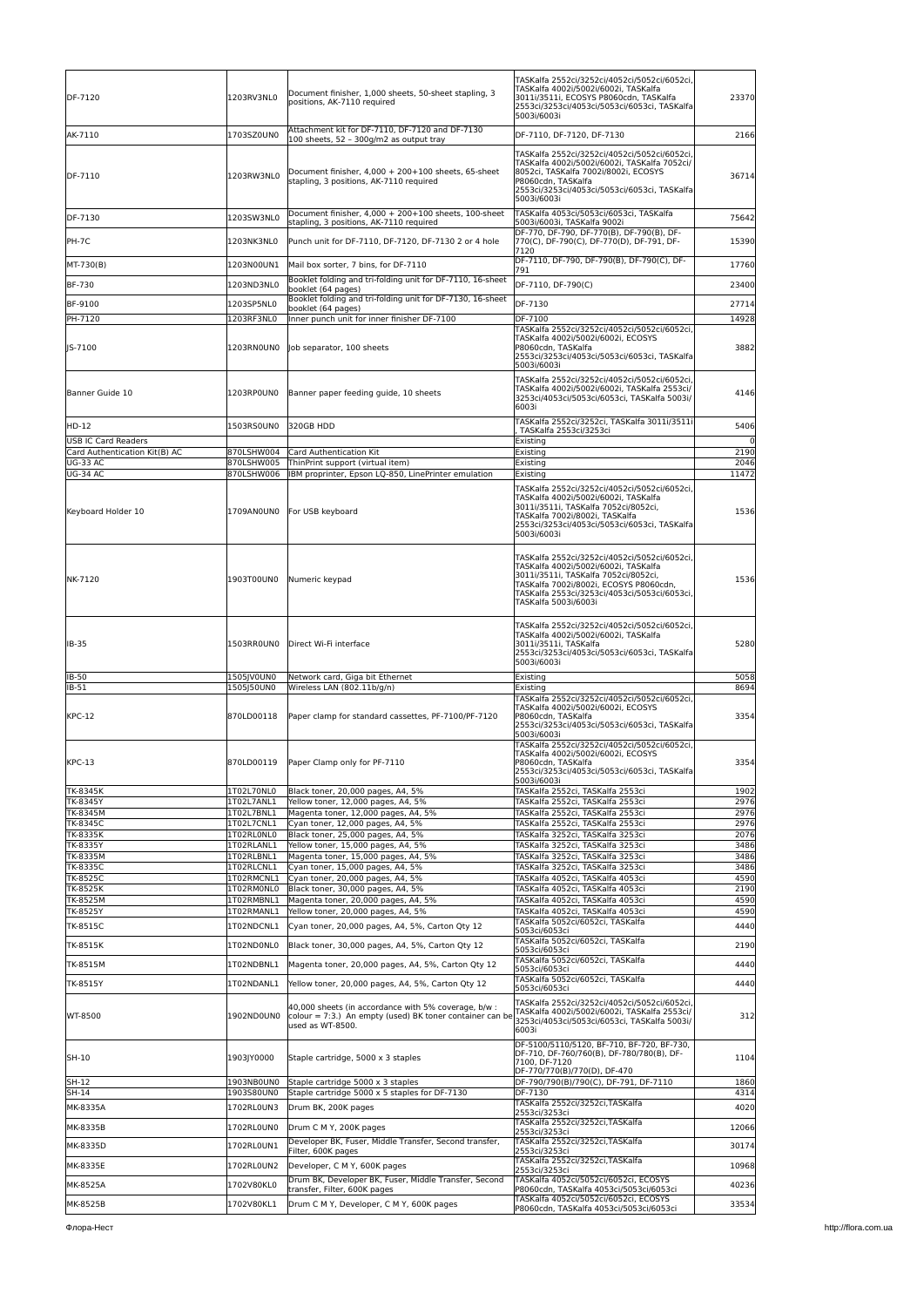| DF-7120                                                     | 1203RV3NL0               | Document finisher, 1,000 sheets, 50-sheet stapling, 3<br>positions, AK-7110 required                                                 | TASKalfa 2552ci/3252ci/4052ci/5052ci/6052ci,<br>TASKalfa 4002i/5002i/6002i, TASKalfa<br>3011i/3511i, ECOSYS P8060cdn, TASKalfa<br>2553ci/3253ci/4053ci/5053ci/6053ci, TASKalfa<br>5003i/6003i                                                                             | 23370                  |
|-------------------------------------------------------------|--------------------------|--------------------------------------------------------------------------------------------------------------------------------------|---------------------------------------------------------------------------------------------------------------------------------------------------------------------------------------------------------------------------------------------------------------------------|------------------------|
| AK-7110                                                     | 1703SZ0UN0               | Attachment kit for DF-7110, DF-7120 and DF-7130<br>100 sheets, 52 - 300g/m2 as output tray                                           | DF-7110, DF-7120, DF-7130                                                                                                                                                                                                                                                 | 2166                   |
| DF-7110                                                     | 1203RW3NL0               | Document finisher, 4,000 + 200+100 sheets, 65-sheet<br>stapling, 3 positions, AK-7110 required                                       | TASKalfa 2552ci/3252ci/4052ci/5052ci/6052ci<br>TASKalfa 4002i/5002i/6002i, TASKalfa 7052ci/<br>8052ci, TASKalfa 7002i/8002i, ECOSYS<br>P8060cdn, TASKalfa<br>2553ci/3253ci/4053ci/5053ci/6053ci, TASKalfa<br>5003i/6003i                                                  | 36714                  |
| DF-7130                                                     | 1203SW3NL0               | Document finisher, 4,000 + 200+100 sheets, 100-sheet<br>stapling, 3 positions, AK-7110 required                                      | TASKalfa 4053ci/5053ci/6053ci, TASKalfa<br>5003i/6003i, TASKalfa 9002i                                                                                                                                                                                                    | 75642                  |
| PH-7C                                                       | 1203NK3NL0               | Punch unit for DF-7110, DF-7120, DF-7130 2 or 4 hole                                                                                 | DF-770, DF-790, DF-770(B), DF-790(B), DF-<br>770(C), DF-790(C), DF-770(D), DF-791, DF-<br>7120                                                                                                                                                                            | 15390                  |
| MT-730(B)                                                   | 1203N00UN1               | Mail box sorter, 7 bins, for DF-7110                                                                                                 | DF-7110, DF-790, DF-790(B), DF-790(C), DF-<br>791                                                                                                                                                                                                                         | 17760                  |
| BF-730                                                      | 1203ND3NL0               | Booklet folding and tri-folding unit for DF-7110, 16-sheet<br>booklet (64 pages)                                                     | DF-7110, DF-790(C)                                                                                                                                                                                                                                                        | 23400                  |
| BF-9100                                                     | 1203SP5NL0               | Booklet folding and tri-folding unit for DF-7130, 16-sheet<br>booklet (64 pages)                                                     | DF-7130                                                                                                                                                                                                                                                                   | 27714                  |
| PH-7120                                                     | 1203RF3NL0               | Inner punch unit for inner finisher DF-7100                                                                                          | DF-7100                                                                                                                                                                                                                                                                   | 14928                  |
| JS-7100                                                     | 1203RN0UN0               | Job separator, 100 sheets                                                                                                            | TASKalfa 2552ci/3252ci/4052ci/5052ci/6052ci,<br>TASKalfa 4002i/5002i/6002i, ECOSYS<br>P8060cdn, TASKalfa<br>2553ci/3253ci/4053ci/5053ci/6053ci, TASKalfa<br>5003i/6003i                                                                                                   | 3882                   |
| Banner Guide 10                                             | 1203RP0UN0               | Banner paper feeding guide, 10 sheets                                                                                                | TASKalfa 2552ci/3252ci/4052ci/5052ci/6052ci<br>TASKalfa 4002i/5002i/6002i, TASKalfa 2553ci/<br>3253ci/4053ci/5053ci/6053ci, TASKalfa 5003i/<br>6003i                                                                                                                      | 4146                   |
| HD-12                                                       | 1503RS0UN0               | 320GB HDD                                                                                                                            | TASKalfa 2552ci/3252ci, TASKalfa 3011i/3511i<br>TASKalfa 2553ci/3253ci                                                                                                                                                                                                    | 5406                   |
| <b>USB IC Card Readers</b><br>Card Authentication Kit(B) AC | 870LSHW004               | Card Authentication Kit                                                                                                              | Existing<br>Existing                                                                                                                                                                                                                                                      | $\overline{0}$<br>2190 |
| <b>UG-33 AC</b>                                             | 870LSHW005               | ThinPrint support (virtual item)                                                                                                     | Existing                                                                                                                                                                                                                                                                  | 2046                   |
| <b>UG-34 AC</b>                                             | 870LSHW006               | IBM proprinter, Epson LQ-850, LinePrinter emulation                                                                                  | Existing                                                                                                                                                                                                                                                                  | 11472                  |
| Keyboard Holder 10                                          | 1709AN0UN0               | For USB keyboard                                                                                                                     | TASKalfa 2552ci/3252ci/4052ci/5052ci/6052ci,<br>TASKalfa 4002i/5002i/6002i, TASKalfa<br>3011i/3511i, TASKalfa 7052ci/8052ci,<br>TASKalfa 7002i/8002i, TASKalfa<br>2553ci/3253ci/4053ci/5053ci/6053ci, TASKalfa<br>5003i/6003i                                             | 1536                   |
| NK-7120                                                     | 1903T00UN0               | Numeric keypad                                                                                                                       | TASKalfa 2552ci/3252ci/4052ci/5052ci/6052ci,<br>TASKalfa 4002i/5002i/6002i, TASKalfa<br>3011i/3511i, TASKalfa 7052ci/8052ci,<br>TASKalfa 7002i/8002i, ECOSYS P8060cdn,<br>TASKalfa 2553ci/3253ci/4053ci/5053ci/6053ci,<br>TASKalfa 5003i/6003i                            | 1536                   |
| IB-35                                                       | 1503RR0UN0               | Direct Wi-Fi interface                                                                                                               | TASKalfa 2552ci/3252ci/4052ci/5052ci/6052ci,<br>TASKalfa 4002i/5002i/6002i, TASKalfa<br>3011i/3511i, TASKalfa<br>2553ci/3253ci/4053ci/5053ci/6053ci, TASKalfa<br>5003i/6003i                                                                                              | 5280                   |
| IB-50<br>IB-51                                              | 1505IV0UN0<br>1505J50UN0 | Network card, Giga bit Ethernet<br>Wireless LAN (802.11b/g/n)                                                                        | Existing                                                                                                                                                                                                                                                                  | 5058<br>8694           |
| <b>KPC-12</b>                                               | 870LD00118               | Paper clamp for standard cassettes, PF-7100/PF-7120                                                                                  | Existing<br>TASKalfa 2552ci/3252ci/4052ci/5052ci/6052ci,<br>TASKalfa 4002i/5002i/6002i, ECOSYS<br>P8060cdn, TASKalfa<br>2553ci/3253ci/4053ci/5053ci/6053ci, TASKalfa<br>5003i/6003i<br>TASKalfa 2552ci/3252ci/4052ci/5052ci/6052ci,<br>TASKalfa 4002i/5002i/6002i, ECOSYS | 3354                   |
| $KPC-13$                                                    | 870LD00119               | Paper Clamp only for PF-7110                                                                                                         | P8060cdn, TASKalfa<br>2553ci/3253ci/4053ci/5053ci/6053ci, TASKalfa<br>5003i/6003i                                                                                                                                                                                         | 3354                   |
| TK-8345K<br>TK-8345Y                                        | 1T02L70NL0<br>1T02L7ANL1 | Black toner, 20,000 pages, A4, 5%<br>Yellow toner, 12,000 pages, A4, 5%                                                              | TASKalfa 2552ci, TASKalfa 2553ci<br>TASKalfa 2552ci, TASKalfa 2553ci                                                                                                                                                                                                      | 1902<br>2976           |
| TK-8345M                                                    | 1T02L7BNL1               | Magenta toner, 12,000 pages, A4, 5%                                                                                                  | TASKalfa 2552ci, TASKalfa 2553ci                                                                                                                                                                                                                                          | 2976                   |
| <b>TK-8345C</b><br>TK-8335K                                 | 1T02L7CNL1<br>1T02RL0NL0 | Cyan toner, 12,000 pages, A4, 5%<br>Black toner, 25,000 pages, A4, 5%                                                                | TASKalfa 2552ci, TASKalfa 2553ci<br>TASKalfa 3252ci, TASKalfa 3253ci                                                                                                                                                                                                      | 2976<br>2076           |
| TK-8335Y                                                    | 1T02RLANL1               | Yellow toner, 15,000 pages, A4, 5%                                                                                                   | TASKalfa 3252ci, TASKalfa 3253ci                                                                                                                                                                                                                                          | 3486                   |
| TK-8335M                                                    | 1T02RLBNL1               | Magenta toner, 15,000 pages, A4, 5%<br>Cyan toner, 15,000 pages, A4, 5%                                                              | TASKalfa 3252ci, TASKalfa 3253ci                                                                                                                                                                                                                                          | 3486                   |
| TK-8335C<br>TK-8525C                                        | 1T02RLCNL1<br>1T02RMCNL1 | Cyan toner, 20,000 pages, A4, 5%                                                                                                     | TASKalfa 3252ci, TASKalfa 3253ci<br>TASKalfa 4052ci, TASKalfa 4053ci                                                                                                                                                                                                      | 3486<br>4590           |
| TK-8525K                                                    | 1T02RM0NL0               | Black toner, 30,000 pages, A4, 5%                                                                                                    | TASKalfa 4052ci, TASKalfa 4053ci                                                                                                                                                                                                                                          | 2190                   |
| TK-8525M<br>TK-8525Y                                        | 1T02RMBNL1<br>1T02RMANL1 | Magenta toner, 20,000 pages, A4, 5%<br>Yellow toner, 20,000 pages, A4, 5%                                                            | TASKalfa 4052ci, TASKalfa 4053ci<br>TASKalfa 4052ci, TASKalfa 4053ci                                                                                                                                                                                                      | 4590<br>4590           |
| TK-8515C                                                    | 1T02NDCNL1               | Cyan toner, 20,000 pages, A4, 5%, Carton Qty 12                                                                                      | TASKalfa 5052ci/6052ci, TASKalfa<br>5053ci/6053ci                                                                                                                                                                                                                         | 4440                   |
| TK-8515K                                                    | 1T02ND0NL0               | Black toner, 30,000 pages, A4, 5%, Carton Qty 12                                                                                     | TASKalfa 5052ci/6052ci, TASKalfa                                                                                                                                                                                                                                          | 2190                   |
| TK-8515M                                                    | 1T02NDBNL1               | Magenta toner, 20,000 pages, A4, 5%, Carton Qty 12                                                                                   | 5053ci/6053ci<br>TASKalfa 5052ci/6052ci, TASKalfa                                                                                                                                                                                                                         | 4440                   |
| TK-8515Y                                                    | 1T02NDANL1               | Yellow toner, 20,000 pages, A4, 5%, Carton Qty 12                                                                                    | 5053ci/6053ci<br>TASKalfa 5052ci/6052ci, TASKalfa                                                                                                                                                                                                                         | 4440                   |
| WT-8500                                                     | 1902ND0UN0               | 40,000 sheets (in accordance with 5% coverage, b/w :<br>colour = 7:3.) An empty (used) BK toner container can be<br>used as WT-8500. | 5053ci/6053ci<br>TASKalfa 2552ci/3252ci/4052ci/5052ci/6052ci,<br>TASKalfa 4002i/5002i/6002i, TASKalfa 2553ci/<br>3253ci/4053ci/5053ci/6053ci, TASKalfa 5003i/<br>6003i                                                                                                    | 312                    |
| SH-10                                                       | 1903JY0000               | Staple cartridge, 5000 x 3 staples                                                                                                   | DF-5100/5110/5120, BF-710, BF-720, BF-730,<br>DF-710, DF-760/760(B), DF-780/780(B), DF-<br>7100, DF-7120<br>DF-770/770(B)/770(D), DF-470                                                                                                                                  | 1104                   |
| SH-12                                                       | 1903NB0UN0               | Staple cartridge 5000 x 3 staples                                                                                                    | DF-790/790(B)/790(C), DF-791, DF-7110                                                                                                                                                                                                                                     | 1860                   |
| SH-14<br>MK-8335A                                           | 1903S80UN0<br>1702RL0UN3 | Staple cartridge 5000 x 5 staples for DF-7130<br>Drum BK, 200K pages                                                                 | DF-7130<br>TASKalfa 2552ci/3252ci,TASKalfa                                                                                                                                                                                                                                | 4314<br>4020           |
|                                                             |                          |                                                                                                                                      | 2553ci/3253ci<br>TASKalfa 2552ci/3252ci,TASKalfa                                                                                                                                                                                                                          |                        |
| MK-8335B                                                    | 1702RL0UN0               | Drum C M Y, 200K pages<br>Developer BK, Fuser, Middle Transfer, Second transfer,                                                     | 2553ci/3253ci<br>TASKalfa 2552ci/3252ci, TASKalfa                                                                                                                                                                                                                         | 12066                  |
| MK-8335D                                                    | 1702RL0UN1               | Filter, 600K pages                                                                                                                   | 2553ci/3253ci                                                                                                                                                                                                                                                             | 30174                  |
| MK-8335E                                                    | 1702RL0UN2               | Developer, C M Y, 600K pages                                                                                                         | TASKalfa 2552ci/3252ci,TASKalfa<br>2553ci/3253ci                                                                                                                                                                                                                          | 10968                  |
| MK-8525A                                                    | 1702V80KL0               | Drum BK, Developer BK, Fuser, Middle Transfer, Second<br>transfer, Filter, 600K pages                                                | TASKalfa 4052ci/5052ci/6052ci, ECOSYS<br>P8060cdn, TASKalfa 4053ci/5053ci/6053ci                                                                                                                                                                                          | 40236                  |
| MK-8525B                                                    | 1702V80KL1               | Drum C M Y, Developer, C M Y, 600K pages                                                                                             | TASKalfa 4052ci/5052ci/6052ci, ECOSYS<br>P8060cdn, TASKalfa 4053ci/5053ci/6053ci                                                                                                                                                                                          | 33534                  |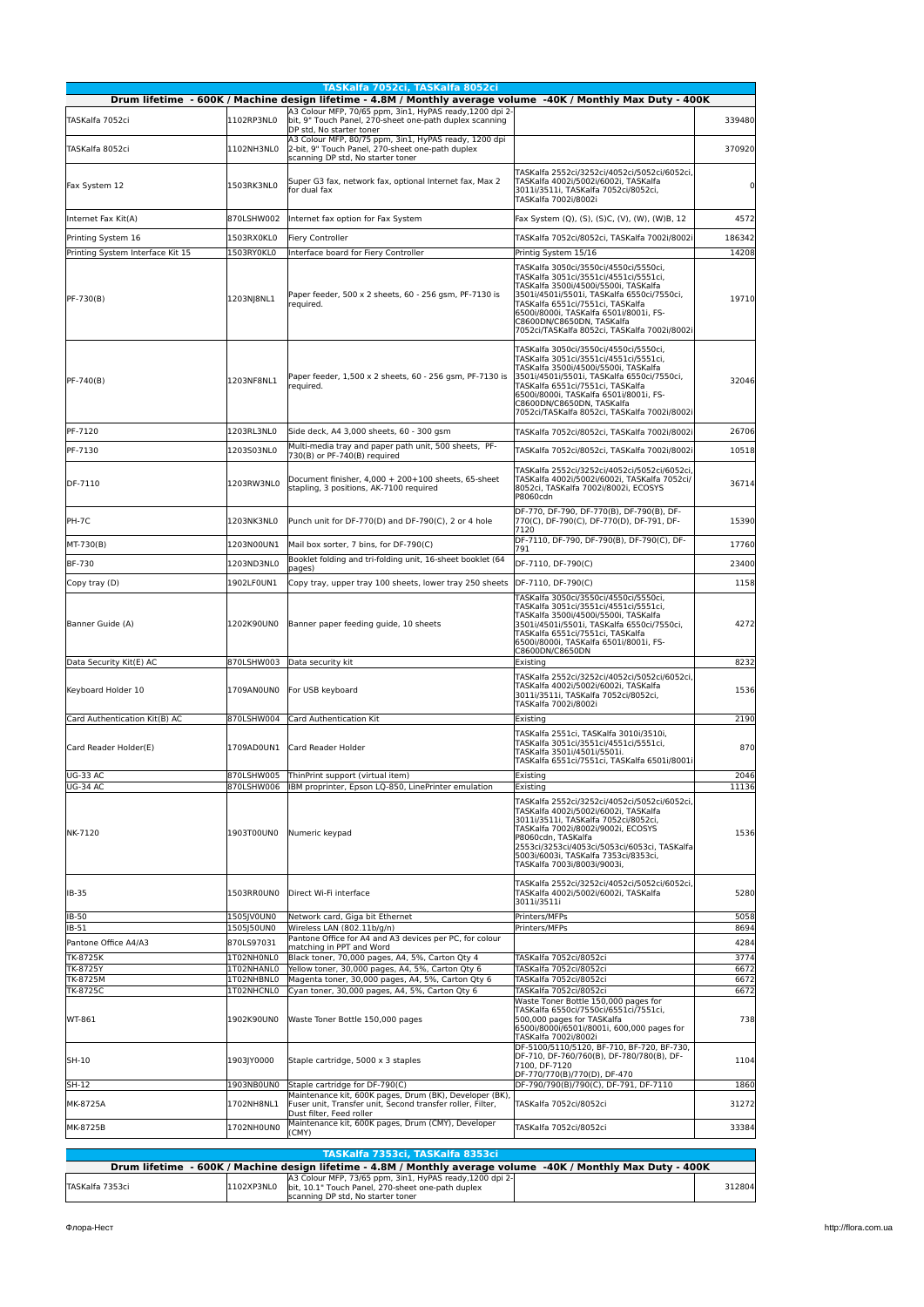|                                    |                                | TASKalfa 7052ci, TASKalfa 8052ci<br>Drum lifetime - 600K / Machine design lifetime - 4.8M / Monthly average volume -40K / Monthly Max Duty - 400K |                                                                                                                                                                                                                                                                                                                                 |               |
|------------------------------------|--------------------------------|---------------------------------------------------------------------------------------------------------------------------------------------------|---------------------------------------------------------------------------------------------------------------------------------------------------------------------------------------------------------------------------------------------------------------------------------------------------------------------------------|---------------|
| TASKalfa 7052ci                    | 1102RP3NL0                     | A3 Colour MFP, 70/65 ppm, 3in1, HyPAS ready, 1200 dpi 2-<br>bit, 9" Touch Panel, 270-sheet one-path duplex scanning<br>DP std, No starter toner   |                                                                                                                                                                                                                                                                                                                                 | 339480        |
| TASKalfa 8052ci                    | 1102NH3NL0                     | A3 Colour MFP, 80/75 ppm, 3in1, HyPAS ready, 1200 dpi<br>2-bit, 9" Touch Panel, 270-sheet one-path duplex<br>scanning DP std, No starter toner    |                                                                                                                                                                                                                                                                                                                                 | 370920        |
| Fax System 12                      | 1503RK3NL0                     | Super G3 fax, network fax, optional Internet fax, Max 2<br>for dual fax                                                                           | TASKalfa 2552ci/3252ci/4052ci/5052ci/6052ci,<br>TASKalfa 4002i/5002i/6002i, TASKalfa<br>3011i/3511i, TASKalfa 7052ci/8052ci,<br>TASKalfa 7002i/8002i                                                                                                                                                                            | 0             |
| Internet Fax Kit(A)                | 870LSHW002                     | Internet fax option for Fax System                                                                                                                | Fax System (Q), (S), (S)C, (V), (W), (W)B, 12                                                                                                                                                                                                                                                                                   | 4572          |
| Printing System 16                 | 1503RX0KL0                     | <b>Fiery Controller</b>                                                                                                                           | TASKalfa 7052ci/8052ci, TASKalfa 7002i/8002i                                                                                                                                                                                                                                                                                    | 186342        |
| Printing System Interface Kit 15   | 1503RY0KL0                     | Interface board for Fiery Controller                                                                                                              | Printig System 15/16                                                                                                                                                                                                                                                                                                            | 14208         |
| PF-730(B)                          | 1203NJ8NL1                     | Paper feeder, 500 x 2 sheets, 60 - 256 gsm, PF-7130 is<br>reguired.                                                                               | TASKalfa 3050ci/3550ci/4550ci/5550ci,<br>TASKalfa 3051ci/3551ci/4551ci/5551ci,<br>TASKalfa 3500i/4500i/5500i, TASKalfa<br>3501i/4501i/5501i, TASKalfa 6550ci/7550ci,<br>TASKalfa 6551ci/7551ci, TASKalfa<br>6500i/8000i, TASKalfa 6501i/8001i, FS-<br>C8600DN/C8650DN, TASKalfa<br>7052ci/TASKalfa 8052ci, TASKalfa 7002i/8002i | 19710         |
| PF-740(B)                          | 1203NF8NL1                     | Paper feeder, 1,500 x 2 sheets, 60 - 256 gsm, PF-7130 is<br>required.                                                                             | TASKalfa 3050ci/3550ci/4550ci/5550ci,<br>TASKalfa 3051ci/3551ci/4551ci/5551ci,<br>TASKalfa 3500i/4500i/5500i, TASKalfa<br>3501i/4501i/5501i, TASKalfa 6550ci/7550ci,<br>TASKalfa 6551ci/7551ci, TASKalfa<br>6500i/8000i, TASKalfa 6501i/8001i, FS-<br>C8600DN/C8650DN, TASKalfa<br>7052ci/TASKalfa 8052ci, TASKalfa 7002i/8002i | 32046         |
| PF-7120                            | 1203RL3NL0                     | Side deck, A4 3,000 sheets, 60 - 300 gsm                                                                                                          | TASKalfa 7052ci/8052ci, TASKalfa 7002i/8002i                                                                                                                                                                                                                                                                                    | 26706         |
| PF-7130                            | 1203S03NL0                     | Multi-media tray and paper path unit, 500 sheets, PF-<br>730(B) or PF-740(B) required                                                             | TASKalfa 7052ci/8052ci, TASKalfa 7002i/8002i                                                                                                                                                                                                                                                                                    | 10518         |
| DF-7110                            | 1203RW3NL0                     | Document finisher, 4,000 + 200+100 sheets, 65-sheet<br>stapling, 3 positions, AK-7100 required                                                    | TASKalfa 2552ci/3252ci/4052ci/5052ci/6052ci,<br>TASKalfa 4002i/5002i/6002i, TASKalfa 7052ci/<br>8052ci, TASKalfa 7002i/8002i, ECOSYS<br>P8060cdn                                                                                                                                                                                | 36714         |
| PH-7C                              | 1203NK3NL0                     | Punch unit for DF-770(D) and DF-790(C), 2 or 4 hole                                                                                               | DF-770, DF-790, DF-770(B), DF-790(B), DF-<br>770(C), DF-790(C), DF-770(D), DF-791, DF-<br>7120                                                                                                                                                                                                                                  | 15390         |
| MT-730(B)                          | 1203N00UN1                     | Mail box sorter, 7 bins, for DF-790(C)                                                                                                            | DF-7110, DF-790, DF-790(B), DF-790(C), DF-<br>791                                                                                                                                                                                                                                                                               | 17760         |
| <b>BF-730</b>                      | 1203ND3NL0                     | Booklet folding and tri-folding unit, 16-sheet booklet (64<br>pages)                                                                              | DF-7110, DF-790(C)                                                                                                                                                                                                                                                                                                              | 23400         |
| Copy tray (D)                      | 1902LF0UN1                     | Copy tray, upper tray 100 sheets, lower tray 250 sheets                                                                                           | DF-7110, DF-790(C)                                                                                                                                                                                                                                                                                                              | 1158          |
| Banner Guide (A)                   | 1202K90UN0                     | Banner paper feeding guide, 10 sheets                                                                                                             | TASKalfa 3050ci/3550ci/4550ci/5550ci,<br>TASKalfa 3051ci/3551ci/4551ci/5551ci,<br>TASKalfa 3500i/4500i/5500i, TASKalfa<br>3501i/4501i/5501i, TASKalfa 6550ci/7550ci,<br>TASKalfa 6551ci/7551ci, TASKalfa<br>6500i/8000i, TASKalfa 6501i/8001i, FS-<br>C8600DN/C8650DN                                                           | 4272          |
| Data Security Kit(E) AC            | 870LSHW003                     | Data security kit                                                                                                                                 | Existing                                                                                                                                                                                                                                                                                                                        | 8232          |
| Keyboard Holder 10                 | 1709AN0UN0                     | For USB keyboard                                                                                                                                  | TASKalfa 2552ci/3252ci/4052ci/5052ci/6052ci,<br>TASKalfa 4002i/5002i/6002i, TASKalfa<br>3011i/3511i, TASKalfa 7052ci/8052ci,<br>TASKalfa 7002i/8002i                                                                                                                                                                            | 1536          |
| Card Authentication Kit(B) AC      | 870LSHW004                     | Card Authentication Kit                                                                                                                           | Existing                                                                                                                                                                                                                                                                                                                        | 2190          |
| Card Reader Holder(E)              | 1709AD0UN1                     | Card Reader Holder                                                                                                                                | TASKalfa 2551ci, TASKalfa 3010i/3510i,<br>TASKalfa 3051ci/3551ci/4551ci/5551ci,<br>TASKalfa 3501i/4501i/5501i.<br>TASKalfa 6551ci/7551ci, TASKalfa 6501i/8001i                                                                                                                                                                  | 870           |
| <b>UG-33 AC</b><br><b>UG-34 AC</b> | 870LSHW006                     | 870LSHW005 ThinPrint support (virtual item)<br>IBM proprinter, Epson LQ-850, LinePrinter emulation                                                | Existing<br>Existing                                                                                                                                                                                                                                                                                                            | 2046<br>11136 |
| NK-7120                            | 1903T00UN0                     | Numeric keypad                                                                                                                                    | TASKalfa 2552ci/3252ci/4052ci/5052ci/6052ci,<br>TASKalfa 4002i/5002i/6002i, TASKalfa<br>3011i/3511i, TASKalfa 7052ci/8052ci,<br>TASKalfa 7002i/8002i/9002i, ECOSYS<br>P8060cdn, TASKalfa<br>2553ci/3253ci/4053ci/5053ci/6053ci, TASKalfa<br>5003i/6003i, TASKalfa 7353ci/8353ci,<br>TASKalfa 7003i/8003i/9003i,                 | 1536          |
| IB-35                              | 1503RROUNO                     | Direct Wi-Fi interface                                                                                                                            | TASKalfa 2552ci/3252ci/4052ci/5052ci/6052ci,<br>TASKalfa 4002i/5002i/6002i, TASKalfa<br>3011i/3511i                                                                                                                                                                                                                             | 5280          |
| IB-50<br>IB-51                     | 1505JV0UN0<br>1505J50UN0       | Network card, Giga bit Ethernet<br>Wireless LAN (802.11b/g/n)                                                                                     | Printers/MFPs<br>Printers/MFPs                                                                                                                                                                                                                                                                                                  | 5058<br>8694  |
| Pantone Office A4/A3               | 870LS97031                     | Pantone Office for A4 and A3 devices per PC, for colour                                                                                           |                                                                                                                                                                                                                                                                                                                                 | 4284          |
| TK-8725K                           | 1T02NH0NL0                     | matching in PPT and Word<br>Black toner, 70,000 pages, A4, 5%, Carton Qty 4                                                                       | TASKalfa 7052ci/8052ci                                                                                                                                                                                                                                                                                                          | 3774          |
| <b>TK-8725Y</b>                    | 1T02NHANL0                     | Yellow toner, 30,000 pages, A4, 5%, Carton Qty 6                                                                                                  | TASKalfa 7052ci/8052ci                                                                                                                                                                                                                                                                                                          | 6672          |
| TK-8725M<br><b>TK-8725C</b>        | 1T02NHBNL0<br>1T02NHCNL0       | Magenta toner, 30,000 pages, A4, 5%, Carton Qty 6<br>Cyan toner, 30,000 pages, A4, 5%, Carton Qty 6                                               | TASKalfa 7052ci/8052ci<br>TASKalfa 7052ci/8052ci                                                                                                                                                                                                                                                                                | 6672<br>6672  |
| WT-861                             | 1902K90UN0                     | Waste Toner Bottle 150,000 pages                                                                                                                  | Waste Toner Bottle 150,000 pages for<br>TASKalfa 6550ci/7550ci/6551ci/7551ci,<br>500,000 pages for TASKalfa<br>6500i/8000i/6501i/8001i, 600,000 pages for<br>TASKalfa 7002i/8002i                                                                                                                                               | 738           |
| SH-10                              | 1903JY0000                     | Staple cartridge, 5000 x 3 staples                                                                                                                | DF-5100/5110/5120, BF-710, BF-720, BF-730,<br>DF-710, DF-760/760(B), DF-780/780(B), DF-<br>7100, DF-7120<br>DF-770/770(B)/770(D), DF-470                                                                                                                                                                                        | 1104          |
| SH-12                              | 1903NB0UN0                     | Staple cartridge for DF-790(C)                                                                                                                    | DF-790/790(B)/790(C), DF-791, DF-7110                                                                                                                                                                                                                                                                                           | 1860          |
| MK-8725A                           | 1702NH8NL1                     | Maintenance kit, 600K pages, Drum (BK), Developer (BK)<br>Fuser unit, Transfer unit, Second transfer roller, Filter,<br>Dust filter, Feed roller  | TASKalfa 7052ci/8052ci                                                                                                                                                                                                                                                                                                          | 31272         |
| MK-8725B                           | 1702NH0UN0                     | Maintenance kit, 600K pages, Drum (CMY), Developer<br>(CMY)                                                                                       | TASKalfa 7052ci/8052ci                                                                                                                                                                                                                                                                                                          | 33384         |
| $13.0 - 4.3$                       | $EXAMPLE 1$ <b>Manufacture</b> | TASKalfa 7353ci, TASKalfa 8353ci<br>$13.6 - 4.5 -$<br>$\mathbf{A} = \mathbf{A} \mathbf{A}$                                                        | $1017 + 14 - 111 - 11$                                                                                                                                                                                                                                                                                                          | 1001          |

| TASIMITM <i>i sse</i> sti tasimitm gəssli |            |                                                                                                                                                    |  |        |
|-------------------------------------------|------------|----------------------------------------------------------------------------------------------------------------------------------------------------|--|--------|
|                                           |            | Drum lifetime - 600K / Machine design lifetime - 4.8M / Monthly average volume -40K / Monthly Max Duty - 400K                                      |  |        |
| TASKalfa 7353ci                           | 1102XP3NL0 | A3 Colour MFP, 73/65 ppm, 3in1, HyPAS ready, 1200 dpi 2-<br>bit. 10.1" Touch Panel. 270-sheet one-path duplex<br>scanning DP std, No starter toner |  | 312804 |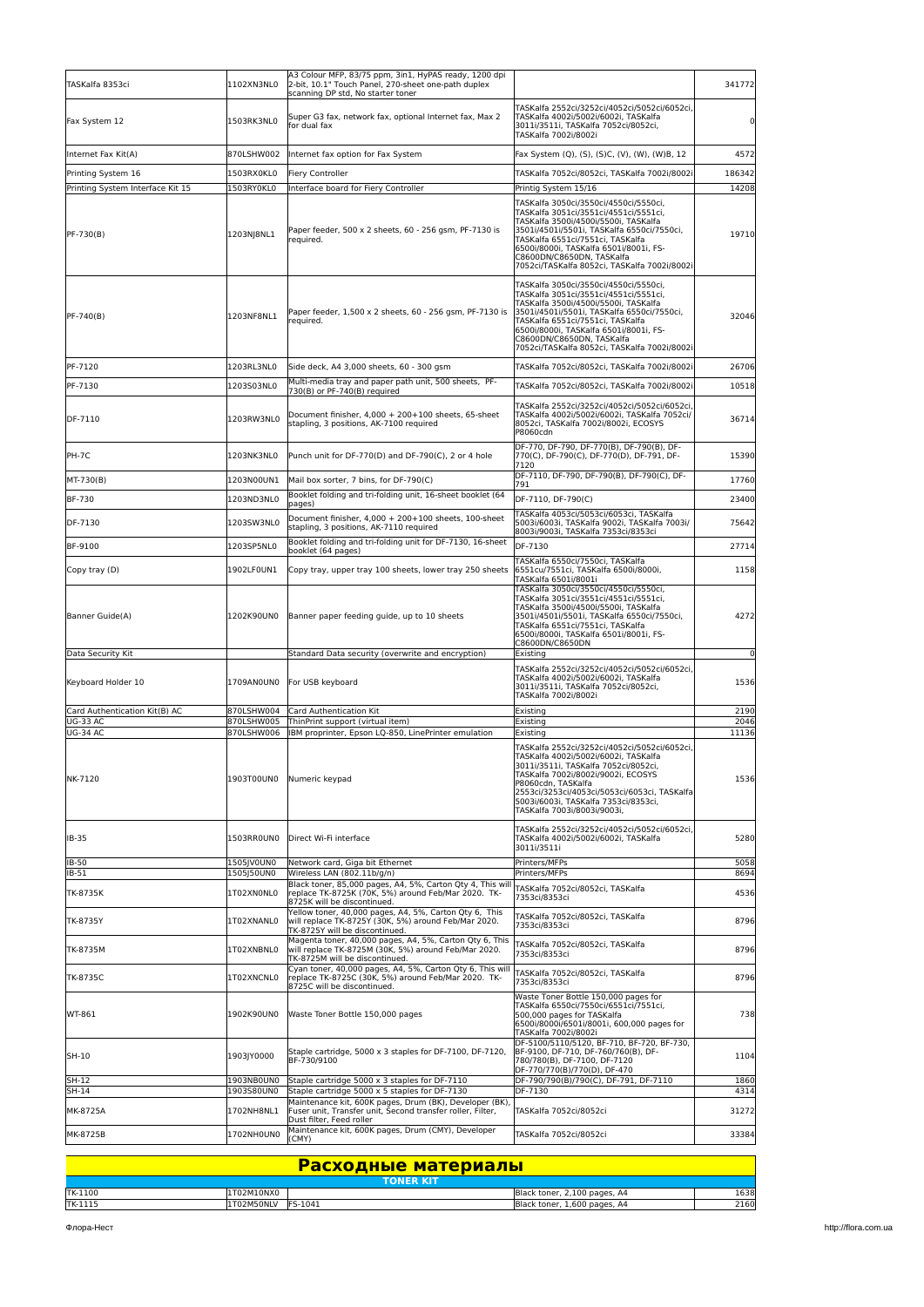| TASKalfa 8353ci                    | 1102XN3NL0               | A3 Colour MFP, 83/75 ppm, 3in1, HyPAS ready, 1200 dpi<br>2-bit, 10.1" Touch Panel, 270-sheet one-path duplex<br>scanning DP std, No starter toner |                                                                                                                                                                                                                                                                                                                                 | 341772         |
|------------------------------------|--------------------------|---------------------------------------------------------------------------------------------------------------------------------------------------|---------------------------------------------------------------------------------------------------------------------------------------------------------------------------------------------------------------------------------------------------------------------------------------------------------------------------------|----------------|
| Fax System 12                      | 1503RK3NL0               | Super G3 fax, network fax, optional Internet fax, Max 2<br>for dual fax                                                                           | TASKalfa 2552ci/3252ci/4052ci/5052ci/6052ci,<br>TASKalfa 4002i/5002i/6002i, TASKalfa<br>3011i/3511i, TASKalfa 7052ci/8052ci,<br>TASKalfa 7002i/8002i                                                                                                                                                                            | $\overline{0}$ |
| Internet Fax Kit(A)                | 870LSHW002               | Internet fax option for Fax System                                                                                                                | Fax System (Q), (S), (S)C, (V), (W), (W)B, 12                                                                                                                                                                                                                                                                                   | 4572           |
| Printing System 16                 | 1503RX0KL0               | Fiery Controller                                                                                                                                  | TASKalfa 7052ci/8052ci, TASKalfa 7002i/8002i                                                                                                                                                                                                                                                                                    | 186342         |
| Printing System Interface Kit 15   | 1503RY0KL0               | Interface board for Fiery Controller                                                                                                              | Printig System 15/16                                                                                                                                                                                                                                                                                                            | 14208          |
| PF-730(B)                          | 1203NJ8NL1               | Paper feeder, 500 x 2 sheets, 60 - 256 qsm, PF-7130 is<br>equired.                                                                                | TASKalfa 3050ci/3550ci/4550ci/5550ci,<br>TASKalfa 3051ci/3551ci/4551ci/5551ci,<br>TASKalfa 3500i/4500i/5500i, TASKalfa<br>3501i/4501i/5501i, TASKalfa 6550ci/7550ci,<br>TASKalfa 6551ci/7551ci, TASKalfa<br>6500i/8000i, TASKalfa 6501i/8001i, FS-<br>C8600DN/C8650DN, TASKalfa<br>7052ci/TASKalfa 8052ci, TASKalfa 7002i/8002i | 19710          |
| PF-740(B)                          | 1203NF8NL1               | Paper feeder, 1,500 x 2 sheets, 60 - 256 gsm, PF-7130 is<br>required.                                                                             | TASKalfa 3050ci/3550ci/4550ci/5550ci,<br>TASKalfa 3051ci/3551ci/4551ci/5551ci,<br>TASKalfa 3500i/4500i/5500i, TASKalfa<br>3501i/4501i/5501i, TASKalfa 6550ci/7550ci,<br>TASKalfa 6551ci/7551ci, TASKalfa<br>6500i/8000i, TASKalfa 6501i/8001i, FS-<br>C8600DN/C8650DN, TASKalfa<br>7052ci/TASKalfa 8052ci, TASKalfa 7002i/8002i | 32046          |
| PF-7120                            | 1203RL3NL0               | Side deck, A4 3,000 sheets, 60 - 300 gsm                                                                                                          | TASKalfa 7052ci/8052ci, TASKalfa 7002i/8002i                                                                                                                                                                                                                                                                                    | 26706          |
| PF-7130                            | 1203S03NL0               | Multi-media tray and paper path unit, 500 sheets, PF-<br>730(B) or PF-740(B) required                                                             | TASKalfa 7052ci/8052ci, TASKalfa 7002i/8002i                                                                                                                                                                                                                                                                                    | 10518          |
| DF-7110                            | 1203RW3NL0               | Document finisher. 4.000 + 200+100 sheets. 65-sheet<br>stapling, 3 positions, AK-7100 required                                                    | TASKalfa 2552ci/3252ci/4052ci/5052ci/6052ci,<br>TASKalfa 4002i/5002i/6002i, TASKalfa 7052ci/<br>8052ci. TASKalfa 7002i/8002i. ECOSYS<br>P8060cdn                                                                                                                                                                                | 36714          |
| PH-7C                              | 1203NK3NL0               | Punch unit for DF-770(D) and DF-790(C), 2 or 4 hole                                                                                               | DF-770, DF-790, DF-770(B), DF-790(B), DF-<br>770(C), DF-790(C), DF-770(D), DF-791, DF-<br>7120                                                                                                                                                                                                                                  | 15390          |
| MT-730(B)                          | 1203N00UN1               | Mail box sorter, 7 bins, for DF-790(C)                                                                                                            | DF-7110, DF-790, DF-790(B), DF-790(C), DF-<br>791                                                                                                                                                                                                                                                                               | 17760          |
| BF-730                             | 1203ND3NL0               | Booklet folding and tri-folding unit, 16-sheet booklet (64<br>pages)                                                                              | DF-7110, DF-790(C)                                                                                                                                                                                                                                                                                                              | 23400          |
| DF-7130                            | 1203SW3NL0               | Document finisher, 4,000 + 200+100 sheets, 100-sheet<br>stapling, 3 positions, AK-7110 required                                                   | TASKalfa 4053ci/5053ci/6053ci, TASKalfa<br>5003i/6003i, TASKalfa 9002i, TASKalfa 7003i/<br>8003i/9003i, TASKalfa 7353ci/8353ci                                                                                                                                                                                                  | 75642          |
| BF-9100                            | 1203SP5NL0               | Booklet folding and tri-folding unit for DF-7130, 16-sheet                                                                                        | DF-7130                                                                                                                                                                                                                                                                                                                         | 27714          |
|                                    |                          | booklet (64 pages)                                                                                                                                | TASKalfa 6550ci/7550ci, TASKalfa                                                                                                                                                                                                                                                                                                |                |
| Copy tray (D)                      | 1902LF0UN1               | Copy tray, upper tray 100 sheets, lower tray 250 sheets                                                                                           | 6551cu/7551ci, TASKalfa 6500i/8000i,<br>TASKalfa 6501i/8001i                                                                                                                                                                                                                                                                    | 1158           |
| Banner Guide(A)                    | 1202K90UN0               | Banner paper feeding guide, up to 10 sheets                                                                                                       | TASKalfa 3050ci/3550ci/4550ci/5550ci,<br>TASKalfa 3051ci/3551ci/4551ci/5551ci,<br>TASKalfa 3500i/4500i/5500i, TASKalfa<br>3501i/4501i/5501i, TASKalfa 6550ci/7550ci,<br>TASKalfa 6551ci/7551ci, TASKalfa<br>6500i/8000i, TASKalfa 6501i/8001i, FS-<br>C8600DN/C8650DN                                                           | 4272           |
| Data Security Kit                  |                          | Standard Data security (overwrite and encryption)                                                                                                 | Existing                                                                                                                                                                                                                                                                                                                        | $\overline{0}$ |
| Keyboard Holder 10                 | 1709AN0UN0               | For USB keyboard                                                                                                                                  | TASKalfa 2552ci/3252ci/4052ci/5052ci/6052ci,<br>TASKalfa 4002i/5002i/6002i, TASKalfa<br>3011i/3511i, TASKalfa 7052ci/8052ci,<br>TASKalfa 7002i/8002i                                                                                                                                                                            | 1536           |
| Card Authentication Kit(B) AC      | 870LSHW004               | Card Authentication Kit                                                                                                                           | Existing                                                                                                                                                                                                                                                                                                                        | 2190           |
| <b>UG-33 AC</b><br><b>UG-34 AC</b> | 870LSHW005<br>870LSHW006 | ThinPrint support (virtual item)<br>BM proprinter, Epson LQ-850, LinePrinter emulation                                                            | Existing<br>Existing                                                                                                                                                                                                                                                                                                            | 2046<br>11136  |
| NK-7120                            | 1903T00UN0               | Numeric keypad                                                                                                                                    | TASKalfa 2552ci/3252ci/4052ci/5052ci/6052ci.<br>TASKalfa 4002i/5002i/6002i, TASKalfa<br>3011i/3511i, TASKalfa 7052ci/8052ci,<br>TASKalfa 7002i/8002i/9002i, ECOSYS<br>P8060cdn, TASKalfa<br>2553ci/3253ci/4053ci/5053ci/6053ci, TASKalfa<br>5003i/6003i. TASKalfa 7353ci/8353ci.<br>TASKalfa 7003i/8003i/9003i,                 | 1536           |
| IB-35                              | 1503RR0UN0               | Direct Wi-Fi interface                                                                                                                            | TASKalfa 2552ci/3252ci/4052ci/5052ci/6052ci,<br>TASKalfa 4002i/5002i/6002i, TASKalfa<br>3011i/3511i                                                                                                                                                                                                                             | 5280           |
| IB-50<br>IB-51                     | 1505JV0UN0<br>1505J50UN0 | Network card, Giga bit Ethernet<br>Wireless LAN (802.11b/g/n)                                                                                     | Printers/MFPs<br>Printers/MFPs                                                                                                                                                                                                                                                                                                  | 5058<br>8694   |
| TK-8735K                           | 1T02XN0NL0               | Black toner, 85,000 pages, A4, 5%, Carton Qty 4, This will<br>replace TK-8725K (70K, 5%) around Feb/Mar 2020. TK-<br>8725K will be discontinued.  | TASKalfa 7052ci/8052ci, TASKalfa<br>7353ci/8353ci                                                                                                                                                                                                                                                                               | 4536           |
| TK-8735Y                           | 1T02XNANL0               | Yellow toner, 40,000 pages, A4, 5%, Carton Qty 6, This<br>will replace TK-8725Y (30K, 5%) around Feb/Mar 2020.<br>TK-8725Y will be discontinued.  | TASKalfa 7052ci/8052ci, TASKalfa<br>7353ci/8353ci                                                                                                                                                                                                                                                                               | 8796           |
| TK-8735M                           | 1T02XNBNL0               | Magenta toner, 40,000 pages, A4, 5%, Carton Qty 6, This<br>will replace TK-8725M (30K, 5%) around Feb/Mar 2020.<br>TK-8725M will be discontinued. | TASKalfa 7052ci/8052ci, TASKalfa<br>7353ci/8353ci                                                                                                                                                                                                                                                                               | 8796           |
| TK-8735C                           | 1T02XNCNL0               | Cyan toner, 40,000 pages, A4, 5%, Carton Qty 6, This will<br>replace TK-8725C (30K, 5%) around Feb/Mar 2020. TK-<br>8725C will be discontinued.   | TASKalfa 7052ci/8052ci, TASKalfa<br>7353ci/8353ci                                                                                                                                                                                                                                                                               | 8796           |
| WT-861                             | 1902K90UN0               | Waste Toner Bottle 150,000 pages                                                                                                                  | Waste Toner Bottle 150,000 pages for<br>TASKalfa 6550ci/7550ci/6551ci/7551ci,<br>500,000 pages for TASKalfa<br>6500i/8000i/6501i/8001i, 600,000 pages for<br>TASKalfa 7002i/8002i                                                                                                                                               | 738            |
| SH-10                              | 1903JY0000               | Staple cartridge, 5000 x 3 staples for DF-7100, DF-7120,<br>BF-730/9100                                                                           | DF-5100/5110/5120, BF-710, BF-720, BF-730,<br>BF-9100, DF-710, DF-760/760(B), DF-<br>780/780(B), DF-7100, DF-7120<br>DF-770/770(B)/770(D), DF-470                                                                                                                                                                               | 1104           |
| SH-12<br>SH-14                     | 1903NB0UN0<br>1903S80UN0 | Staple cartridge 5000 x 3 staples for DF-7110<br>Staple cartridge 5000 x 5 staples for DF-7130                                                    | DF-790/790(B)/790(C), DF-791, DF-7110<br>DF-7130                                                                                                                                                                                                                                                                                | 1860<br>4314   |
|                                    |                          | Maintenance kit, 600K pages, Drum (BK), Developer (BK)                                                                                            |                                                                                                                                                                                                                                                                                                                                 |                |
| MK-8725A<br>MK-8725B               | 1702NH8NL1<br>1702NH0UN0 | Fuser unit, Transfer unit, Second transfer roller, Filter,<br>Dust filter, Feed roller<br>Maintenance kit, 600K pages, Drum (CMY), Developer      | TASKalfa 7052ci/8052ci<br>TASKalfa 7052ci/8052ci                                                                                                                                                                                                                                                                                | 31272<br>33384 |
|                                    |                          | (CMY)                                                                                                                                             |                                                                                                                                                                                                                                                                                                                                 |                |

| <b>Расходные материалы</b> |            |                  |                              |      |
|----------------------------|------------|------------------|------------------------------|------|
|                            |            | <b>TONER KIT</b> |                              |      |
| TK-1100                    | 1T02M10NX0 |                  | Black toner, 2,100 pages, A4 | 1638 |
| TK-1115                    | 1T02M50NLV | FS-1041          | Black toner, 1,600 pages, A4 | 2160 |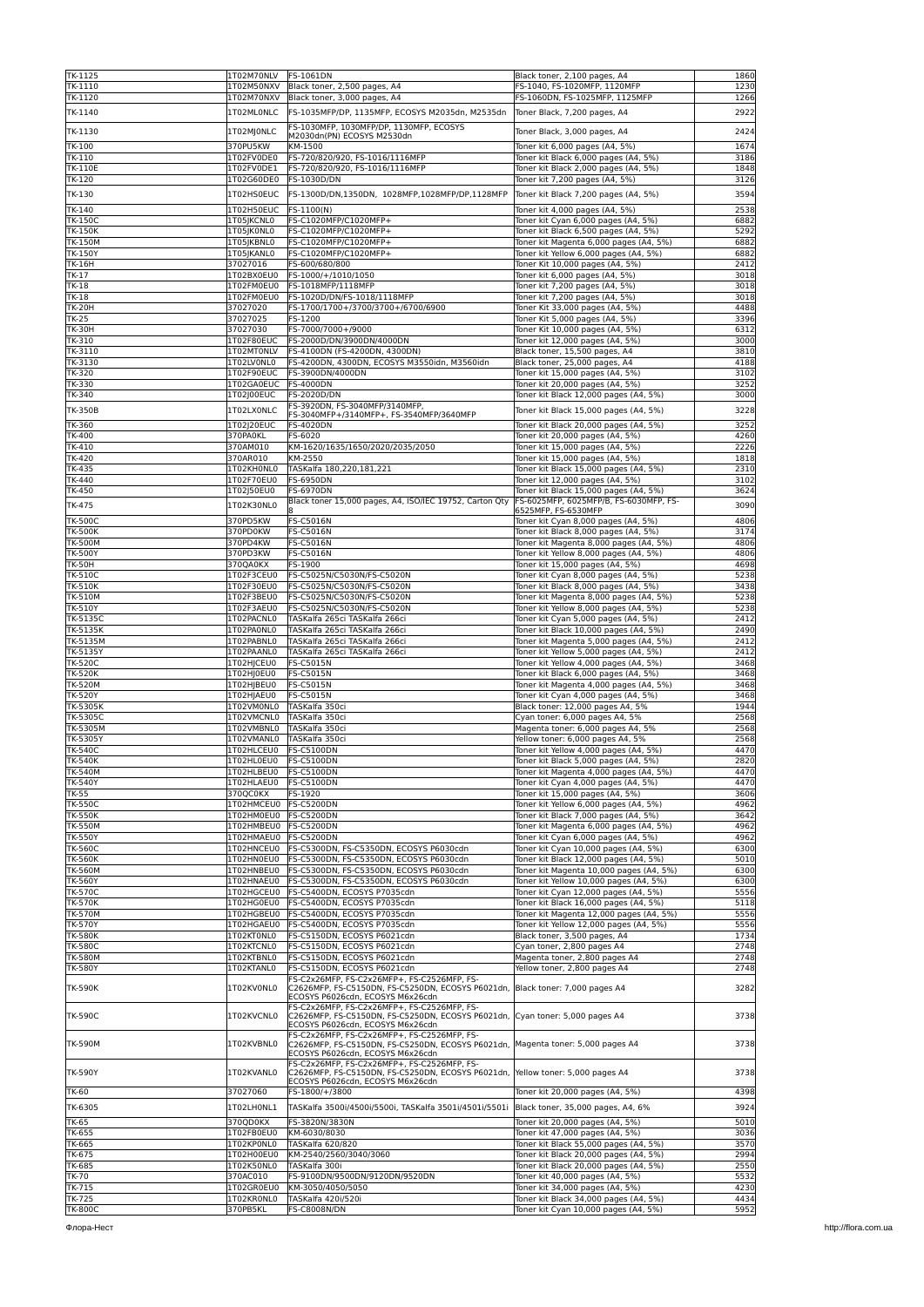| TK-1125                  | 1T02M70NLV             | <b>FS-1061DN</b>                                                                | Black toner, 2,100 pages, A4                                                  | 1860         |
|--------------------------|------------------------|---------------------------------------------------------------------------------|-------------------------------------------------------------------------------|--------------|
| TK-1110                  | 1T02M50NXV             | Black toner, 2,500 pages, A4                                                    | FS-1040, FS-1020MFP, 1120MFP                                                  | 1230         |
| TK-1120                  | 1T02M70NXV             | Black toner, 3,000 pages, A4                                                    | FS-1060DN, FS-1025MFP, 1125MFP                                                | 1266         |
| TK-1140                  | 1T02ML0NLC             | FS-1035MFP/DP, 1135MFP, ECOSYS M2035dn, M2535dn                                 | Toner Black, 7,200 pages, A4                                                  | 2922         |
|                          |                        |                                                                                 |                                                                               |              |
| TK-1130                  | 1T02MJ0NLC             | FS-1030MFP, 1030MFP/DP, 1130MFP, ECOSYS                                         | Toner Black, 3,000 pages, A4                                                  | 2424         |
|                          |                        | M2030dn(PN) ECOSYS M2530dn                                                      |                                                                               |              |
| TK-100                   | 370PU5KW               | KM-1500                                                                         | Toner kit 6,000 pages (A4, 5%)                                                | 1674         |
| TK-110                   | 1T02FV0DE0             | FS-720/820/920, FS-1016/1116MFP                                                 | Toner kit Black 6,000 pages (A4, 5%)                                          | 3186         |
| <b>TK-110E</b>           | 1T02FV0DE1             | FS-720/820/920, FS-1016/1116MFP                                                 | Toner kit Black 2,000 pages (A4, 5%)                                          | 1848         |
| TK-120                   | 1T02G60DE0             | FS-1030D/DN                                                                     | Toner kit 7,200 pages (A4, 5%)                                                | 3126         |
| TK-130                   | 1T02HS0EUC             | FS-1300D/DN,1350DN, 1028MFP,1028MFP/DP,1128MFP                                  | Toner kit Black 7,200 pages (A4, 5%)                                          | 3594         |
|                          |                        |                                                                                 |                                                                               |              |
| TK-140                   | 1T02H50EUC             | FS-1100(N)                                                                      | Toner kit 4,000 pages (A4, 5%)                                                | 2538         |
| <b>TK-150C</b>           | 1T05JKCNL0             | FS-C1020MFP/C1020MFP+                                                           | Toner kit Cyan 6,000 pages (A4, 5%)                                           | 6882         |
| <b>TK-150K</b>           | 1T05JK0NL0             | FS-C1020MFP/C1020MFP+                                                           | Toner kit Black 6,500 pages (A4, 5%)                                          | 5292         |
| <b>TK-150M</b>           | 1T05JKBNL0             | FS-C1020MFP/C1020MFP+                                                           | Toner kit Magenta 6,000 pages (A4, 5%)                                        | 6882         |
| <b>TK-150Y</b>           | 1T05JKANL0             | FS-C1020MFP/C1020MFP+                                                           | Toner kit Yellow 6,000 pages (A4, 5%)                                         | 6882         |
| <b>TK-16H</b>            | 37027016               | FS-600/680/800                                                                  | Toner Kit 10,000 pages (A4, 5%)                                               | 2412         |
| TK-17                    | 1T02BX0EU0             | FS-1000/+/1010/1050                                                             | Toner kit 6,000 pages (A4, 5%)                                                | 3018         |
| <b>TK-18</b>             | 1T02FM0EU0             | FS-1018MFP/1118MFP                                                              | Toner kit 7,200 pages (A4, 5%)                                                | 3018         |
| TK-18                    | 1T02FM0EU0             | FS-1020D/DN/FS-1018/1118MFP                                                     | Toner kit 7,200 pages (A4, 5%)                                                | 3018         |
|                          |                        |                                                                                 |                                                                               |              |
| <b>TK-20H</b>            | 37027020               | FS-1700/1700+/3700/3700+/6700/6900                                              | Toner Kit 33,000 pages (A4, 5%)                                               | 4488         |
| TK-25                    | 37027025               | FS-1200                                                                         | Toner Kit 5,000 pages (A4, 5%)                                                | 3396         |
| <b>TK-30H</b>            | 37027030               | FS-7000/7000+/9000                                                              | Toner Kit 10,000 pages (A4, 5%)                                               | 6312         |
| TK-310                   | 1T02F80EUC             | FS-2000D/DN/3900DN/4000DN                                                       | Toner kit 12,000 pages (A4, 5%)                                               | 3000         |
| TK-3110                  | 1T02MT0NLV             | FS-4100DN (FS-4200DN, 4300DN)                                                   | Black toner, 15,500 pages, A4                                                 | 3810         |
| TK-3130                  | 1T02LV0NL0             | FS-4200DN, 4300DN, ECOSYS M3550idn, M3560idn                                    | Black toner, 25,000 pages, A4                                                 | 4188         |
| TK-320                   | 1T02F90EUC             | FS-3900DN/4000DN                                                                | Toner kit 15,000 pages (A4, 5%)                                               | 3102         |
| TK-330                   | 1T02GA0EUC             | <b>FS-4000DN</b>                                                                | Toner kit 20,000 pages (A4, 5%)                                               | 3252         |
| TK-340                   | 1T02J00EUC             | FS-2020D/DN                                                                     | Toner kit Black 12,000 pages (A4, 5%)                                         | 3000         |
|                          |                        | FS-3920DN, FS-3040MFP/3140MFP,                                                  |                                                                               |              |
| <b>TK-350B</b>           | 1T02LX0NLC             | FS-3040MFP+/3140MFP+, FS-3540MFP/3640MFP                                        | Toner kit Black 15,000 pages (A4, 5%)                                         | 3228         |
| TK-360                   | 1T02J20EUC             | FS-4020DN                                                                       | Toner kit Black 20,000 pages (A4, 5%)                                         | 3252         |
| TK-400                   | 370PA0KL               | FS-6020                                                                         | Toner kit 20,000 pages (A4, 5%)                                               | 4260         |
| TK-410                   | 370AM010               | KM-1620/1635/1650/2020/2035/2050                                                | Toner kit 15,000 pages (A4, 5%)                                               | 2226         |
| TK-420                   | 370AR010               | KM-2550                                                                         |                                                                               | 1818         |
|                          |                        |                                                                                 | Toner kit 15,000 pages (A4, 5%)                                               |              |
| TK-435                   | 1T02KH0NL0             | TASKalfa 180,220,181,221                                                        | Toner kit Black 15,000 pages (A4, 5%)                                         | 2310         |
| TK-440                   | 1T02F70EU0             | FS-6950DN                                                                       | Toner kit 12,000 pages (A4, 5%)                                               | 3102         |
| TK-450                   | 1T02J50EU0             | <b>FS-6970DN</b>                                                                | Toner kit Black 15,000 pages (A4, 5%)                                         | 3624         |
| TK-475                   | 1T02K30NL0             | Black toner 15,000 pages, A4, ISO/IEC 19752, Carton Qty                         | FS-6025MFP, 6025MFP/B, FS-6030MFP, FS-                                        | 3090         |
|                          |                        |                                                                                 | 6525MFP, FS-6530MFP                                                           |              |
| <b>TK-500C</b>           | 370PD5KW               | FS-C5016N                                                                       | Toner kit Cyan 8,000 pages (A4, 5%)                                           | 4806         |
| <b>TK-500K</b>           | 370PD0KW               | FS-C5016N                                                                       | Toner kit Black 8,000 pages (A4, 5%)                                          | 3174         |
| <b>TK-500M</b>           | 370PD4KW               | FS-C5016N                                                                       | Toner kit Magenta 8,000 pages (A4, 5%)                                        | 4806         |
| <b>TK-500Y</b>           | 370PD3KW               | FS-C5016N                                                                       | Toner kit Yellow 8,000 pages (A4, 5%)                                         | 4806         |
| <b>TK-50H</b>            | 370QA0KX               | FS-1900                                                                         | Toner kit 15,000 pages (A4, 5%)                                               | 4698         |
| <b>TK-510C</b>           | 1T02F3CEU0             | FS-C5025N/C5030N/FS-C5020N                                                      | Toner kit Cyan 8,000 pages (A4, 5%)                                           | 5238         |
| <b>TK-510K</b>           | 1T02F30EU0             | FS-C5025N/C5030N/FS-C5020N                                                      | Toner kit Black 8,000 pages (A4, 5%)                                          | 3438         |
| <b>TK-510M</b>           | 1T02F3BEU0             | FS-C5025N/C5030N/FS-C5020N                                                      | Toner kit Magenta 8,000 pages (A4, 5%)                                        | 5238         |
| TK-510Y                  | 1T02F3AEU0             | FS-C5025N/C5030N/FS-C5020N                                                      | Toner kit Yellow 8,000 pages (A4, 5%)                                         | 5238         |
| <b>TK-5135C</b>          | 1T02PACNL0             | TASKalfa 265ci TASKalfa 266ci                                                   | Toner kit Cyan 5,000 pages (A4, 5%)                                           | 2412         |
|                          |                        |                                                                                 |                                                                               | 2490         |
| TK-5135K                 | 1T02PA0NL0             | TASKalfa 265ci TASKalfa 266ci                                                   | Toner kit Black 10,000 pages (A4, 5%)                                         |              |
| TK-5135M                 | 1T02PABNL0             | TASKalfa 265ci TASKalfa 266ci                                                   | Toner kit Magenta 5,000 pages (A4, 5%)                                        | 2412         |
| TK-5135Y                 | 1T02PAANL0             | TASKalfa 265ci TASKalfa 266ci                                                   | Toner kit Yellow 5,000 pages (A4, 5%)                                         | 2412         |
| <b>TK-520C</b>           | 1T02HJCEU0             | FS-C5015N                                                                       | Toner kit Yellow 4,000 pages (A4, 5%)                                         | 3468         |
| <b>TK-520K</b>           | 1T02HJ0EU0             | <b>FS-C5015N</b>                                                                | Toner kit Black 6,000 pages (A4, 5%)                                          | 3468         |
| <b>TK-520M</b>           | 1T02HJBEU0             | FS-C5015N                                                                       | Toner kit Magenta 4,000 pages (A4, 5%)                                        | 3468         |
| <b>TK-520Y</b>           | 1T02HJAEU0             | <b>FS-C5015N</b>                                                                | Toner kit Cyan 4,000 pages (A4, 5%)                                           | 3468         |
| TK-5305K                 | 1T02VM0NL0             | TASKalfa 350ci                                                                  | Black toner: 12,000 pages A4, 5%                                              | 1944         |
| TK-5305C                 | 1T02VMCNL0             | TASKalfa 350ci                                                                  | Cyan toner: 6,000 pages A4, 5%                                                | 2568         |
| TK-5305M                 | 1T02VMBNL0             | TASKalfa 350ci                                                                  | Magenta toner: 6,000 pages A4, 5%                                             | 2568         |
| TK-5305Y                 | 1T02VMANL0             | TASKalfa 350ci                                                                  | Yellow toner: 6,000 pages A4, 5%                                              | 2568         |
| <b>TK-540C</b>           | 1T02HLCEU0             | <b>FS-C5100DN</b>                                                               | Toner kit Yellow 4,000 pages (A4, 5%)                                         | 4470         |
|                          |                        |                                                                                 |                                                                               | 2820         |
| <b>TK-540K</b>           | 1T02HL0EU0             | <b>FS-C5100DN</b>                                                               | Toner kit Black 5,000 pages (A4, 5%)                                          |              |
| TK-540M                  | 1T02HLBEU0             | <b>IFS-C5100DN</b>                                                              | Toner kit Magenta 4,000 pages (A4, 5%)                                        | 44 7 C       |
| <b>TK-540Y</b>           | 1T02HLAEU0             | <b>FS-C5100DN</b>                                                               | Toner kit Cyan 4,000 pages (A4, 5%)                                           | 4470         |
| <b>TK-55</b>             | 370QC0KX               | FS-1920                                                                         | Toner kit 15,000 pages (A4, 5%)                                               | 3606         |
| <b>TK-550C</b>           | 1T02HMCEU0             | <b>FS-C5200DN</b>                                                               | Toner kit Yellow 6,000 pages (A4, 5%)                                         | 4962         |
| <b>TK-550K</b>           | 1T02HM0EU0             | FS-C5200DN                                                                      | Toner kit Black 7,000 pages (A4, 5%)                                          | 3642         |
| <b>TK-550M</b>           | 1T02HMBEU0             | <b>FS-C5200DN</b>                                                               | Toner kit Magenta 6,000 pages (A4, 5%)                                        | 4962         |
| <b>TK-550Y</b>           | 1T02HMAEU0             | <b>FS-C5200DN</b>                                                               | Toner kit Cyan 6,000 pages (A4, 5%)                                           | 4962         |
| <b>TK-560C</b>           | 1T02HNCEU0             | FS-C5300DN, FS-C5350DN, ECOSYS P6030cdn                                         | Toner kit Cyan 10,000 pages (A4, 5%)                                          | 6300         |
| <b>TK-560K</b>           | 1T02HN0EU0             | FS-C5300DN, FS-C5350DN, ECOSYS P6030cdn                                         | Toner kit Black 12,000 pages (A4, 5%)                                         | 5010         |
| <b>TK-560M</b>           | 1T02HNBEU0             | FS-C5300DN, FS-C5350DN, ECOSYS P6030cdn                                         | Toner kit Magenta 10,000 pages (A4, 5%)                                       | 6300         |
| <b>TK-560Y</b>           | 1T02HNAEU0             | FS-C5300DN, FS-C5350DN, ECOSYS P6030cdn                                         | Toner kit Yellow 10,000 pages (A4, 5%)                                        | 6300         |
| <b>TK-570C</b>           | 1T02HGCEU0             | FS-C5400DN, ECOSYS P7035cdn                                                     | Toner kit Cyan 12,000 pages (A4, 5%)                                          | 5556         |
| <b>TK-570K</b>           | 1T02HG0EU0             | FS-C5400DN, ECOSYS P7035cdn                                                     | Toner kit Black 16,000 pages (A4, 5%)                                         | 5118         |
|                          | 1T02HGBEU0             |                                                                                 |                                                                               |              |
| <b>TK-570M</b>           | 1T02HGAEU0             | FS-C5400DN, ECOSYS P7035cdn                                                     | Toner kit Magenta 12,000 pages (A4, 5%)                                       | 5556         |
| <b>TK-570Y</b>           |                        | FS-C5400DN, ECOSYS P7035cdn                                                     | Toner kit Yellow 12,000 pages (A4, 5%)                                        | 5556         |
| <b>TK-580K</b>           | 1T02KT0NL0             | FS-C5150DN, ECOSYS P6021cdn                                                     | Black toner, 3,500 pages, A4                                                  | 1734         |
| <b>TK-580C</b>           | 1T02KTCNL0             | FS-C5150DN, ECOSYS P6021cdn                                                     | Cyan toner, 2,800 pages A4                                                    | 2748         |
| <b>TK-580M</b>           | 1T02KTBNL0             | FS-C5150DN. ECOSYS P6021cdn                                                     | Magenta toner, 2,800 pages A4                                                 | 2748         |
| <b>TK-580Y</b>           |                        |                                                                                 |                                                                               | 2748         |
|                          | 1T02KTANL0             | FS-C5150DN, ECOSYS P6021cdn                                                     | Yellow toner, 2,800 pages A4                                                  |              |
| TK-590K                  |                        | FS-C2x26MFP, FS-C2x26MFP+, FS-C2526MFP, FS-                                     |                                                                               |              |
|                          | 1T02KV0NL0             | C2626MFP, FS-C5150DN, FS-C5250DN, ECOSYS P6021dn,                               | Black toner: 7,000 pages A4                                                   | 3282         |
|                          |                        | ECOSYS P6026cdn, ECOSYS M6x26cdn                                                |                                                                               |              |
|                          |                        | FS-C2x26MFP, FS-C2x26MFP+, FS-C2526MFP, FS-                                     |                                                                               |              |
| <b>TK-590C</b>           | 1T02KVCNL0             | C2626MFP, FS-C5150DN, FS-C5250DN, ECOSYS P6021dn, Cyan toner: 5,000 pages A4    |                                                                               | 3738         |
|                          |                        | ECOSYS P6026cdn, ECOSYS M6x26cdn                                                |                                                                               |              |
|                          |                        | FS-C2x26MFP, FS-C2x26MFP+, FS-C2526MFP, FS-                                     |                                                                               |              |
| <b>TK-590M</b>           | 1T02KVBNL0             | C2626MFP, FS-C5150DN, FS-C5250DN, ECOSYS P6021dn,                               | Magenta toner: 5,000 pages A4                                                 | 3738         |
|                          |                        | ECOSYS P6026cdn, ECOSYS M6x26cdn<br>FS-C2x26MFP, FS-C2x26MFP+, FS-C2526MFP, FS- |                                                                               |              |
| <b>TK-590Y</b>           | 1T02KVANL0             | C2626MFP, FS-C5150DN, FS-C5250DN, ECOSYS P6021dn,                               | Yellow toner: 5,000 pages A4                                                  | 3738         |
|                          |                        | ECOSYS P6026cdn, ECOSYS M6x26cdn                                                |                                                                               |              |
| TK-60                    | 37027060               | FS-1800/+/3800                                                                  | Toner kit 20,000 pages (A4, 5%)                                               | 4398         |
|                          |                        |                                                                                 |                                                                               |              |
| TK-6305                  | 1T02LH0NL1             | TASKalfa 3500i/4500i/5500i, TASKalfa 3501i/4501i/5501i                          | Black toner, 35,000 pages, A4, 6%                                             | 3924         |
| TK-65                    | 370QD0KX               | FS-3820N/3830N                                                                  | Toner kit 20,000 pages (A4, 5%)                                               | 5010         |
| TK-655                   | 1T02FB0EU0             | KM-6030/8030                                                                    | Toner kit 47,000 pages (A4, 5%)                                               | 3036         |
| TK-665                   | 1T02KP0NL0             | TASKalfa 620/820                                                                | Toner kit Black 55,000 pages (A4, 5%)                                         | 3570         |
|                          |                        |                                                                                 |                                                                               |              |
| TK-675                   | 1T02H00EU0             | KM-2540/2560/3040/3060                                                          | Toner kit Black 20,000 pages (A4, 5%)                                         | 2994         |
| TK-685                   | 1T02K50NL0             | TASKalfa 300i                                                                   | Toner kit Black 20,000 pages (A4, 5%)                                         | 2550         |
| TK-70                    | 370AC010               | FS-9100DN/9500DN/9120DN/9520DN                                                  | Toner kit 40,000 pages (A4, 5%)                                               | 5532         |
| TK-715                   | 1T02GR0EU0             | KM-3050/4050/5050                                                               | Toner kit 34,000 pages (A4, 5%)                                               | 4230         |
| TK-725<br><b>TK-800C</b> | 1T02KR0NL0<br>370PB5KL | TASKalfa 420i/520i<br>FS-C8008N/DN                                              | Toner kit Black 34,000 pages (A4, 5%)<br>Toner kit Cyan 10,000 pages (A4, 5%) | 4434<br>5952 |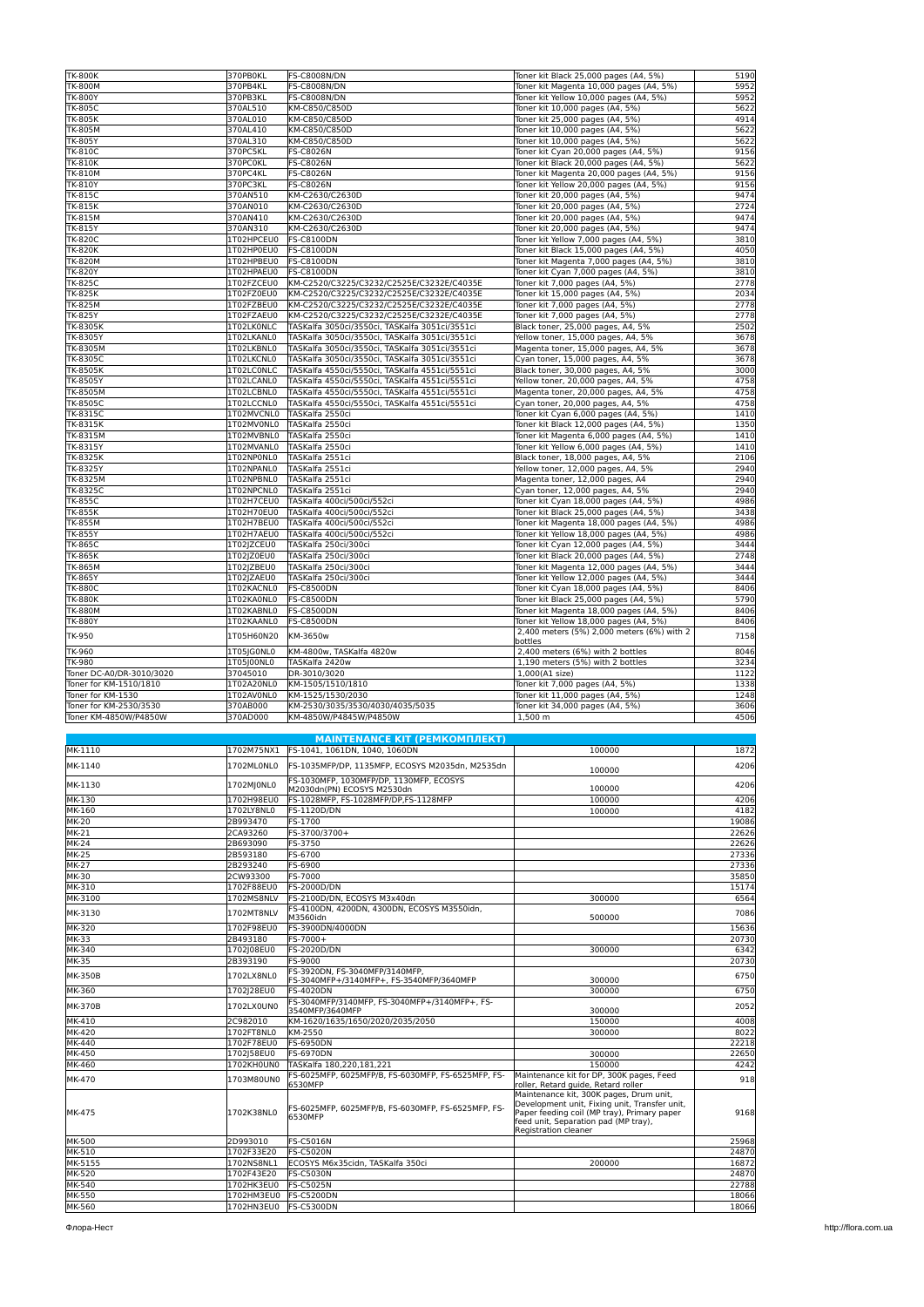| <b>TK-800K</b>              | 370PB0KL   | <b>FS-C8008N/DN</b>                            | Toner kit Black 25,000 pages (A4, 5%)                 | 5190         |
|-----------------------------|------------|------------------------------------------------|-------------------------------------------------------|--------------|
| TK-800M                     | 370PB4KL   | <b>FS-C8008N/DN</b>                            | Toner kit Magenta 10,000 pages (A4, 5%)               | 5952         |
| <b>TK-800Y</b>              | 370PB3KL   | <b>FS-C8008N/DN</b>                            | Toner kit Yellow 10,000 pages (A4, 5%)                | 5952         |
| <b>TK-805C</b>              | 370AL510   | KM-C850/C850D                                  | Toner kit 10,000 pages (A4, 5%)                       | 5622         |
| <b>TK-805K</b>              | 370AL010   | KM-C850/C850D                                  | Toner kit 25,000 pages (A4, 5%)                       | 4914         |
| TK-805M                     | 370AL410   | KM-C850/C850D                                  | Toner kit 10,000 pages (A4, 5%)                       | 5622         |
| <b>TK-805Y</b>              | 370AL310   | KM-C850/C850D                                  | Toner kit 10,000 pages (A4, 5%)                       | 5622         |
| <b>TK-810C</b>              | 370PC5KL   | FS-C8026N                                      | Toner kit Cyan 20,000 pages (A4, 5%)                  | 9156         |
| TK-810K                     | 370PC0KL   | <b>FS-C8026N</b>                               | Toner kit Black 20,000 pages (A4, 5%)                 | 5622         |
| <b>TK-810M</b>              | 370PC4KL   | FS-C8026N                                      | Toner kit Magenta 20,000 pages (A4, 5%)               | 9156         |
| TK-810Y                     | 370PC3KL   | FS-C8026N                                      | Toner kit Yellow 20,000 pages (A4, 5%)                | 9156         |
| <b>TK-815C</b>              | 370AN510   | KM-C2630/C2630D                                | Toner kit 20,000 pages (A4, 5%)                       | 9474         |
| TK-815K                     | 370AN010   | KM-C2630/C2630D                                | Toner kit 20,000 pages (A4, 5%)                       | 2724         |
| TK-815M                     | 370AN410   | KM-C2630/C2630D                                | Toner kit 20,000 pages (A4, 5%)                       | 9474         |
| TK-815Y                     | 370AN310   | KM-C2630/C2630D                                | Toner kit 20,000 pages (A4, 5%)                       | 9474         |
| <b>TK-820C</b>              | 1T02HPCEU0 | <b>FS-C8100DN</b>                              | Toner kit Yellow 7,000 pages (A4, 5%)                 | 3810         |
| TK-820K                     | 1T02HP0EU0 | <b>FS-C8100DN</b>                              | Toner kit Black 15,000 pages (A4, 5%)                 | 4050         |
| <b>TK-820M</b>              | 1T02HPBEU0 | <b>FS-C8100DN</b>                              | Toner kit Magenta 7,000 pages (A4, 5%)                | 3810         |
| <b>TK-820Y</b>              | 1T02HPAEU0 | <b>FS-C8100DN</b>                              | Toner kit Cyan 7,000 pages (A4, 5%)                   | 381C         |
| <b>TK-825C</b>              | 1T02FZCEU0 | KM-C2520/C3225/C3232/C2525E/C3232E/C4035E      | Toner kit 7,000 pages (A4, 5%)                        | 2778         |
| TK-825K                     | 1T02FZ0EU0 | KM-C2520/C3225/C3232/C2525E/C3232E/C4035E      | Toner kit 15,000 pages (A4, 5%)                       | 2034         |
| TK-825M                     | 1T02FZBEU0 | KM-C2520/C3225/C3232/C2525E/C3232E/C4035E      | Toner kit 7,000 pages (A4, 5%)                        | 2778         |
| TK-825Y                     | 1T02FZAEU0 | KM-C2520/C3225/C3232/C2525E/C3232E/C4035E      | Toner kit 7,000 pages (A4, 5%)                        | 2778         |
|                             | 1T02LK0NLC | TASKalfa 3050ci/3550ci, TASKalfa 3051ci/3551ci |                                                       | 2502         |
| TK-8305K                    |            |                                                | Black toner, 25,000 pages, A4, 5%                     |              |
| TK-8305Y                    | 1T02LKANL0 | TASKalfa 3050ci/3550ci, TASKalfa 3051ci/3551ci | Yellow toner, 15,000 pages, A4, 5%                    | 3678         |
| TK-8305M                    | 1T02LKBNL0 | TASKalfa 3050ci/3550ci, TASKalfa 3051ci/3551ci | Magenta toner, 15,000 pages, A4, 5%                   | 3678         |
| TK-8305C<br><b>TK-8505K</b> | 1T02LKCNL0 | TASKalfa 3050ci/3550ci, TASKalfa 3051ci/3551ci | Cyan toner, 15,000 pages, A4, 5%                      | 3678<br>3000 |
|                             | 1T02LC0NLC | TASKalfa 4550ci/5550ci, TASKalfa 4551ci/5551ci | Black toner, 30,000 pages, A4, 5%                     |              |
| TK-8505Y                    | 1T02LCANL0 | TASKalfa 4550ci/5550ci, TASKalfa 4551ci/5551ci | Yellow toner, 20,000 pages, A4, 5%                    | 4758         |
| TK-8505M                    | 1T02LCBNL0 | TASKalfa 4550ci/5550ci, TASKalfa 4551ci/5551ci | Magenta toner, 20,000 pages, A4, 5%                   | 4758         |
| TK-8505C                    | 1T02LCCNL0 | TASKalfa 4550ci/5550ci, TASKalfa 4551ci/5551ci | Cyan toner, 20,000 pages, A4, 5%                      | 4758         |
| TK-8315C                    | 1T02MVCNL0 | TASKalfa 2550ci                                | Toner kit Cyan 6,000 pages (A4, 5%)                   | 1410         |
| TK-8315K                    | 1T02MV0NL0 | TASKalfa 2550ci                                | Toner kit Black 12,000 pages (A4, 5%)                 | 1350         |
| <b>TK-8315M</b>             | 1T02MVBNL0 | TASKalfa 2550ci                                | Toner kit Magenta 6,000 pages (A4, 5%)                | 1410         |
| TK-8315Y                    | 1T02MVANL0 | TASKalfa 2550ci                                | Toner kit Yellow 6,000 pages (A4, 5%)                 | 1410         |
| <b>TK-8325K</b>             | 1T02NP0NL0 | TASKalfa 2551ci                                | Black toner, 18,000 pages, A4, 5%                     | 2106         |
| TK-8325Y                    | 1T02NPANL0 | TASKalfa 2551ci                                | Yellow toner, 12,000 pages, A4, 5%                    | 2940         |
| TK-8325M                    | 1T02NPBNL0 | TASKalfa 2551ci                                | Magenta toner, 12,000 pages, A4                       | 2940         |
| TK-8325C                    | 1T02NPCNL0 | TASKalfa 2551ci                                | Cyan toner, 12,000 pages, A4, 5%                      | 2940         |
| <b>TK-855C</b>              | 1T02H7CEU0 | TASKalfa 400ci/500ci/552ci                     | Toner kit Cyan 18,000 pages (A4, 5%)                  | 4986         |
| TK-855K                     | 1T02H70EU0 | TASKalfa 400ci/500ci/552ci                     | Toner kit Black 25,000 pages (A4, 5%)                 | 3438         |
| <b>TK-855M</b>              | 1T02H7BEU0 | TASKalfa 400ci/500ci/552ci                     | Toner kit Magenta 18,000 pages (A4, 5%)               | 4986         |
| TK-855Y                     | 1T02H7AEU0 | TASKalfa 400ci/500ci/552ci                     | Toner kit Yellow 18,000 pages (A4, 5%)                | 4986         |
| <b>TK-865C</b>              | 1T02JZCEU0 | TASKalfa 250ci/300ci                           | Toner kit Cyan 12,000 pages (A4, 5%)                  | 3444         |
| TK-865K                     | 1T02JZ0EU0 | TASKalfa 250ci/300ci                           | Toner kit Black 20,000 pages (A4, 5%)                 | 2748         |
| TK-865M                     | 1T02JZBEU0 | TASKalfa 250ci/300ci                           | Toner kit Magenta 12,000 pages (A4, 5%)               | 3444         |
| <b>TK-865Y</b>              | 1T02JZAEU0 | TASKalfa 250ci/300ci                           | Toner kit Yellow 12,000 pages (A4, 5%)                | 3444         |
| <b>TK-880C</b>              | 1T02KACNL0 | <b>FS-C8500DN</b>                              | Toner kit Cyan 18,000 pages (A4, 5%)                  | 8406         |
| <b>TK-880K</b>              | 1T02KA0NL0 | <b>FS-C8500DN</b>                              | Toner kit Black 25,000 pages (A4, 5%)                 | 5790         |
| <b>TK-880M</b>              | 1T02KABNL0 | <b>FS-C8500DN</b>                              | Toner kit Magenta 18,000 pages (A4, 5%)               | 8406         |
| <b>TK-880Y</b>              | 1T02KAANL0 | <b>FS-C8500DN</b>                              | Toner kit Yellow 18,000 pages (A4, 5%)                | 8406         |
| TK-950                      | 1T05H60N20 | KM-3650w                                       | 2,400 meters (5%) 2,000 meters (6%) with 2<br>bottles | 7158         |
| TK-960                      | 1T05JG0NL0 | KM-4800w, TASKalfa 4820w                       | 2,400 meters (6%) with 2 bottles                      | 8046         |
| TK-980                      | 1T05J00NL0 | TASKalfa 2420w                                 | 1,190 meters (5%) with 2 bottles                      | 3234         |
| Toner DC-A0/DR-3010/3020    | 37045010   | DR-3010/3020                                   | 1,000(A1 size)                                        | 1122         |
| Toner for KM-1510/1810      | 1T02A20NL0 | KM-1505/1510/1810                              | Toner kit 7,000 pages (A4, 5%)                        | 1338         |
| Toner for KM-1530           | 1T02AV0NL0 | KM-1525/1530/2030                              | Toner kit 11,000 pages (A4, 5%)                       | 1248         |
| Toner for KM-2530/3530      | 370AB000   | KM-2530/3035/3530/4030/4035/5035               | Toner kit 34,000 pages (A4, 5%)                       | 3606         |
| Toner KM-4850W/P4850W       | 370AD000   | KM-4850W/P4845W/P4850W                         | 1,500 m                                               | 4506         |
|                             |            |                                                |                                                       |              |

|                |            | <b>MAINTENANCE KIT (РЕМКОМПЛЕКТ)</b>                                       |                                                                                                                                                                                                         |       |
|----------------|------------|----------------------------------------------------------------------------|---------------------------------------------------------------------------------------------------------------------------------------------------------------------------------------------------------|-------|
| MK-1110        | 1702M75NX1 | FS-1041, 1061DN, 1040, 1060DN                                              | 100000                                                                                                                                                                                                  | 1872  |
| MK-1140        | 1702ML0NL0 | FS-1035MFP/DP. 1135MFP. ECOSYS M2035dn. M2535dn                            | 100000                                                                                                                                                                                                  | 4206  |
| MK-1130        | 1702MJ0NL0 | FS-1030MFP. 1030MFP/DP. 1130MFP. ECOSYS<br>M2030dn(PN) ECOSYS M2530dn      | 100000                                                                                                                                                                                                  | 4206  |
| MK-130         | 1702H98EU0 | FS-1028MFP, FS-1028MFP/DP,FS-1128MFP                                       | 100000                                                                                                                                                                                                  | 4206  |
| <b>MK-160</b>  | 1702LY8NL0 | <b>FS-1120D/DN</b>                                                         | 100000                                                                                                                                                                                                  | 4182  |
| $MK-20$        | 2B993470   | FS-1700                                                                    |                                                                                                                                                                                                         | 19086 |
| MK-21          | 2CA93260   | FS-3700/3700+                                                              |                                                                                                                                                                                                         | 22626 |
| $MK-24$        | 2B693090   | FS-3750                                                                    |                                                                                                                                                                                                         | 22626 |
| <b>MK-25</b>   | 2B593180   | FS-6700                                                                    |                                                                                                                                                                                                         | 27336 |
| <b>MK-27</b>   | 2B293240   | FS-6900                                                                    |                                                                                                                                                                                                         | 27336 |
| MK-30          | 2CW93300   | <b>FS-7000</b>                                                             |                                                                                                                                                                                                         | 35850 |
| MK-310         | 1702F88EU0 | FS-2000D/DN                                                                |                                                                                                                                                                                                         | 15174 |
| MK-3100        | 1702MS8NLV | FS-2100D/DN, ECOSYS M3x40dn                                                | 300000                                                                                                                                                                                                  | 6564  |
| MK-3130        | 1702MT8NLV | FS-4100DN, 4200DN, 4300DN, ECOSYS M3550idn,<br>M3560idn                    | 500000                                                                                                                                                                                                  | 7086  |
| MK-320         | 1702F98EU0 | FS-3900DN/4000DN                                                           |                                                                                                                                                                                                         | 15636 |
| <b>MK-33</b>   | 2B493180   | FS-7000+                                                                   |                                                                                                                                                                                                         | 20730 |
| <b>MK-340</b>  | 1702108EU0 | <b>FS-2020D/DN</b>                                                         | 300000                                                                                                                                                                                                  | 6342  |
| <b>MK-35</b>   | 2B393190   | <b>FS-9000</b>                                                             |                                                                                                                                                                                                         | 20730 |
| <b>MK-350B</b> | 1702LX8NL0 | FS-3920DN, FS-3040MFP/3140MFP.<br>FS-3040MFP+/3140MFP+, FS-3540MFP/3640MFP | 300000                                                                                                                                                                                                  | 6750  |
| MK-360         | 1702J28EU0 | <b>FS-4020DN</b>                                                           | 300000                                                                                                                                                                                                  | 6750  |
| MK-370B        | 1702LX0UN0 | FS-3040MFP/3140MFP, FS-3040MFP+/3140MFP+, FS-<br>3540MFP/3640MFP           | 300000                                                                                                                                                                                                  | 2052  |
| <b>MK-410</b>  | 2C982010   | KM-1620/1635/1650/2020/2035/2050                                           | 150000                                                                                                                                                                                                  | 4008  |
| <b>MK-420</b>  | 1702FT8NL0 | KM-2550                                                                    | 300000                                                                                                                                                                                                  | 8022  |
| MK-440         | 1702F78EU0 | <b>FS-6950DN</b>                                                           |                                                                                                                                                                                                         | 22218 |
| <b>MK-450</b>  | 1702J58EU0 | <b>FS-6970DN</b>                                                           | 300000                                                                                                                                                                                                  | 22650 |
| <b>MK-460</b>  | 1702KH0UN0 | TASKalfa 180.220.181.221                                                   | 150000                                                                                                                                                                                                  | 4242  |
| MK-470         | 1703M80UN0 | FS-6025MFP, 6025MFP/B, FS-6030MFP, FS-6525MFP, FS-<br>6530MFP              | Maintenance kit for DP, 300K pages, Feed<br>roller, Retard quide, Retard roller                                                                                                                         | 918   |
| MK-475         | 1702K38NL0 | FS-6025MFP. 6025MFP/B. FS-6030MFP. FS-6525MFP. FS-<br>6530MFP              | Maintenance kit. 300K pages. Drum unit.<br>Development unit, Fixing unit, Transfer unit,<br>Paper feeding coil (MP tray), Primary paper<br>feed unit, Separation pad (MP tray),<br>Registration cleaner | 9168  |
| <b>MK-500</b>  | 2D993010   | <b>FS-C5016N</b>                                                           |                                                                                                                                                                                                         | 25968 |
| <b>MK-510</b>  | 1702F33E20 | <b>FS-C5020N</b>                                                           |                                                                                                                                                                                                         | 24870 |
| MK-5155        | 1702NS8NL1 | ECOSYS M6x35cidn. TASKalfa 350ci                                           | 200000                                                                                                                                                                                                  | 16872 |
| MK-520         | 1702F43E20 | <b>FS-C5030N</b>                                                           |                                                                                                                                                                                                         | 24870 |
| <b>MK-540</b>  | 1702HK3EU0 | <b>FS-C5025N</b>                                                           |                                                                                                                                                                                                         | 22788 |
| <b>MK-550</b>  | 1702HM3EU0 | FS-C5200DN                                                                 |                                                                                                                                                                                                         | 18066 |
| MK-560         | 1702HN3EU0 | <b>FS-C5300DN</b>                                                          |                                                                                                                                                                                                         | 18066 |